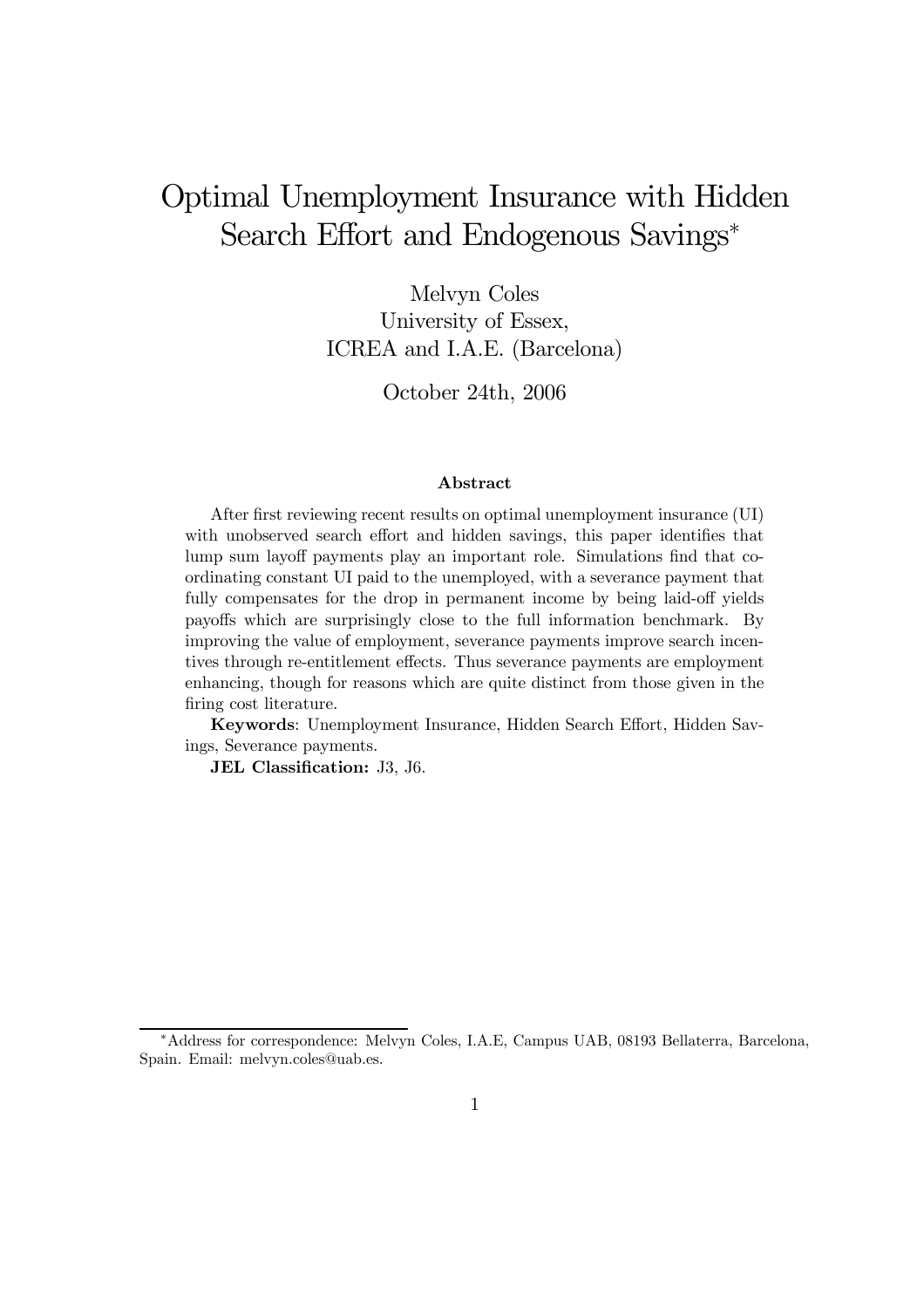# Optimal Unemployment Insurance with Hidden Search Effort and Endogenous Savings<sup>∗</sup>

Melvyn Coles University of Essex, ICREA and I.A.E. (Barcelona)

October 24th, 2006

#### Abstract

After first reviewing recent results on optimal unemployment insurance (UI) with unobserved search effort and hidden savings, this paper identifies that lump sum layoff payments play an important role. Simulations find that coordinating constant UI paid to the unemployed, with a severance payment that fully compensates for the drop in permanent income by being laid-off yields payoffs which are surprisingly close to the full information benchmark. By improving the value of employment, severance payments improve search incentives through re-entitlement effects. Thus severance payments are employment enhancing, though for reasons which are quite distinct from those given in the firing cost literature.

Keywords: Unemployment Insurance, Hidden Search Effort, Hidden Savings, Severance payments.

JEL Classification: J3, J6.

<sup>∗</sup>Address for correspondence: Melvyn Coles, I.A.E, Campus UAB, 08193 Bellaterra, Barcelona, Spain. Email: melvyn.coles@uab.es.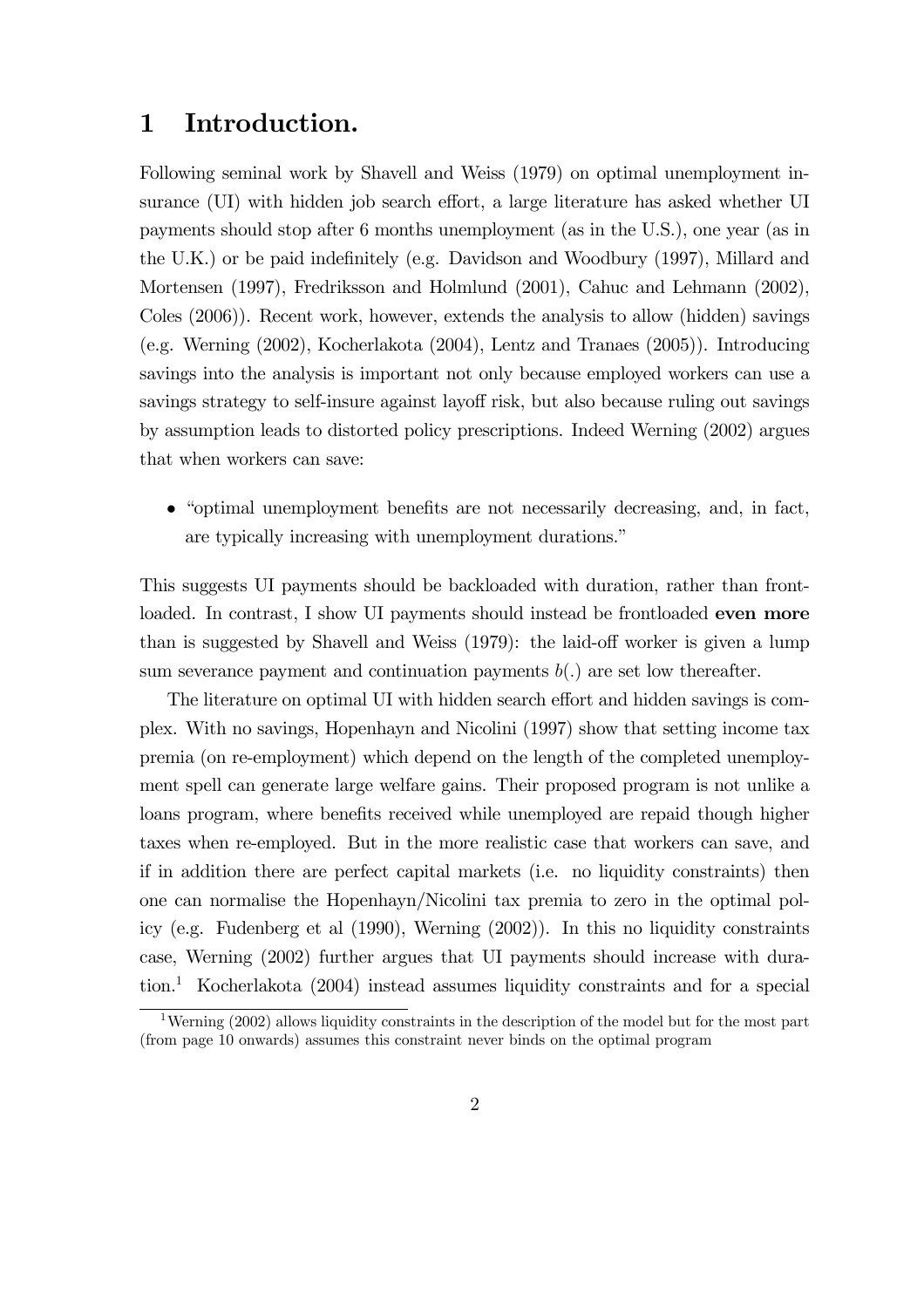## 1 Introduction.

Following seminal work by Shavell and Weiss (1979) on optimal unemployment insurance (UI) with hidden job search effort, a large literature has asked whether UI payments should stop after 6 months unemployment (as in the U.S.), one year (as in the U.K.) or be paid indefinitely (e.g. Davidson and Woodbury (1997), Millard and Mortensen (1997), Fredriksson and Holmlund (2001), Cahuc and Lehmann (2002), Coles (2006)). Recent work, however, extends the analysis to allow (hidden) savings (e.g. Werning (2002), Kocherlakota (2004), Lentz and Tranaes (2005)). Introducing savings into the analysis is important not only because employed workers can use a savings strategy to self-insure against layoff risk, but also because ruling out savings by assumption leads to distorted policy prescriptions. Indeed Werning (2002) argues that when workers can save:

• "optimal unemployment benefits are not necessarily decreasing, and, in fact, are typically increasing with unemployment durations."

This suggests UI payments should be backloaded with duration, rather than frontloaded. In contrast, I show UI payments should instead be frontloaded even more than is suggested by Shavell and Weiss (1979): the laid-off worker is given a lump sum severance payment and continuation payments  $b(.)$  are set low thereafter.

The literature on optimal UI with hidden search effort and hidden savings is complex. With no savings, Hopenhayn and Nicolini (1997) show that setting income tax premia (on re-employment) which depend on the length of the completed unemployment spell can generate large welfare gains. Their proposed program is not unlike a loans program, where benefits received while unemployed are repaid though higher taxes when re-employed. But in the more realistic case that workers can save, and if in addition there are perfect capital markets (i.e. no liquidity constraints) then one can normalise the Hopenhayn/Nicolini tax premia to zero in the optimal policy (e.g. Fudenberg et al (1990), Werning (2002)). In this no liquidity constraints case, Werning (2002) further argues that UI payments should increase with duration.1 Kocherlakota (2004) instead assumes liquidity constraints and for a special

<sup>&</sup>lt;sup>1</sup>Werning (2002) allows liquidity constraints in the description of the model but for the most part (from page 10 onwards) assumes this constraint never binds on the optimal program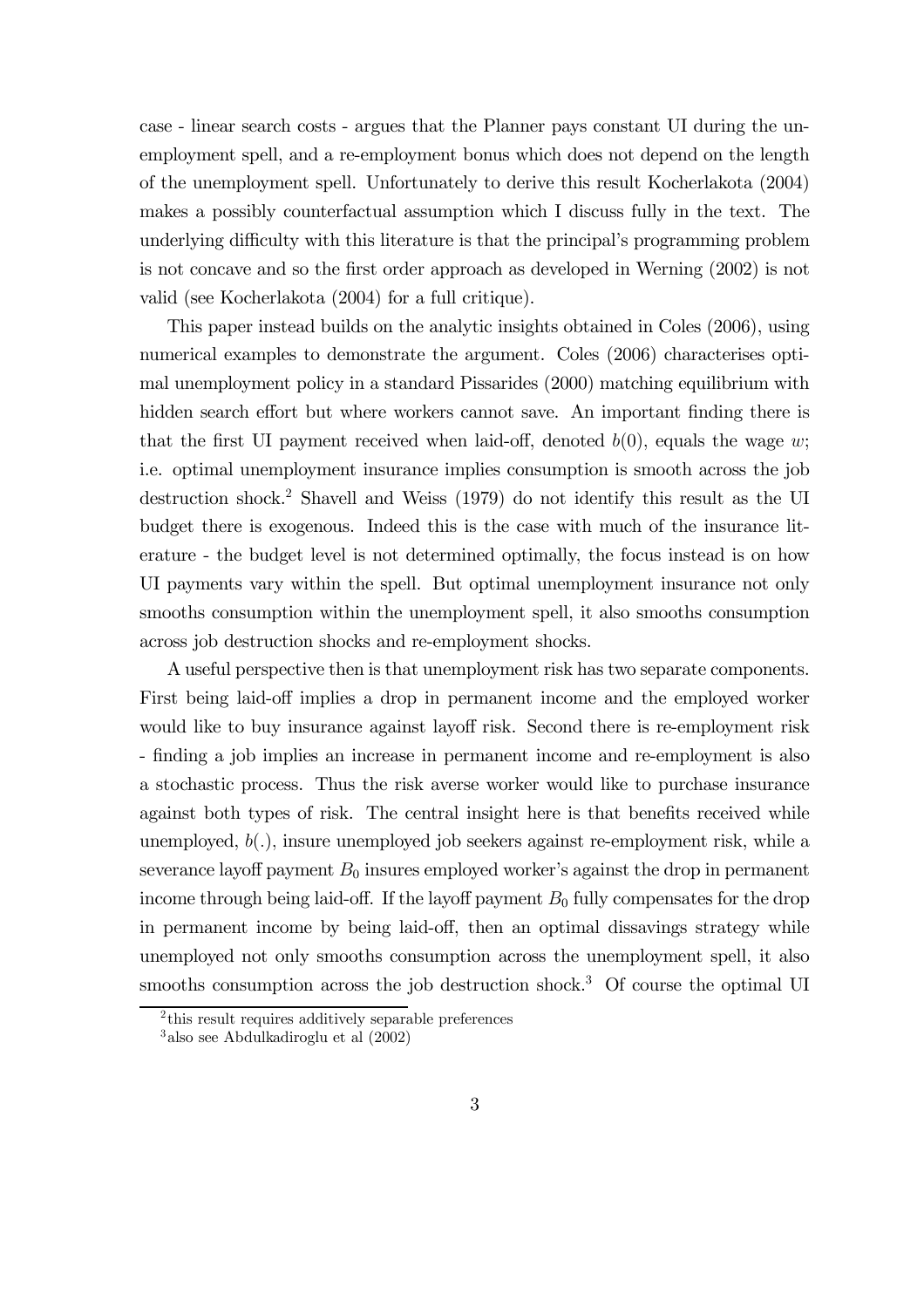case - linear search costs - argues that the Planner pays constant UI during the unemployment spell, and a re-employment bonus which does not depend on the length of the unemployment spell. Unfortunately to derive this result Kocherlakota (2004) makes a possibly counterfactual assumption which I discuss fully in the text. The underlying difficulty with this literature is that the principal's programming problem is not concave and so the first order approach as developed in Werning (2002) is not valid (see Kocherlakota (2004) for a full critique).

This paper instead builds on the analytic insights obtained in Coles (2006), using numerical examples to demonstrate the argument. Coles (2006) characterises optimal unemployment policy in a standard Pissarides (2000) matching equilibrium with hidden search effort but where workers cannot save. An important finding there is that the first UI payment received when laid-off, denoted  $b(0)$ , equals the wage w; i.e. optimal unemployment insurance implies consumption is smooth across the job destruction shock.<sup>2</sup> Shavell and Weiss (1979) do not identify this result as the UI budget there is exogenous. Indeed this is the case with much of the insurance literature - the budget level is not determined optimally, the focus instead is on how UI payments vary within the spell. But optimal unemployment insurance not only smooths consumption within the unemployment spell, it also smooths consumption across job destruction shocks and re-employment shocks.

A useful perspective then is that unemployment risk has two separate components. First being laid-off implies a drop in permanent income and the employed worker would like to buy insurance against layoff risk. Second there is re-employment risk - finding a job implies an increase in permanent income and re-employment is also a stochastic process. Thus the risk averse worker would like to purchase insurance against both types of risk. The central insight here is that benefits received while unemployed,  $b(.)$ , insure unemployed job seekers against re-employment risk, while a severance layoff payment  $B_0$  insures employed worker's against the drop in permanent income through being laid-off. If the layoff payment  $B_0$  fully compensates for the drop in permanent income by being laid-off, then an optimal dissavings strategy while unemployed not only smooths consumption across the unemployment spell, it also smooths consumption across the job destruction shock.<sup>3</sup> Of course the optimal UI

<sup>&</sup>lt;sup>2</sup>this result requires additively separable preferences

<sup>3</sup> also see Abdulkadiroglu et al (2002)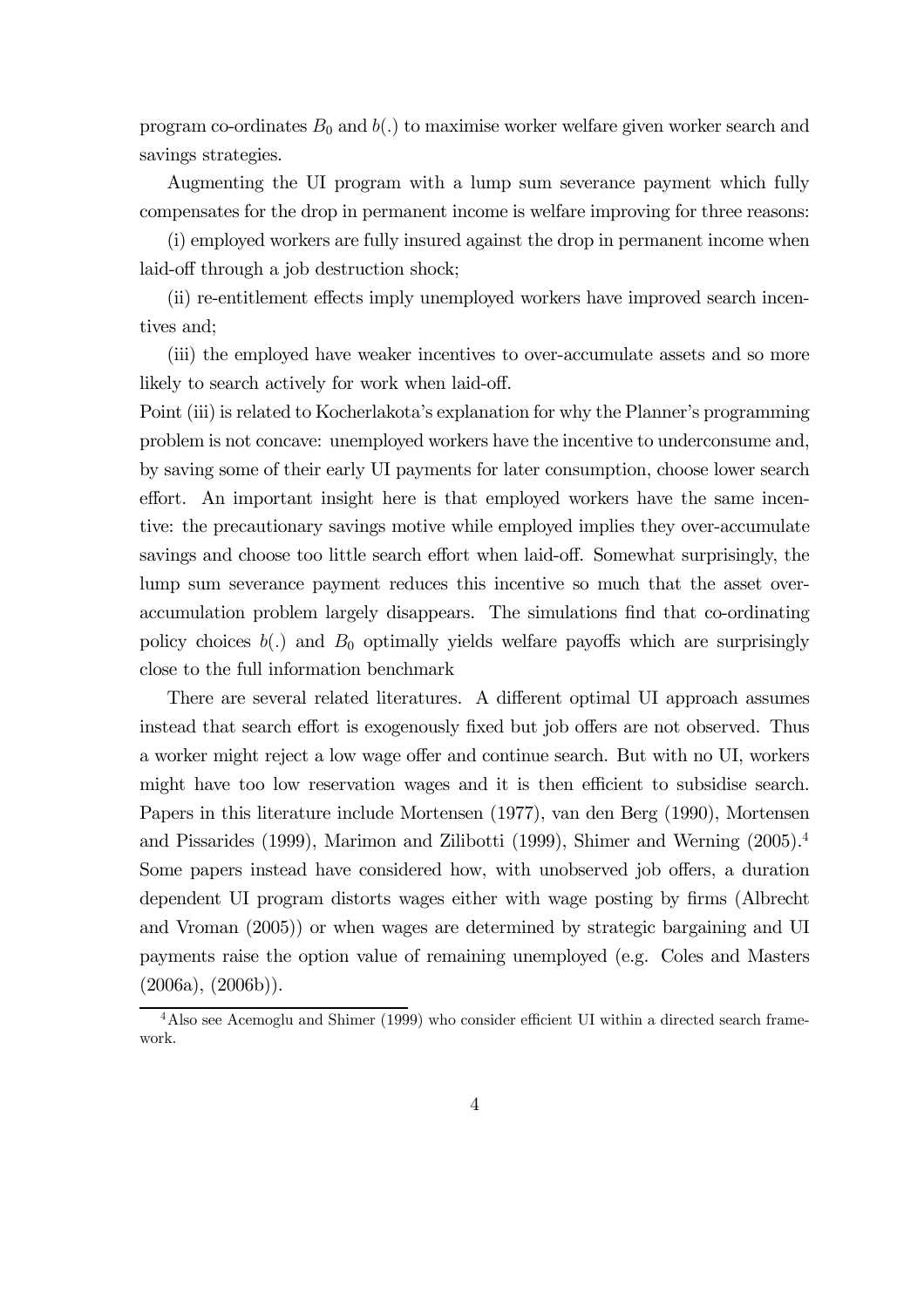program co-ordinates  $B_0$  and  $b(.)$  to maximise worker welfare given worker search and savings strategies.

Augmenting the UI program with a lump sum severance payment which fully compensates for the drop in permanent income is welfare improving for three reasons:

(i) employed workers are fully insured against the drop in permanent income when laid-off through a job destruction shock;

(ii) re-entitlement effects imply unemployed workers have improved search incentives and;

(iii) the employed have weaker incentives to over-accumulate assets and so more likely to search actively for work when laid-off.

Point (iii) is related to Kocherlakota's explanation for why the Planner's programming problem is not concave: unemployed workers have the incentive to underconsume and, by saving some of their early UI payments for later consumption, choose lower search effort. An important insight here is that employed workers have the same incentive: the precautionary savings motive while employed implies they over-accumulate savings and choose too little search effort when laid-off. Somewhat surprisingly, the lump sum severance payment reduces this incentive so much that the asset overaccumulation problem largely disappears. The simulations find that co-ordinating policy choices  $b(.)$  and  $B_0$  optimally yields welfare payoffs which are surprisingly close to the full information benchmark

There are several related literatures. A different optimal UI approach assumes instead that search effort is exogenously fixed but job offers are not observed. Thus a worker might reject a low wage offer and continue search. But with no UI, workers might have too low reservation wages and it is then efficient to subsidise search. Papers in this literature include Mortensen (1977), van den Berg (1990), Mortensen and Pissarides (1999), Marimon and Zilibotti (1999), Shimer and Werning (2005).4 Some papers instead have considered how, with unobserved job offers, a duration dependent UI program distorts wages either with wage posting by firms (Albrecht and Vroman (2005)) or when wages are determined by strategic bargaining and UI payments raise the option value of remaining unemployed (e.g. Coles and Masters  $(2006a)$ ,  $(2006b)$ ).

<sup>&</sup>lt;sup>4</sup> Also see Acemoglu and Shimer (1999) who consider efficient UI within a directed search framework.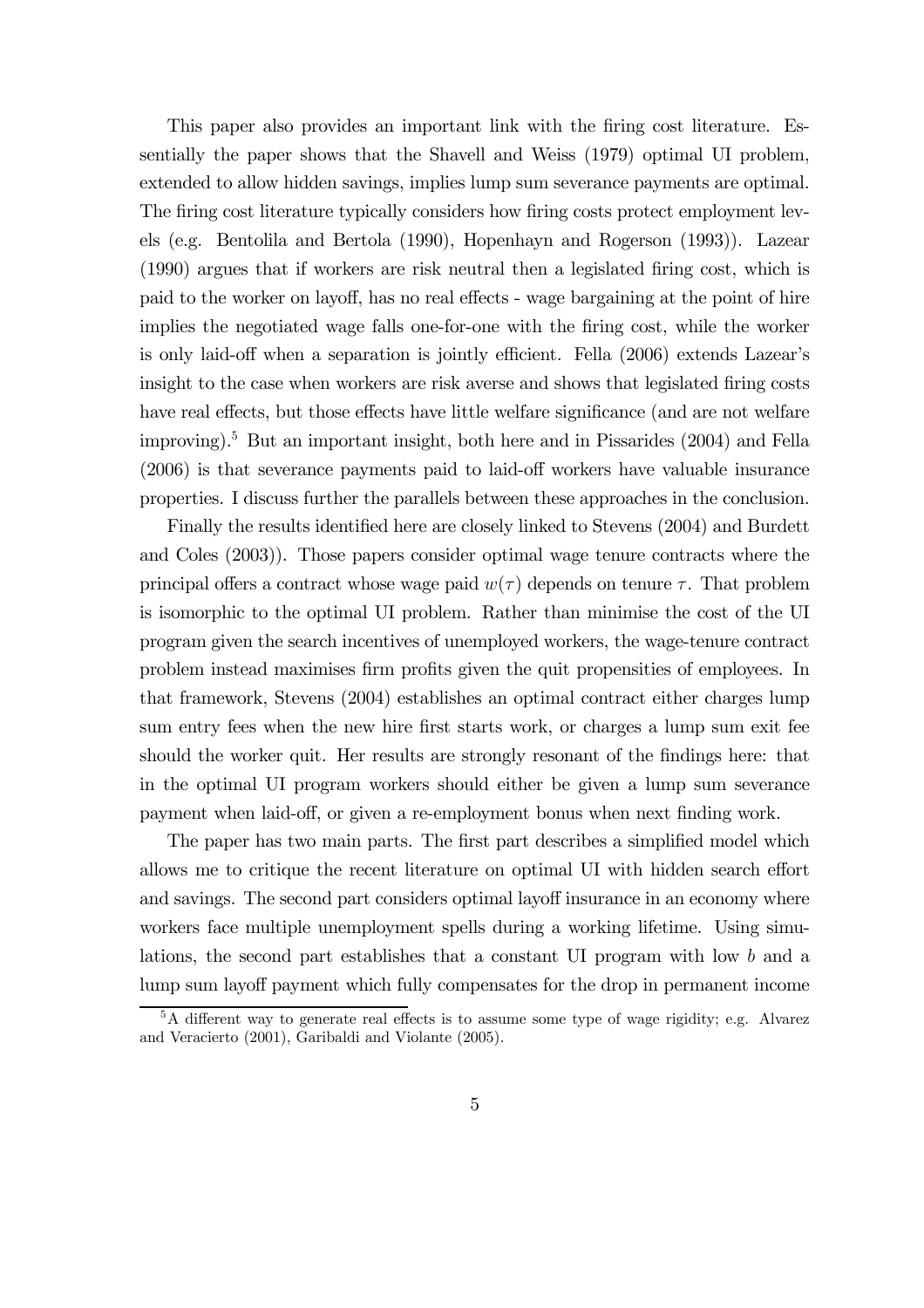This paper also provides an important link with the firing cost literature. Essentially the paper shows that the Shavell and Weiss (1979) optimal UI problem, extended to allow hidden savings, implies lump sum severance payments are optimal. The firing cost literature typically considers how firing costs protect employment levels (e.g. Bentolila and Bertola (1990), Hopenhayn and Rogerson (1993)). Lazear (1990) argues that if workers are risk neutral then a legislated firing cost, which is paid to the worker on layoff, has no real effects - wage bargaining at the point of hire implies the negotiated wage falls one-for-one with the firing cost, while the worker is only laid-off when a separation is jointly efficient. Fella (2006) extends Lazear's insight to the case when workers are risk averse and shows that legislated firing costs have real effects, but those effects have little welfare significance (and are not welfare improving).5 But an important insight, both here and in Pissarides (2004) and Fella (2006) is that severance payments paid to laid-off workers have valuable insurance properties. I discuss further the parallels between these approaches in the conclusion.

Finally the results identified here are closely linked to Stevens (2004) and Burdett and Coles (2003)). Those papers consider optimal wage tenure contracts where the principal offers a contract whose wage paid  $w(\tau)$  depends on tenure  $\tau$ . That problem is isomorphic to the optimal UI problem. Rather than minimise the cost of the UI program given the search incentives of unemployed workers, the wage-tenure contract problem instead maximises firm profits given the quit propensities of employees. In that framework, Stevens (2004) establishes an optimal contract either charges lump sum entry fees when the new hire first starts work, or charges a lump sum exit fee should the worker quit. Her results are strongly resonant of the findings here: that in the optimal UI program workers should either be given a lump sum severance payment when laid-off, or given a re-employment bonus when next finding work.

The paper has two main parts. The first part describes a simplified model which allows me to critique the recent literature on optimal UI with hidden search effort and savings. The second part considers optimal layoff insurance in an economy where workers face multiple unemployment spells during a working lifetime. Using simulations, the second part establishes that a constant UI program with low b and a lump sum layoff payment which fully compensates for the drop in permanent income

<sup>&</sup>lt;sup>5</sup>A different way to generate real effects is to assume some type of wage rigidity; e.g. Alvarez and Veracierto (2001), Garibaldi and Violante (2005).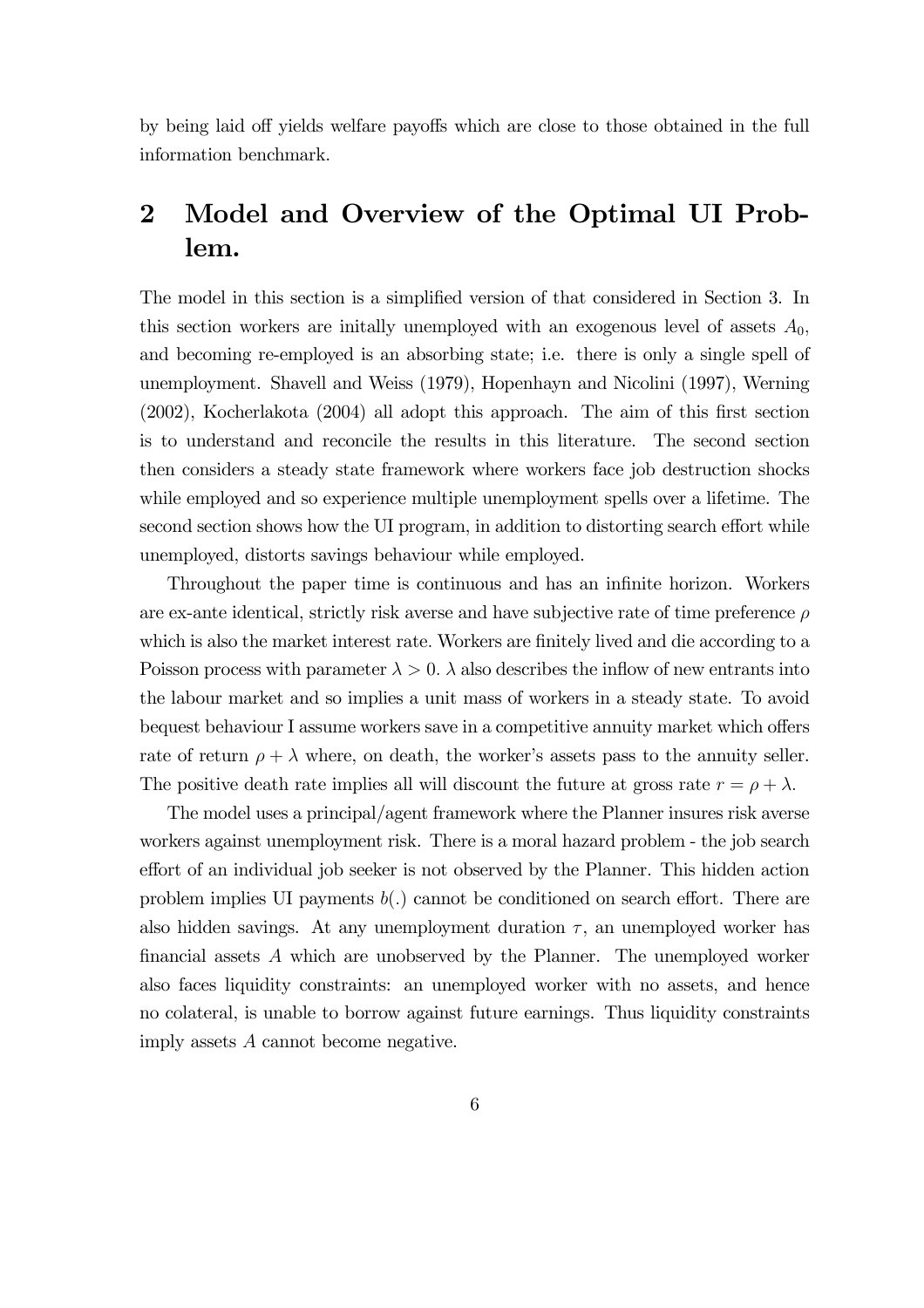by being laid off yields welfare payoffs which are close to those obtained in the full information benchmark.

# 2 Model and Overview of the Optimal UI Problem.

The model in this section is a simplified version of that considered in Section 3. In this section workers are initially unemployed with an exogenous level of assets  $A_0$ , and becoming re-employed is an absorbing state; i.e. there is only a single spell of unemployment. Shavell and Weiss (1979), Hopenhayn and Nicolini (1997), Werning (2002), Kocherlakota (2004) all adopt this approach. The aim of this first section is to understand and reconcile the results in this literature. The second section then considers a steady state framework where workers face job destruction shocks while employed and so experience multiple unemployment spells over a lifetime. The second section shows how the UI program, in addition to distorting search effort while unemployed, distorts savings behaviour while employed.

Throughout the paper time is continuous and has an infinite horizon. Workers are ex-ante identical, strictly risk averse and have subjective rate of time preference  $\rho$ which is also the market interest rate. Workers are finitely lived and die according to a Poisson process with parameter  $\lambda > 0$ .  $\lambda$  also describes the inflow of new entrants into the labour market and so implies a unit mass of workers in a steady state. To avoid bequest behaviour I assume workers save in a competitive annuity market which offers rate of return  $\rho + \lambda$  where, on death, the worker's assets pass to the annuity seller. The positive death rate implies all will discount the future at gross rate  $r = \rho + \lambda$ .

The model uses a principal/agent framework where the Planner insures risk averse workers against unemployment risk. There is a moral hazard problem - the job search effort of an individual job seeker is not observed by the Planner. This hidden action problem implies UI payments  $b(.)$  cannot be conditioned on search effort. There are also hidden savings. At any unemployment duration  $\tau$ , an unemployed worker has financial assets A which are unobserved by the Planner. The unemployed worker also faces liquidity constraints: an unemployed worker with no assets, and hence no colateral, is unable to borrow against future earnings. Thus liquidity constraints imply assets A cannot become negative.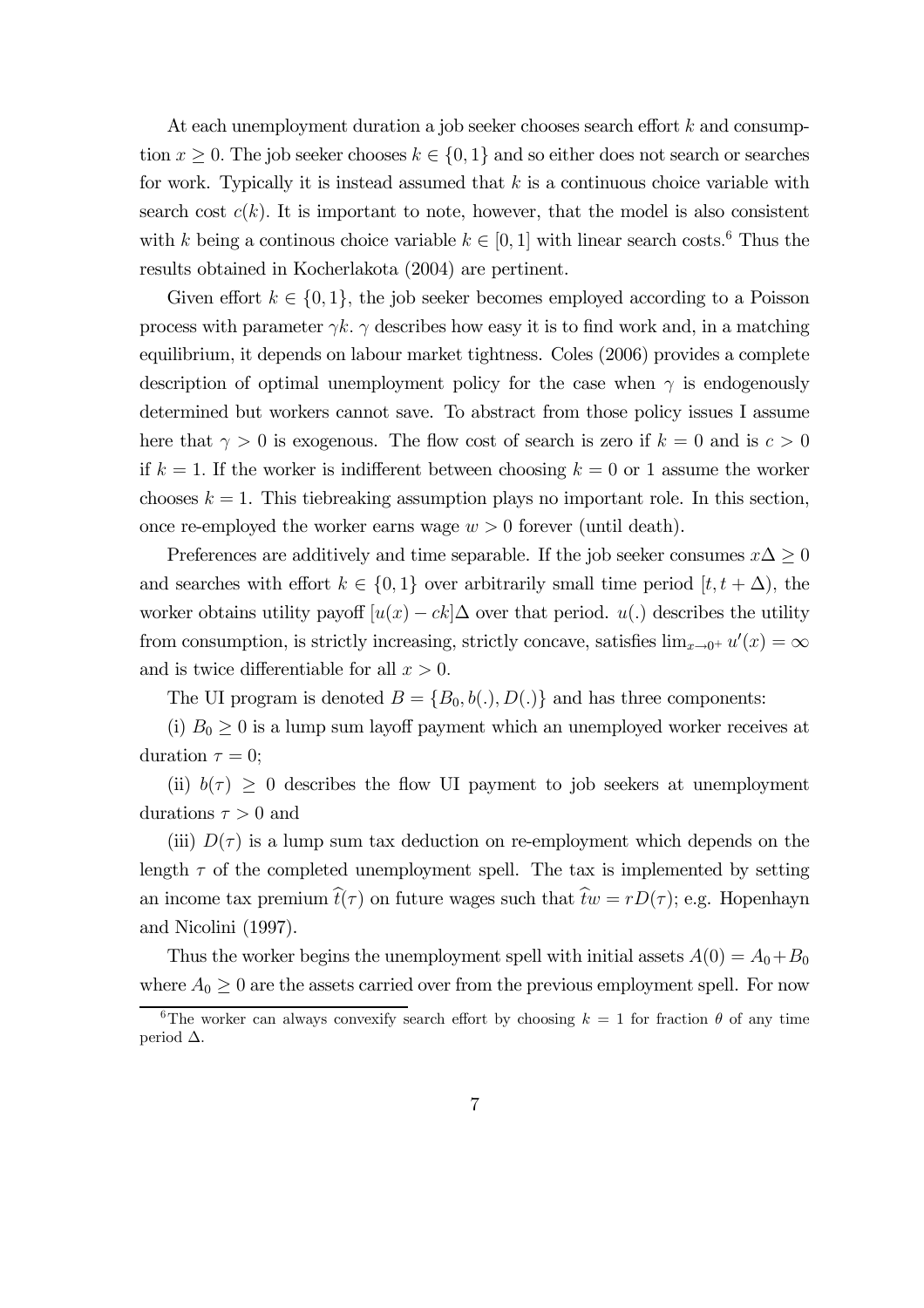At each unemployment duration a job seeker chooses search effort k and consumption  $x \geq 0$ . The job seeker chooses  $k \in \{0,1\}$  and so either does not search or searches for work. Typically it is instead assumed that  $k$  is a continuous choice variable with search cost  $c(k)$ . It is important to note, however, that the model is also consistent with k being a continous choice variable  $k \in [0, 1]$  with linear search costs.<sup>6</sup> Thus the results obtained in Kocherlakota (2004) are pertinent.

Given effort  $k \in \{0,1\}$ , the job seeker becomes employed according to a Poisson process with parameter  $\gamma k$ .  $\gamma$  describes how easy it is to find work and, in a matching equilibrium, it depends on labour market tightness. Coles (2006) provides a complete description of optimal unemployment policy for the case when  $\gamma$  is endogenously determined but workers cannot save. To abstract from those policy issues I assume here that  $\gamma > 0$  is exogenous. The flow cost of search is zero if  $k = 0$  and is  $c > 0$ if  $k = 1$ . If the worker is indifferent between choosing  $k = 0$  or 1 assume the worker chooses  $k = 1$ . This tiebreaking assumption plays no important role. In this section, once re-employed the worker earns wage  $w > 0$  forever (until death).

Preferences are additively and time separable. If the job seeker consumes  $x\Delta \geq 0$ and searches with effort  $k \in \{0,1\}$  over arbitrarily small time period  $[t, t + \Delta)$ , the worker obtains utility payoff  $[u(x) - ck] \Delta$  over that period.  $u(.)$  describes the utility from consumption, is strictly increasing, strictly concave, satisfies  $\lim_{x\to 0^+} u'(x) = \infty$ and is twice differentiable for all  $x > 0$ .

The UI program is denoted  $B = \{B_0, b(.) , D(.)\}$  and has three components:

(i)  $B_0 \geq 0$  is a lump sum layoff payment which an unemployed worker receives at duration  $\tau = 0$ ;

(ii)  $b(\tau) \geq 0$  describes the flow UI payment to job seekers at unemployment durations  $\tau > 0$  and

(iii)  $D(\tau)$  is a lump sum tax deduction on re-employment which depends on the length  $\tau$  of the completed unemployment spell. The tax is implemented by setting an income tax premium  $\hat{t}(\tau)$  on future wages such that  $\hat{t}w = rD(\tau)$ ; e.g. Hopenhayn and Nicolini (1997).

Thus the worker begins the unemployment spell with initial assets  $A(0) = A_0 + B_0$ where  $A_0 \geq 0$  are the assets carried over from the previous employment spell. For now

<sup>&</sup>lt;sup>6</sup>The worker can always convexify search effort by choosing  $k = 1$  for fraction  $\theta$  of any time period ∆.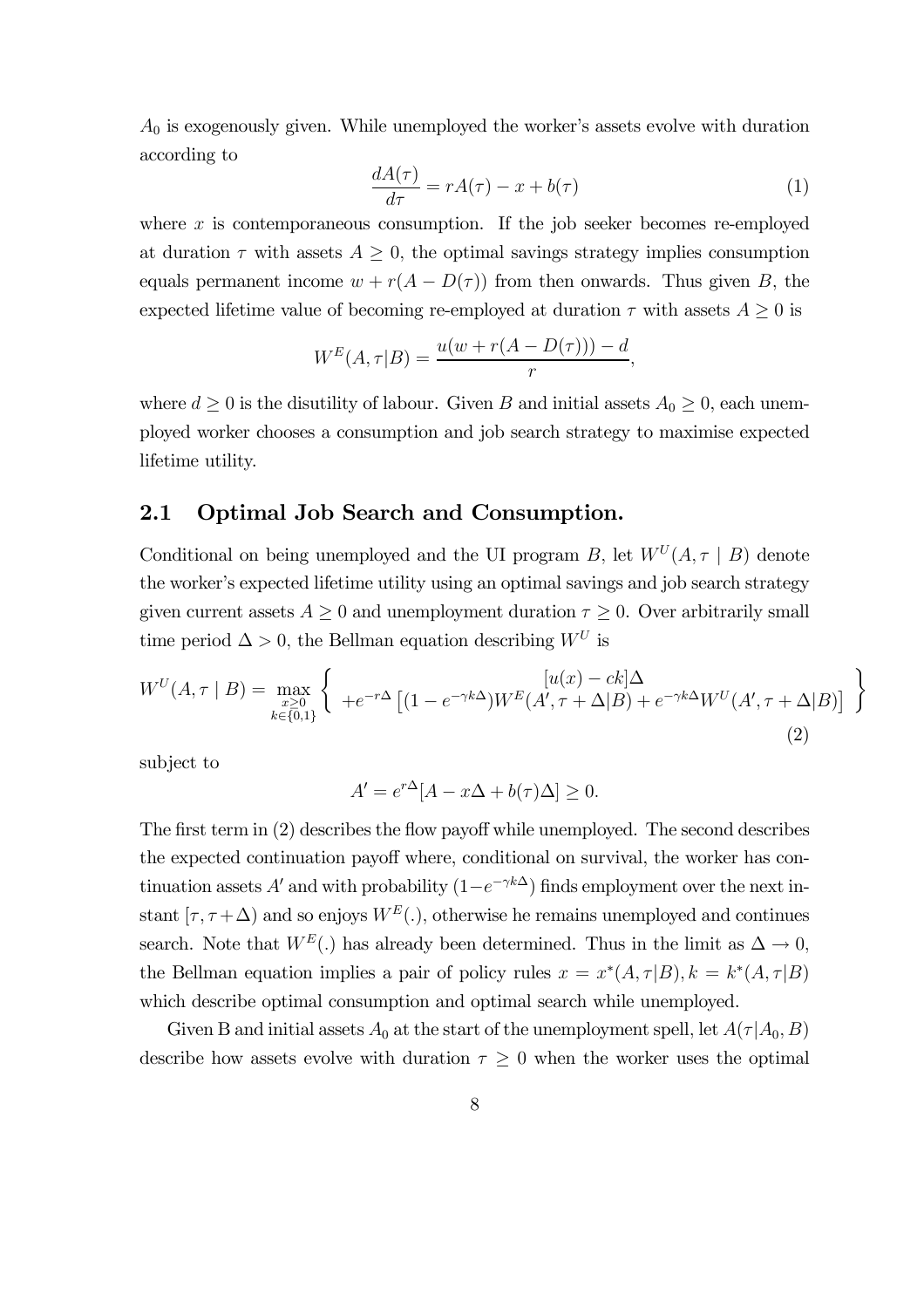$A_0$  is exogenously given. While unemployed the worker's assets evolve with duration according to

$$
\frac{dA(\tau)}{d\tau} = rA(\tau) - x + b(\tau) \tag{1}
$$

where  $x$  is contemporaneous consumption. If the job seeker becomes re-employed at duration  $\tau$  with assets  $A \geq 0$ , the optimal savings strategy implies consumption equals permanent income  $w + r(A - D(\tau))$  from then onwards. Thus given B, the expected lifetime value of becoming re-employed at duration  $\tau$  with assets  $A \geq 0$  is

$$
W^{E}(A, \tau|B) = \frac{u(w + r(A - D(\tau))) - d}{r},
$$

where  $d \geq 0$  is the disutility of labour. Given B and initial assets  $A_0 \geq 0$ , each unemployed worker chooses a consumption and job search strategy to maximise expected lifetime utility.

### 2.1 Optimal Job Search and Consumption.

Conditional on being unemployed and the UI program B, let  $W<sup>U</sup>(A, \tau | B)$  denote the worker's expected lifetime utility using an optimal savings and job search strategy given current assets  $A \geq 0$  and unemployment duration  $\tau \geq 0$ . Over arbitrarily small time period  $\Delta > 0$ , the Bellman equation describing  $W^U$  is

$$
W^{U}(A,\tau \mid B) = \max_{\substack{x \geq 0 \\ k \in \{0,1\}}} \left\{ +e^{-r\Delta} \left[ (1 - e^{-\gamma k\Delta}) W^{E}(A',\tau + \Delta|B) + e^{-\gamma k\Delta} W^{U}(A',\tau + \Delta|B) \right] \right\}
$$
\n(2)

subject to

$$
A' = e^{r\Delta} [A - x\Delta + b(\tau)\Delta] \ge 0.
$$

The first term in (2) describes the flow payoff while unemployed. The second describes the expected continuation payoff where, conditional on survival, the worker has continuation assets A' and with probability  $(1-e^{-\gamma k\Delta})$  finds employment over the next instant  $[\tau, \tau + \Delta]$  and so enjoys  $W^E(.)$ , otherwise he remains unemployed and continues search. Note that  $W^E(.)$  has already been determined. Thus in the limit as  $\Delta \rightarrow 0$ , the Bellman equation implies a pair of policy rules  $x = x^*(A, \tau|B)$ ,  $k = k^*(A, \tau|B)$ which describe optimal consumption and optimal search while unemployed.

Given B and initial assets  $A_0$  at the start of the unemployment spell, let  $A(\tau | A_0, B)$ describe how assets evolve with duration  $\tau \geq 0$  when the worker uses the optimal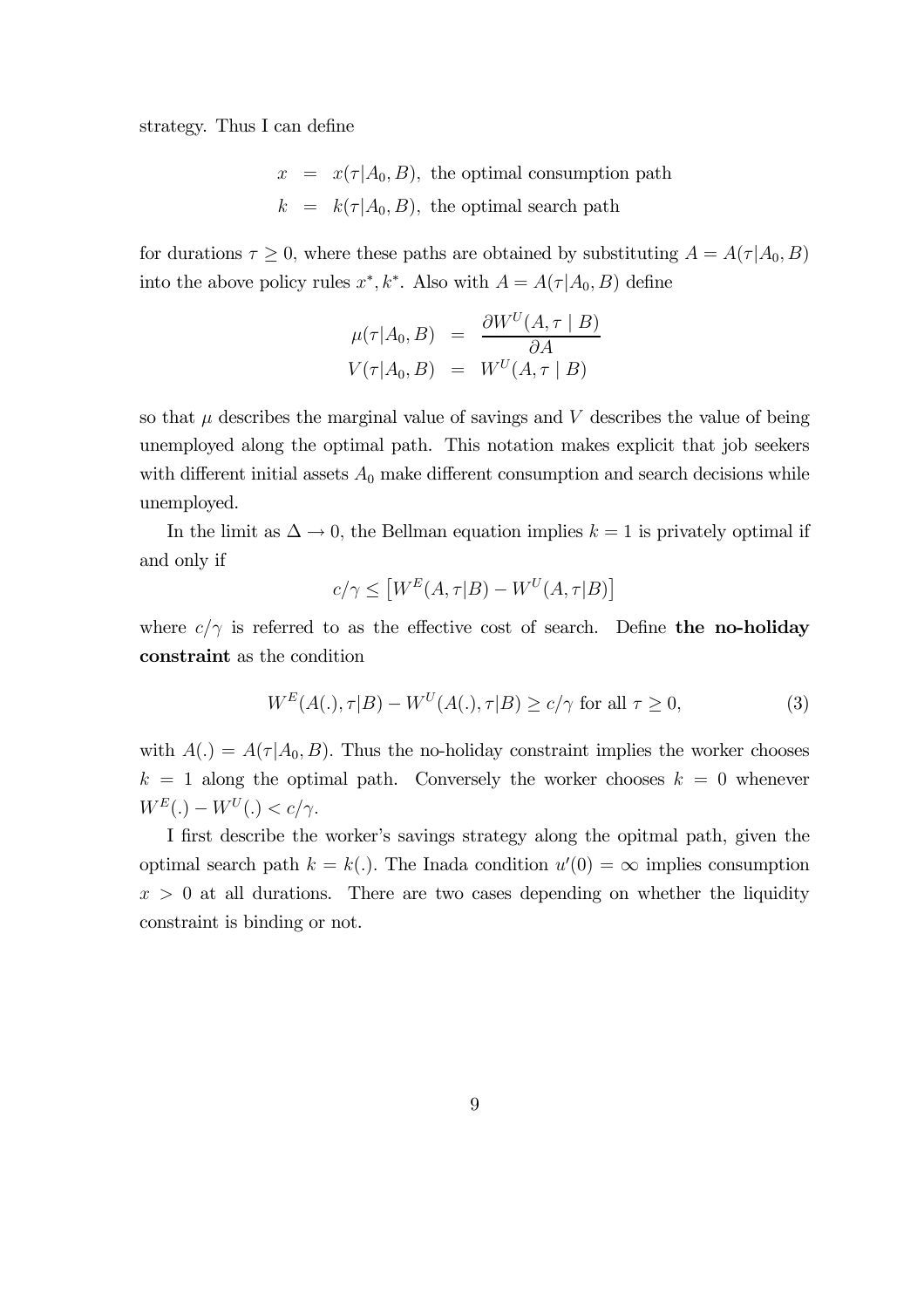strategy. Thus I can define

$$
x = x(\tau | A_0, B)
$$
, the optimal consumption path  
\n $k = k(\tau | A_0, B)$ , the optimal search path

for durations  $\tau \geq 0$ , where these paths are obtained by substituting  $A = A(\tau | A_0, B)$ into the above policy rules  $x^*, k^*$ . Also with  $A = A(\tau | A_0, B)$  define

$$
\mu(\tau|A_0, B) = \frac{\partial W^U(A, \tau | B)}{\partial A}
$$
  

$$
V(\tau|A_0, B) = W^U(A, \tau | B)
$$

so that  $\mu$  describes the marginal value of savings and  $V$  describes the value of being unemployed along the optimal path. This notation makes explicit that job seekers with different initial assets  $A_0$  make different consumption and search decisions while unemployed.

In the limit as  $\Delta \to 0$ , the Bellman equation implies  $k = 1$  is privately optimal if and only if

$$
c/\gamma \le \left[W^E(A,\tau|B) - W^U(A,\tau|B)\right]
$$

where  $c/\gamma$  is referred to as the effective cost of search. Define the no-holiday constraint as the condition

$$
W^{E}(A(.), \tau|B) - W^{U}(A(.), \tau|B) \ge c/\gamma \text{ for all } \tau \ge 0,
$$
\n(3)

with  $A(.) = A(\tau | A_0, B)$ . Thus the no-holiday constraint implies the worker chooses  $k = 1$  along the optimal path. Conversely the worker chooses  $k = 0$  whenever  $W^E(.) - W^U(.) < c/\gamma$ .

I first describe the worker's savings strategy along the opitmal path, given the optimal search path  $k = k(.)$ . The Inada condition  $u'(0) = \infty$  implies consumption  $x > 0$  at all durations. There are two cases depending on whether the liquidity constraint is binding or not.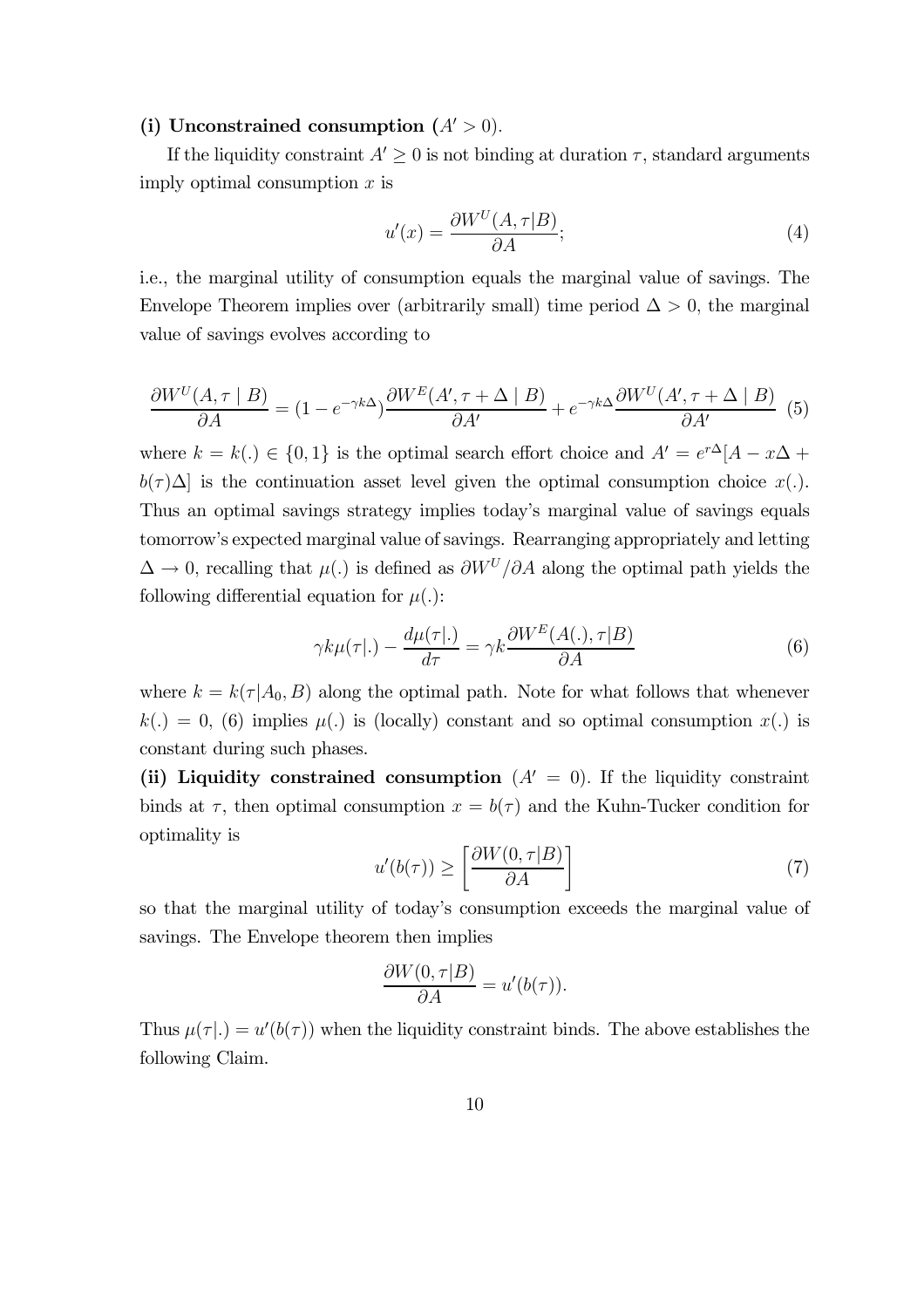#### (i) Unconstrained consumption  $(A' > 0)$ .

If the liquidity constraint  $A' \geq 0$  is not binding at duration  $\tau$ , standard arguments imply optimal consumption  $x$  is

$$
u'(x) = \frac{\partial W^U(A, \tau|B)}{\partial A};\tag{4}
$$

i.e., the marginal utility of consumption equals the marginal value of savings. The Envelope Theorem implies over (arbitrarily small) time period  $\Delta > 0$ , the marginal value of savings evolves according to

$$
\frac{\partial W^{U}(A,\tau \mid B)}{\partial A} = (1 - e^{-\gamma k \Delta}) \frac{\partial W^{E}(A',\tau + \Delta \mid B)}{\partial A'} + e^{-\gamma k \Delta} \frac{\partial W^{U}(A',\tau + \Delta \mid B)}{\partial A'} \tag{5}
$$

where  $k = k(.) \in \{0,1\}$  is the optimal search effort choice and  $A' = e^{r\Delta}[A - x\Delta +$  $b(\tau)\Delta$  is the continuation asset level given the optimal consumption choice x(.). Thus an optimal savings strategy implies today's marginal value of savings equals tomorrow's expected marginal value of savings. Rearranging appropriately and letting  $\Delta \to 0$ , recalling that  $\mu(.)$  is defined as  $\partial W^U/\partial A$  along the optimal path yields the following differential equation for  $\mu(.)$ :

$$
\gamma k \mu(\tau |.) - \frac{d\mu(\tau |.)}{d\tau} = \gamma k \frac{\partial W^E(A(.), \tau | B)}{\partial A}
$$
(6)

where  $k = k(\tau | A_0, B)$  along the optimal path. Note for what follows that whenever  $k(.) = 0, (6)$  implies  $\mu(.)$  is (locally) constant and so optimal consumption  $x(.)$  is constant during such phases.

(ii) Liquidity constrained consumption  $(A' = 0)$ . If the liquidity constraint binds at  $\tau$ , then optimal consumption  $x = b(\tau)$  and the Kuhn-Tucker condition for optimality is

$$
u'(b(\tau)) \ge \left[\frac{\partial W(0, \tau|B)}{\partial A}\right]
$$
 (7)

so that the marginal utility of today's consumption exceeds the marginal value of savings. The Envelope theorem then implies

$$
\frac{\partial W(0,\tau|B)}{\partial A} = u'(b(\tau)).
$$

Thus  $\mu(\tau|.) = u'(b(\tau))$  when the liquidity constraint binds. The above establishes the following Claim.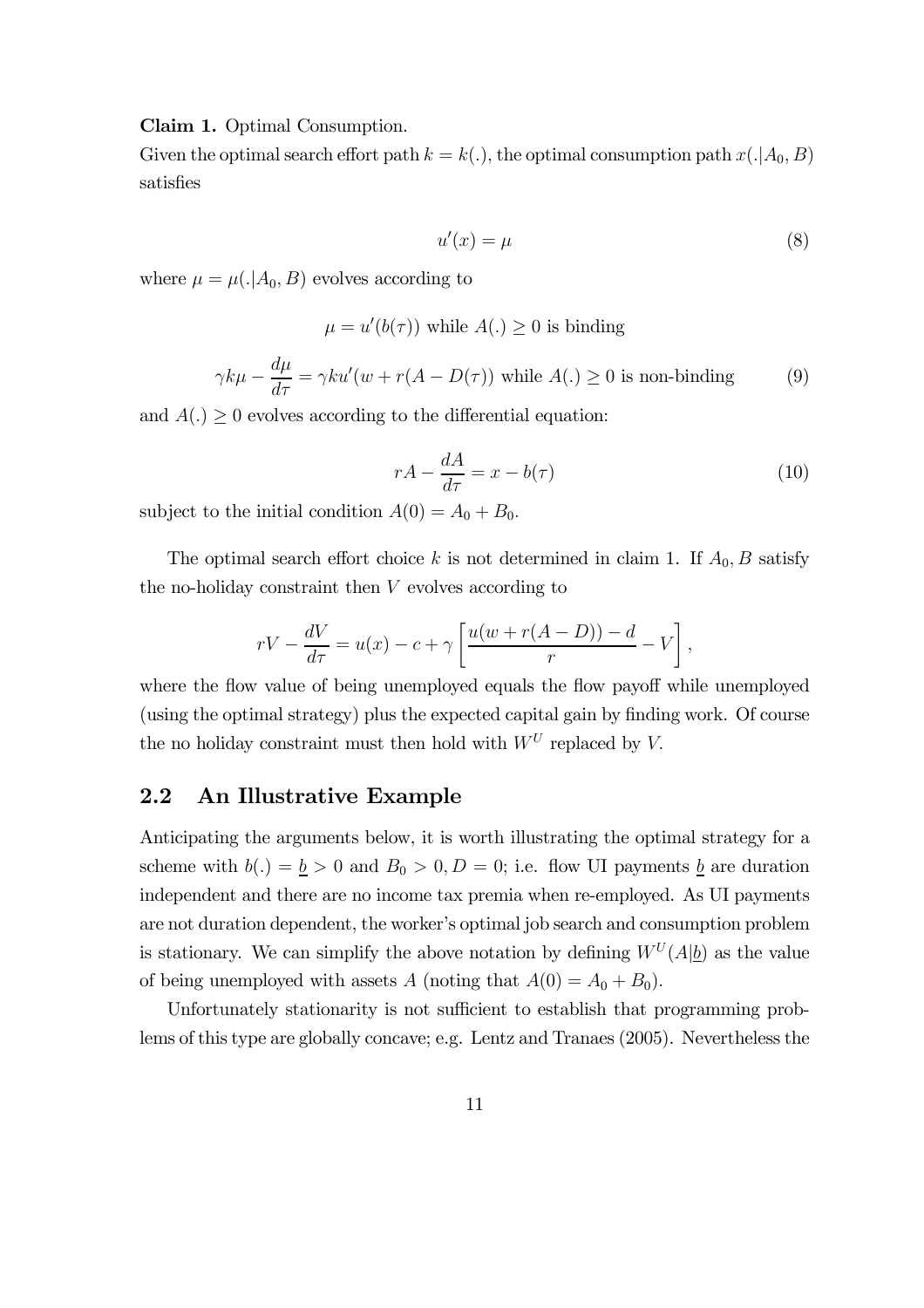#### Claim 1. Optimal Consumption.

Given the optimal search effort path  $k = k(.)$ , the optimal consumption path  $x(.|A_0, B)$ satisfies

$$
u'(x) = \mu \tag{8}
$$

where  $\mu = \mu(.|A_0, B)$  evolves according to

$$
\mu = u'(b(\tau)) \text{ while } A(.) \ge 0 \text{ is binding}
$$

$$
\gamma k\mu - \frac{d\mu}{d\tau} = \gamma k u'(w + r(A - D(\tau)) \text{ while } A(.) \ge 0 \text{ is non-binding}
$$
(9)

and  $A(.) \geq 0$  evolves according to the differential equation:

$$
rA - \frac{dA}{d\tau} = x - b(\tau) \tag{10}
$$

subject to the initial condition  $A(0) = A_0 + B_0$ .

The optimal search effort choice k is not determined in claim 1. If  $A_0$ , B satisfy the no-holiday constraint then V evolves according to

$$
rV - \frac{dV}{d\tau} = u(x) - c + \gamma \left[ \frac{u(w + r(A - D)) - d}{r} - V \right],
$$

where the flow value of being unemployed equals the flow payoff while unemployed (using the optimal strategy) plus the expected capital gain by finding work. Of course the no holiday constraint must then hold with  $W^U$  replaced by V.

## 2.2 An Illustrative Example

Anticipating the arguments below, it is worth illustrating the optimal strategy for a scheme with  $b(.) = \underline{b} > 0$  and  $B_0 > 0, D = 0$ ; i.e. flow UI payments  $\underline{b}$  are duration independent and there are no income tax premia when re-employed. As UI payments are not duration dependent, the worker's optimal job search and consumption problem is stationary. We can simplify the above notation by defining  $W^U(A|\underline{b})$  as the value of being unemployed with assets A (noting that  $A(0) = A_0 + B_0$ ).

Unfortunately stationarity is not sufficient to establish that programming problems of this type are globally concave; e.g. Lentz and Tranaes (2005). Nevertheless the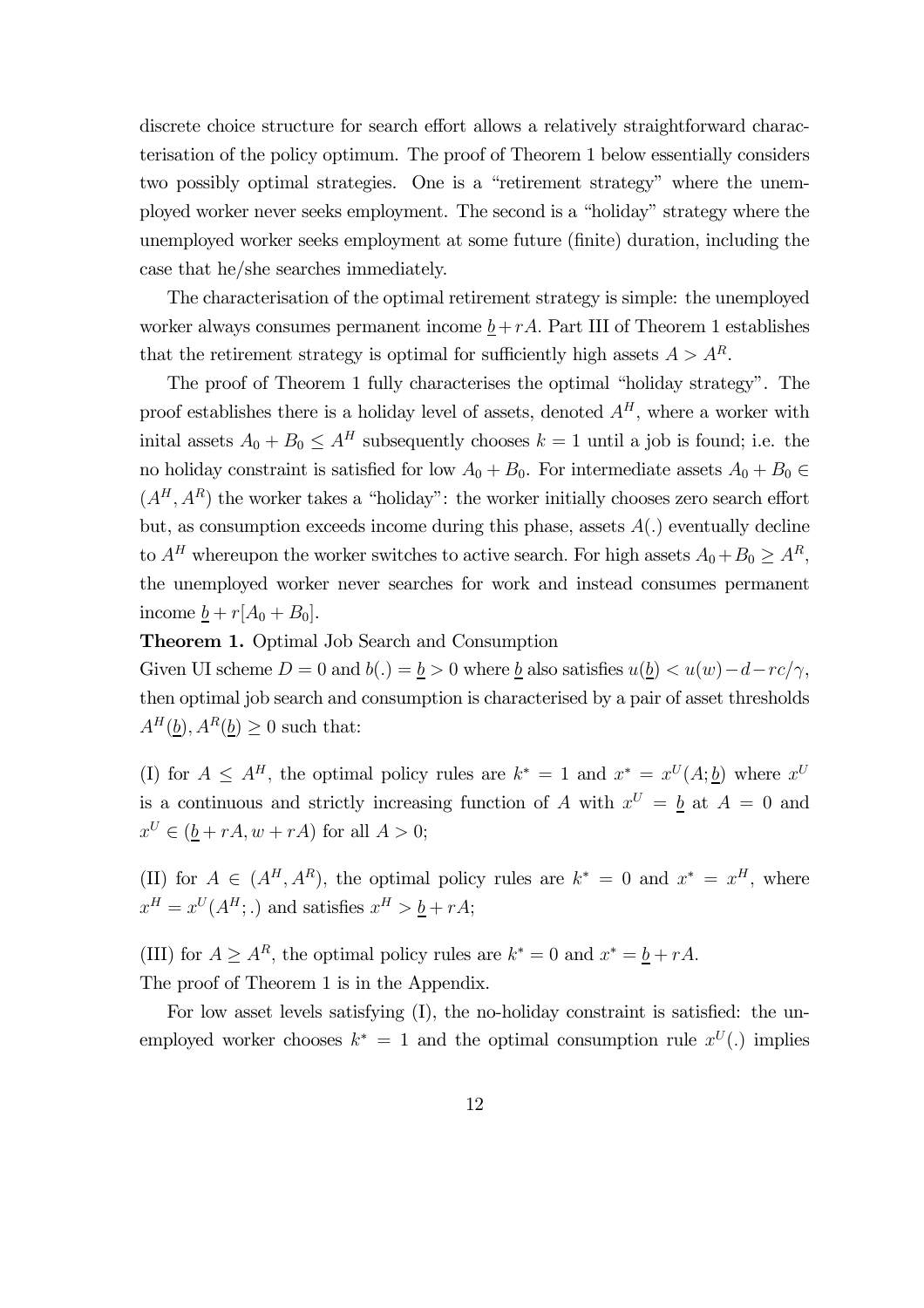discrete choice structure for search effort allows a relatively straightforward characterisation of the policy optimum. The proof of Theorem 1 below essentially considers two possibly optimal strategies. One is a "retirement strategy" where the unemployed worker never seeks employment. The second is a "holiday" strategy where the unemployed worker seeks employment at some future (finite) duration, including the case that he/she searches immediately.

The characterisation of the optimal retirement strategy is simple: the unemployed worker always consumes permanent income  $\underline{b}+rA$ . Part III of Theorem 1 establishes that the retirement strategy is optimal for sufficiently high assets  $A > A<sup>R</sup>$ .

The proof of Theorem 1 fully characterises the optimal "holiday strategy". The proof establishes there is a holiday level of assets, denoted  $A<sup>H</sup>$ , where a worker with inital assets  $A_0 + B_0 \leq A^H$  subsequently chooses  $k = 1$  until a job is found; i.e. the no holiday constraint is satisfied for low  $A_0 + B_0$ . For intermediate assets  $A_0 + B_0 \in$  $(A<sup>H</sup>, A<sup>R</sup>)$  the worker takes a "holiday": the worker initially chooses zero search effort but, as consumption exceeds income during this phase, assets  $A(.)$  eventually decline to  $A^H$  whereupon the worker switches to active search. For high assets  $A_0 + B_0 \ge A^R$ , the unemployed worker never searches for work and instead consumes permanent income  $\underline{b} + r[A_0 + B_0].$ 

Theorem 1. Optimal Job Search and Consumption

Given UI scheme  $D = 0$  and  $b(.) = b > 0$  where b also satisfies  $u(b) < u(w) - d - rc/\gamma$ , then optimal job search and consumption is characterised by a pair of asset thresholds  $A^H(\underline{b}), A^R(\underline{b}) \geq 0$  such that:

(I) for  $A \leq A^H$ , the optimal policy rules are  $k^* = 1$  and  $x^* = x^U(A; b)$  where  $x^U$ is a continuous and strictly increasing function of A with  $x^U = b$  at  $A = 0$  and  $x^U \in (\underline{b} + rA, w + rA)$  for all  $A > 0$ ;

(II) for  $A \in (A^H, A^R)$ , the optimal policy rules are  $k^* = 0$  and  $x^* = x^H$ , where  $x^H = x^U(A^H;.)$  and satisfies  $x^H > \underline{b} + rA;$ 

(III) for  $A \geq A^R$ , the optimal policy rules are  $k^* = 0$  and  $x^* = \underline{b} + rA$ . The proof of Theorem 1 is in the Appendix.

For low asset levels satisfying (I), the no-holiday constraint is satisfied: the unemployed worker chooses  $k^* = 1$  and the optimal consumption rule  $x^U(.)$  implies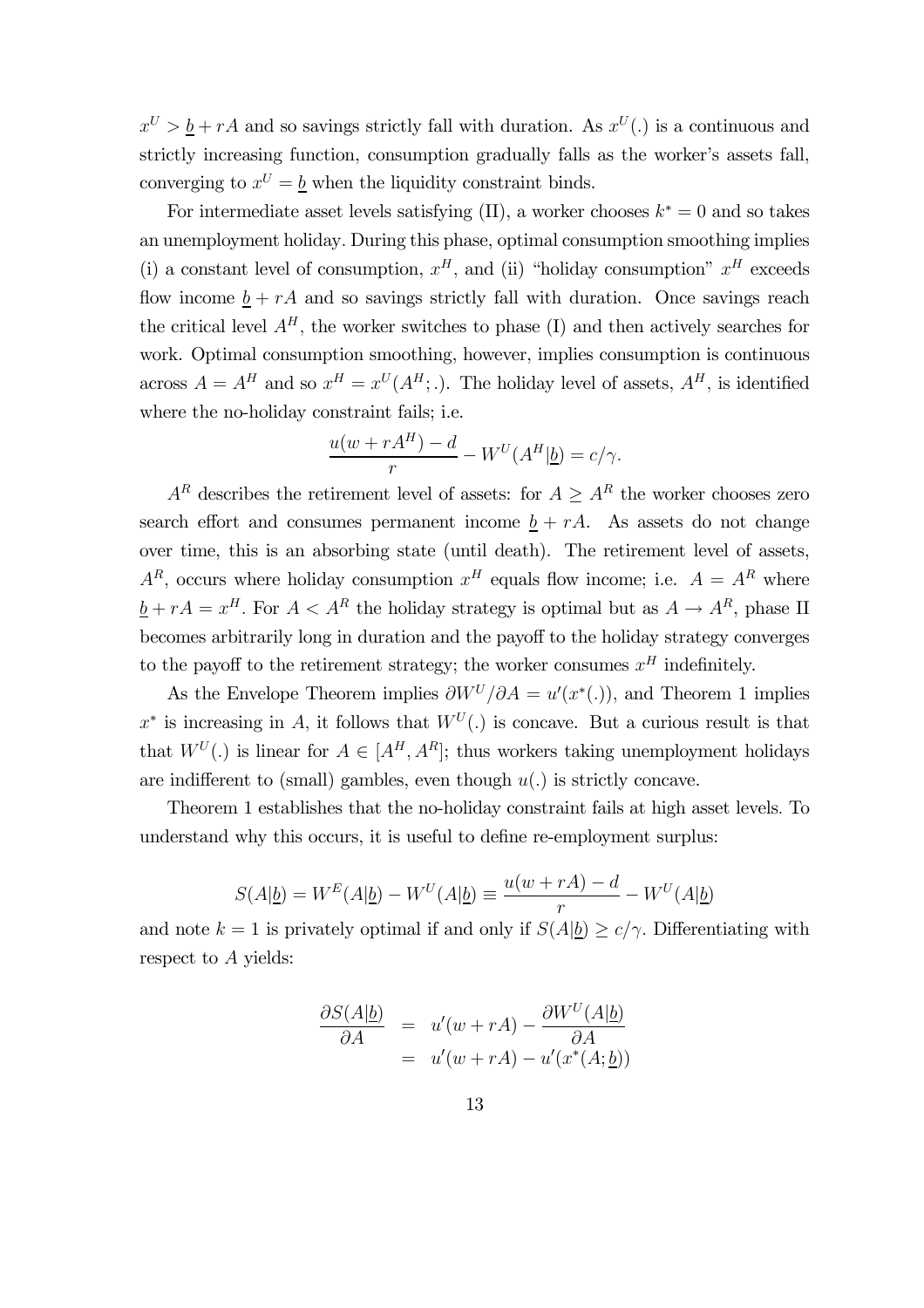$x^U > b + rA$  and so savings strictly fall with duration. As  $x^U(.)$  is a continuous and strictly increasing function, consumption gradually falls as the worker's assets fall, converging to  $x^U = \underline{b}$  when the liquidity constraint binds.

For intermediate asset levels satisfying (II), a worker chooses  $k^* = 0$  and so takes an unemployment holiday. During this phase, optimal consumption smoothing implies (i) a constant level of consumption,  $x^H$ , and (ii) "holiday consumption"  $x^H$  exceeds flow income  $\underline{b} + rA$  and so savings strictly fall with duration. Once savings reach the critical level  $A<sup>H</sup>$ , the worker switches to phase (I) and then actively searches for work. Optimal consumption smoothing, however, implies consumption is continuous across  $A = A^H$  and so  $x^H = x^U(A^H;.)$ . The holiday level of assets,  $A^H$ , is identified where the no-holiday constraint fails; i.e.

$$
\frac{u(w + rA^H) - d}{r} - W^U(A^H | \underline{b}) = c/\gamma.
$$

 $A<sup>R</sup>$  describes the retirement level of assets: for  $A \geq A<sup>R</sup>$  the worker chooses zero search effort and consumes permanent income  $\underline{b} + rA$ . As assets do not change over time, this is an absorbing state (until death). The retirement level of assets,  $A^R$ , occurs where holiday consumption  $x^H$  equals flow income; i.e.  $A = A^R$  where  $\underline{b} + rA = x^H$ . For  $A < A^R$  the holiday strategy is optimal but as  $A \rightarrow A^R$ , phase II becomes arbitrarily long in duration and the payoff to the holiday strategy converges to the payoff to the retirement strategy; the worker consumes  $x^H$  indefinitely.

As the Envelope Theorem implies  $\partial W^U/\partial A = u'(x^*(.)$ , and Theorem 1 implies  $x^*$  is increasing in A, it follows that  $W^U(.)$  is concave. But a curious result is that that  $W^U(.)$  is linear for  $A \in [A^H, A^R]$ ; thus workers taking unemployment holidays are indifferent to (small) gambles, even though  $u(.)$  is strictly concave.

Theorem 1 establishes that the no-holiday constraint fails at high asset levels. To understand why this occurs, it is useful to define re-employment surplus:

$$
S(A|\underline{b}) = W^E(A|\underline{b}) - W^U(A|\underline{b}) \equiv \frac{u(w + rA) - d}{r} - W^U(A|\underline{b})
$$

and note  $k = 1$  is privately optimal if and only if  $S(A|\underline{b}) \ge c/\gamma$ . Differentiating with respect to A yields:

$$
\frac{\partial S(A|\underline{b})}{\partial A} = u'(w + rA) - \frac{\partial W^{U}(A|\underline{b})}{\partial A}
$$

$$
= u'(w + rA) - u'(x^*(A;\underline{b}))
$$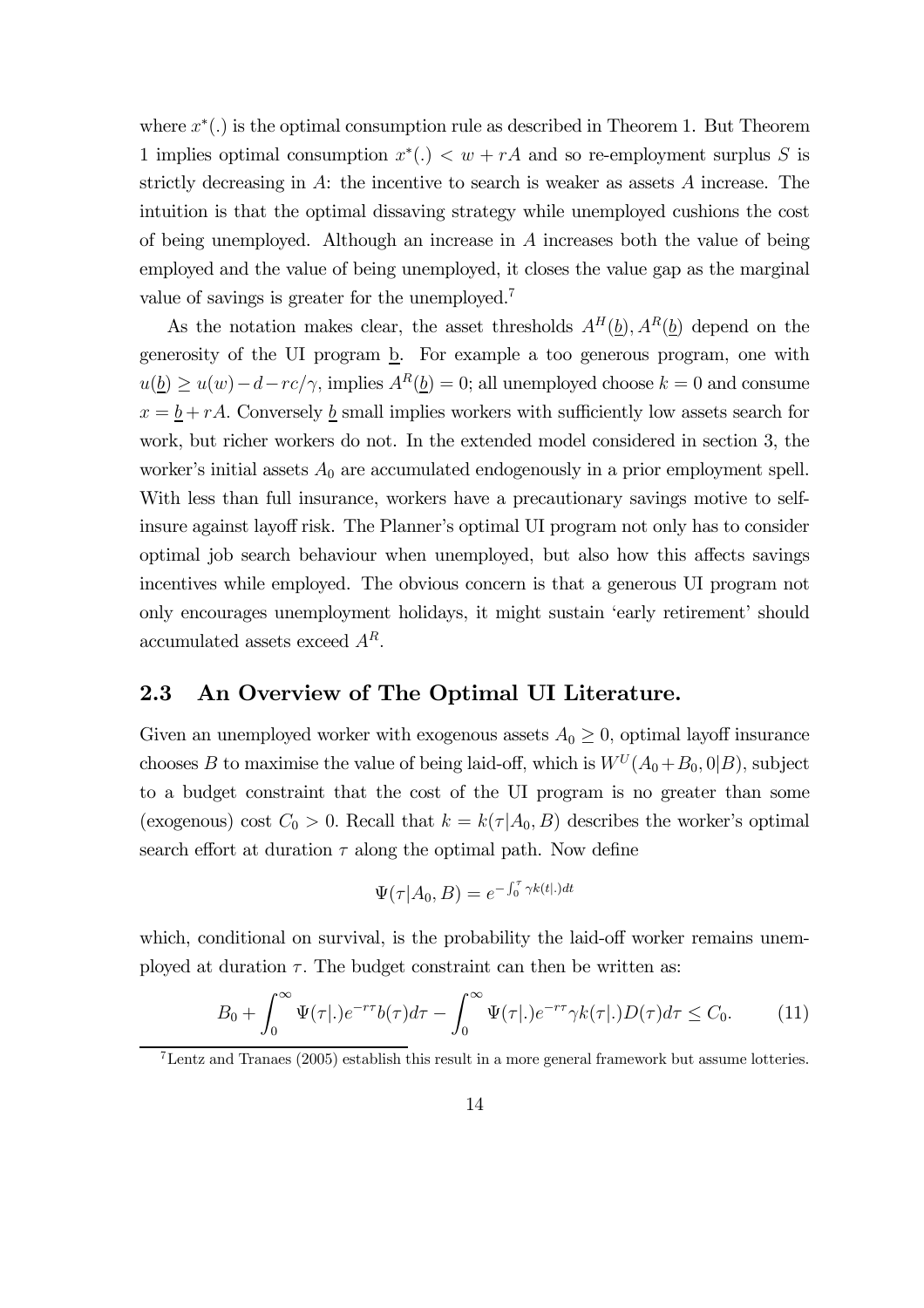where  $x^*(.)$  is the optimal consumption rule as described in Theorem 1. But Theorem 1 implies optimal consumption  $x^*$ .)  $\lt w + rA$  and so re-employment surplus S is strictly decreasing in  $A$ : the incentive to search is weaker as assets  $A$  increase. The intuition is that the optimal dissaving strategy while unemployed cushions the cost of being unemployed. Although an increase in A increases both the value of being employed and the value of being unemployed, it closes the value gap as the marginal value of savings is greater for the unemployed.7

As the notation makes clear, the asset thresholds  $A^H(\underline{b})$ ,  $A^R(\underline{b})$  depend on the generosity of the UI program  $\underline{b}$ . For example a too generous program, one with  $u(\underline{b}) \geq u(w) - d - rc/\gamma$ , implies  $A^R(\underline{b}) = 0$ ; all unemployed choose  $k = 0$  and consume  $x = b + rA$ . Conversely b small implies workers with sufficiently low assets search for work, but richer workers do not. In the extended model considered in section 3, the worker's initial assets  $A_0$  are accumulated endogenously in a prior employment spell. With less than full insurance, workers have a precautionary savings motive to selfinsure against layoff risk. The Planner's optimal UI program not only has to consider optimal job search behaviour when unemployed, but also how this affects savings incentives while employed. The obvious concern is that a generous UI program not only encourages unemployment holidays, it might sustain 'early retirement' should accumulated assets exceed  $A<sup>R</sup>$ .

## 2.3 An Overview of The Optimal UI Literature.

Given an unemployed worker with exogenous assets  $A_0 \geq 0$ , optimal layoff insurance chooses B to maximise the value of being laid-off, which is  $W^U(A_0+B_0, 0|B)$ , subject to a budget constraint that the cost of the UI program is no greater than some (exogenous) cost  $C_0 > 0$ . Recall that  $k = k(\tau | A_0, B)$  describes the worker's optimal search effort at duration  $\tau$  along the optimal path. Now define

$$
\Psi(\tau|A_0, B) = e^{-\int_0^{\tau} \gamma k(t|.)dt}
$$

which, conditional on survival, is the probability the laid-off worker remains unemployed at duration  $\tau$ . The budget constraint can then be written as:

$$
B_0 + \int_0^\infty \Psi(\tau | \cdot) e^{-r\tau} b(\tau) d\tau - \int_0^\infty \Psi(\tau | \cdot) e^{-r\tau} \gamma k(\tau | \cdot) D(\tau) d\tau \le C_0. \tag{11}
$$

<sup>7</sup>Lentz and Tranaes (2005) establish this result in a more general framework but assume lotteries.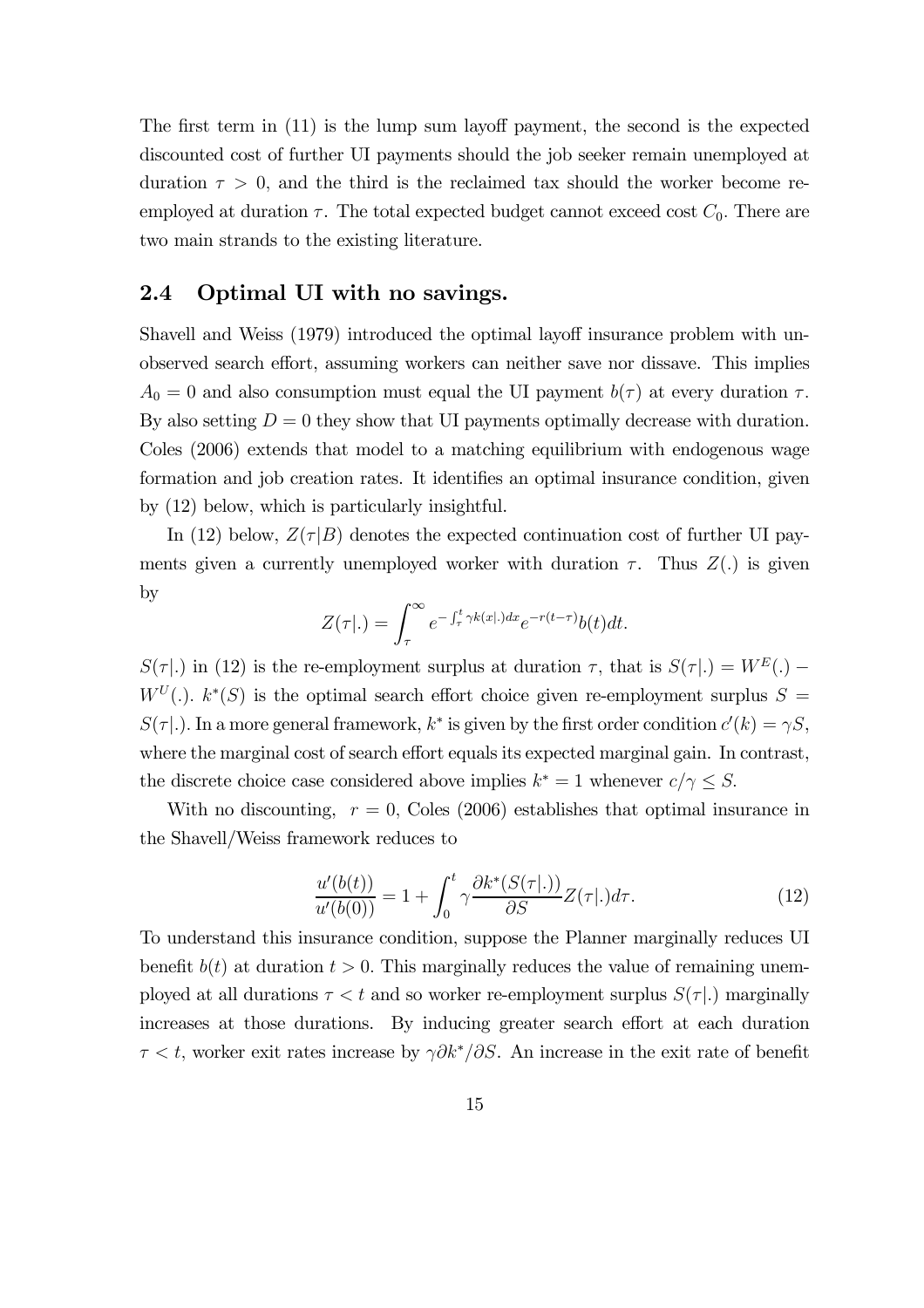The first term in (11) is the lump sum layoff payment, the second is the expected discounted cost of further UI payments should the job seeker remain unemployed at duration  $\tau > 0$ , and the third is the reclaimed tax should the worker become reemployed at duration  $\tau$ . The total expected budget cannot exceed cost  $C_0$ . There are two main strands to the existing literature.

### 2.4 Optimal UI with no savings.

Shavell and Weiss (1979) introduced the optimal layoff insurance problem with unobserved search effort, assuming workers can neither save nor dissave. This implies  $A_0 = 0$  and also consumption must equal the UI payment  $b(\tau)$  at every duration  $\tau$ . By also setting  $D = 0$  they show that UI payments optimally decrease with duration. Coles (2006) extends that model to a matching equilibrium with endogenous wage formation and job creation rates. It identifies an optimal insurance condition, given by (12) below, which is particularly insightful.

In (12) below,  $Z(\tau|B)$  denotes the expected continuation cost of further UI payments given a currently unemployed worker with duration  $\tau$ . Thus  $Z(.)$  is given by

$$
Z(\tau|.) = \int_{\tau}^{\infty} e^{-\int_{\tau}^{t} \gamma k(x|.)dx} e^{-r(t-\tau)} b(t) dt.
$$

 $S(\tau |.)$  in (12) is the re-employment surplus at duration  $\tau$ , that is  $S(\tau |.) = W^{E}(.)$  –  $W^U(.)$ .  $k^*(S)$  is the optimal search effort choice given re-employment surplus  $S =$  $S(\tau|.$ ). In a more general framework,  $k^*$  is given by the first order condition  $c'(k) = \gamma S$ , where the marginal cost of search effort equals its expected marginal gain. In contrast, the discrete choice case considered above implies  $k^* = 1$  whenever  $c/\gamma \leq S$ .

With no discounting,  $r = 0$ , Coles (2006) establishes that optimal insurance in the Shavell/Weiss framework reduces to

$$
\frac{u'(b(t))}{u'(b(0))} = 1 + \int_0^t \gamma \frac{\partial k^*(S(\tau | .))}{\partial S} Z(\tau | .) d\tau.
$$
\n(12)

To understand this insurance condition, suppose the Planner marginally reduces UI benefit  $b(t)$  at duration  $t > 0$ . This marginally reduces the value of remaining unemployed at all durations  $\tau < t$  and so worker re-employment surplus  $S(\tau)$ . marginally increases at those durations. By inducing greater search effort at each duration  $\tau < t$ , worker exit rates increase by  $\gamma \partial k^*/\partial S$ . An increase in the exit rate of benefit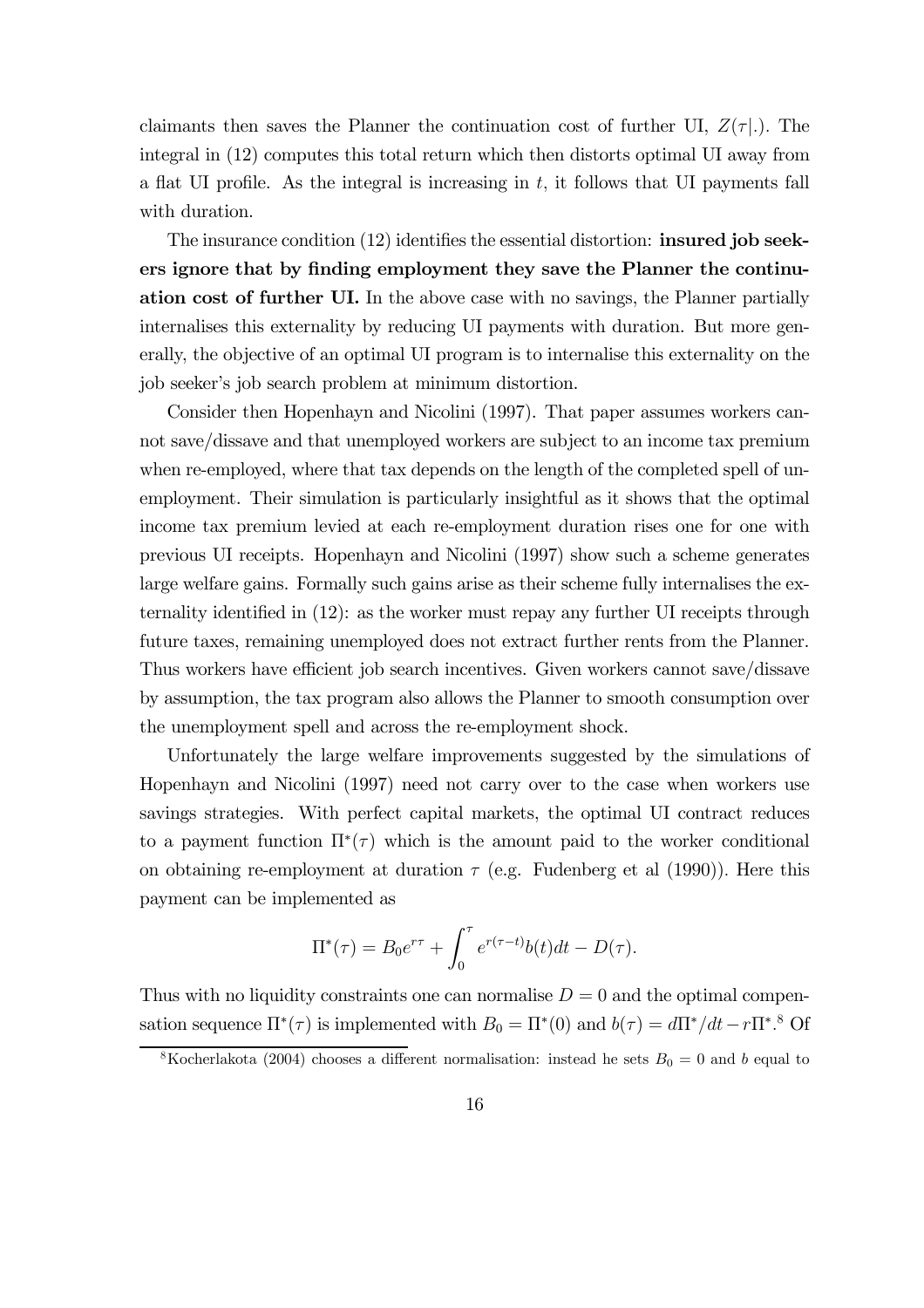claimants then saves the Planner the continuation cost of further UI,  $Z(\tau)$ . The integral in (12) computes this total return which then distorts optimal UI away from a flat UI profile. As the integral is increasing in  $t$ , it follows that UI payments fall with duration.

The insurance condition (12) identifies the essential distortion: insured job seekers ignore that by finding employment they save the Planner the continuation cost of further UI. In the above case with no savings, the Planner partially internalises this externality by reducing UI payments with duration. But more generally, the objective of an optimal UI program is to internalise this externality on the job seeker's job search problem at minimum distortion.

Consider then Hopenhayn and Nicolini (1997). That paper assumes workers cannot save/dissave and that unemployed workers are subject to an income tax premium when re-employed, where that tax depends on the length of the completed spell of unemployment. Their simulation is particularly insightful as it shows that the optimal income tax premium levied at each re-employment duration rises one for one with previous UI receipts. Hopenhayn and Nicolini (1997) show such a scheme generates large welfare gains. Formally such gains arise as their scheme fully internalises the externality identified in (12): as the worker must repay any further UI receipts through future taxes, remaining unemployed does not extract further rents from the Planner. Thus workers have efficient job search incentives. Given workers cannot save/dissave by assumption, the tax program also allows the Planner to smooth consumption over the unemployment spell and across the re-employment shock.

Unfortunately the large welfare improvements suggested by the simulations of Hopenhayn and Nicolini (1997) need not carry over to the case when workers use savings strategies. With perfect capital markets, the optimal UI contract reduces to a payment function  $\Pi^*(\tau)$  which is the amount paid to the worker conditional on obtaining re-employment at duration  $\tau$  (e.g. Fudenberg et al (1990)). Here this payment can be implemented as

$$
\Pi^*(\tau) = B_0 e^{r\tau} + \int_0^{\tau} e^{r(\tau - t)} b(t) dt - D(\tau).
$$

Thus with no liquidity constraints one can normalise  $D = 0$  and the optimal compensation sequence  $\Pi^*(\tau)$  is implemented with  $B_0 = \Pi^*(0)$  and  $b(\tau) = d\Pi^*/dt - r\Pi^*$ .<sup>8</sup> Of

<sup>&</sup>lt;sup>8</sup>Kocherlakota (2004) chooses a different normalisation: instead he sets  $B_0 = 0$  and b equal to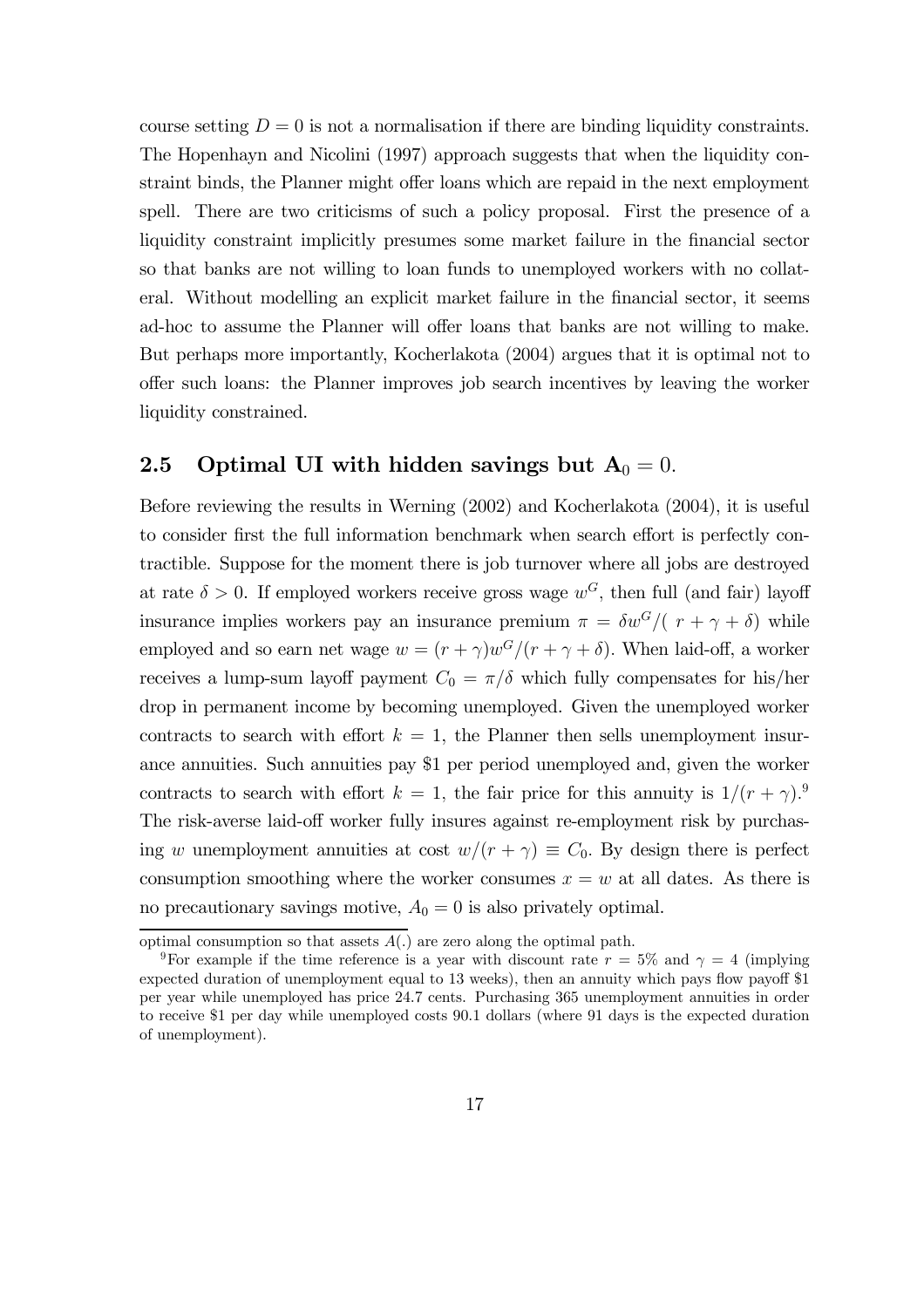course setting  $D = 0$  is not a normalisation if there are binding liquidity constraints. The Hopenhayn and Nicolini (1997) approach suggests that when the liquidity constraint binds, the Planner might offer loans which are repaid in the next employment spell. There are two criticisms of such a policy proposal. First the presence of a liquidity constraint implicitly presumes some market failure in the financial sector so that banks are not willing to loan funds to unemployed workers with no collateral. Without modelling an explicit market failure in the financial sector, it seems ad-hoc to assume the Planner will offer loans that banks are not willing to make. But perhaps more importantly, Kocherlakota (2004) argues that it is optimal not to offer such loans: the Planner improves job search incentives by leaving the worker liquidity constrained.

### 2.5 Optimal UI with hidden savings but  $A_0 = 0$ .

Before reviewing the results in Werning (2002) and Kocherlakota (2004), it is useful to consider first the full information benchmark when search effort is perfectly contractible. Suppose for the moment there is job turnover where all jobs are destroyed at rate  $\delta > 0$ . If employed workers receive gross wage  $w^G$ , then full (and fair) layoff insurance implies workers pay an insurance premium  $\pi = \delta w^G/(\tau + \gamma + \delta)$  while employed and so earn net wage  $w = (r + \gamma)w^{G}/(r + \gamma + \delta)$ . When laid-off, a worker receives a lump-sum layoff payment  $C_0 = \pi/\delta$  which fully compensates for his/her drop in permanent income by becoming unemployed. Given the unemployed worker contracts to search with effort  $k = 1$ , the Planner then sells unemployment insurance annuities. Such annuities pay \$1 per period unemployed and, given the worker contracts to search with effort  $k = 1$ , the fair price for this annuity is  $1/(r + \gamma)^9$ . The risk-averse laid-off worker fully insures against re-employment risk by purchasing w unemployment annuities at cost  $w/(r + \gamma) \equiv C_0$ . By design there is perfect consumption smoothing where the worker consumes  $x = w$  at all dates. As there is no precautionary savings motive,  $A_0 = 0$  is also privately optimal.

optimal consumption so that assets  $A(.)$  are zero along the optimal path.

<sup>&</sup>lt;sup>9</sup>For example if the time reference is a year with discount rate  $r = 5\%$  and  $\gamma = 4$  (implying expected duration of unemployment equal to 13 weeks), then an annuity which pays flow payoff \$1 per year while unemployed has price 24.7 cents. Purchasing 365 unemployment annuities in order to receive \$1 per day while unemployed costs 90.1 dollars (where 91 days is the expected duration of unemployment).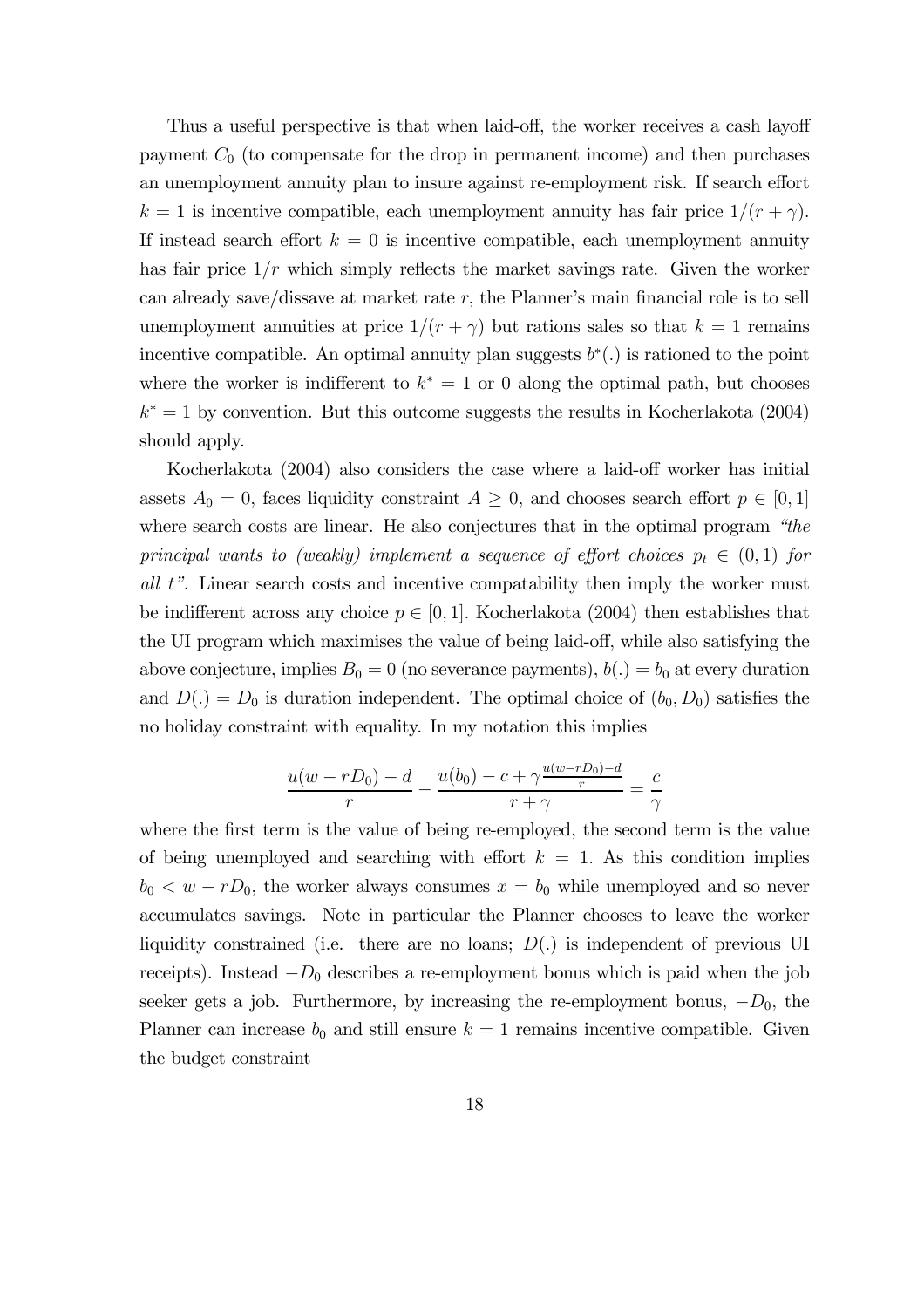Thus a useful perspective is that when laid-off, the worker receives a cash layoff payment  $C_0$  (to compensate for the drop in permanent income) and then purchases an unemployment annuity plan to insure against re-employment risk. If search effort  $k = 1$  is incentive compatible, each unemployment annuity has fair price  $1/(r + \gamma)$ . If instead search effort  $k = 0$  is incentive compatible, each unemployment annuity has fair price  $1/r$  which simply reflects the market savings rate. Given the worker can already save/dissave at market rate  $r$ , the Planner's main financial role is to sell unemployment annuities at price  $1/(r + \gamma)$  but rations sales so that  $k = 1$  remains incentive compatible. An optimal annuity plan suggests  $b^*(.)$  is rationed to the point where the worker is indifferent to  $k^* = 1$  or 0 along the optimal path, but chooses  $k^* = 1$  by convention. But this outcome suggests the results in Kocherlakota (2004) should apply.

Kocherlakota (2004) also considers the case where a laid-off worker has initial assets  $A_0 = 0$ , faces liquidity constraint  $A \geq 0$ , and chooses search effort  $p \in [0, 1]$ where search costs are linear. He also conjectures that in the optimal program "the principal wants to (weakly) implement a sequence of effort choices  $p_t \in (0,1)$  for all t". Linear search costs and incentive compatability then imply the worker must be indifferent across any choice  $p \in [0, 1]$ . Kocherlakota (2004) then establishes that the UI program which maximises the value of being laid-off, while also satisfying the above conjecture, implies  $B_0 = 0$  (no severance payments),  $b(.) = b_0$  at every duration and  $D(.) = D_0$  is duration independent. The optimal choice of  $(b_0, D_0)$  satisfies the no holiday constraint with equality. In my notation this implies

$$
\frac{u(w-rD_0)-d}{r}-\frac{u(b_0)-c+\gamma\frac{u(w-rD_0)-d}{r}}{r+\gamma}=\frac{c}{\gamma}
$$

where the first term is the value of being re-employed, the second term is the value of being unemployed and searching with effort  $k = 1$ . As this condition implies  $b_0 < w - rD_0$ , the worker always consumes  $x = b_0$  while unemployed and so never accumulates savings. Note in particular the Planner chooses to leave the worker liquidity constrained (i.e. there are no loans;  $D(.)$  is independent of previous UI receipts). Instead  $-D_0$  describes a re-employment bonus which is paid when the job seeker gets a job. Furthermore, by increasing the re-employment bonus,  $-D_0$ , the Planner can increase  $b_0$  and still ensure  $k = 1$  remains incentive compatible. Given the budget constraint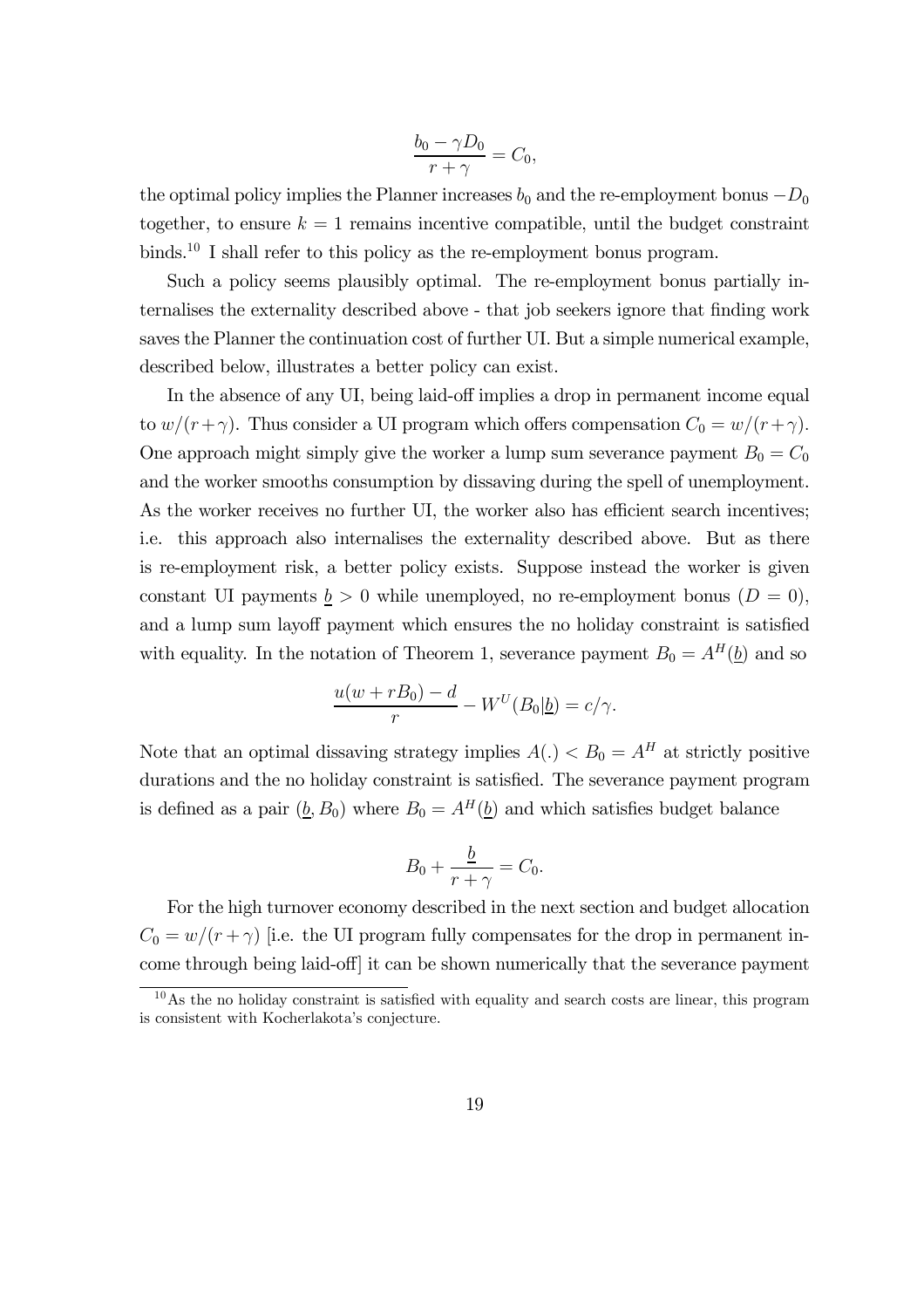$$
\frac{b_0 - \gamma D_0}{r + \gamma} = C_0,
$$

the optimal policy implies the Planner increases  $b_0$  and the re-employment bonus  $-D_0$ together, to ensure  $k = 1$  remains incentive compatible, until the budget constraint binds.<sup>10</sup> I shall refer to this policy as the re-employment bonus program.

Such a policy seems plausibly optimal. The re-employment bonus partially internalises the externality described above - that job seekers ignore that finding work saves the Planner the continuation cost of further UI. But a simple numerical example, described below, illustrates a better policy can exist.

In the absence of any UI, being laid-off implies a drop in permanent income equal to  $w/(r+\gamma)$ . Thus consider a UI program which offers compensation  $C_0 = w/(r+\gamma)$ . One approach might simply give the worker a lump sum severance payment  $B_0 = C_0$ and the worker smooths consumption by dissaving during the spell of unemployment. As the worker receives no further UI, the worker also has efficient search incentives; i.e. this approach also internalises the externality described above. But as there is re-employment risk, a better policy exists. Suppose instead the worker is given constant UI payments  $b > 0$  while unemployed, no re-employment bonus  $(D = 0)$ , and a lump sum layoff payment which ensures the no holiday constraint is satisfied with equality. In the notation of Theorem 1, severance payment  $B_0 = A^H(\underline{b})$  and so

$$
\frac{u(w+rB_0)-d}{r}-W^U(B_0|\underline{b})=c/\gamma.
$$

Note that an optimal dissaving strategy implies  $A(.) < B_0 = A^H$  at strictly positive durations and the no holiday constraint is satisfied. The severance payment program is defined as a pair  $(\underline{b}, B_0)$  where  $B_0 = A^H(\underline{b})$  and which satisfies budget balance

$$
B_0 + \frac{\underline{b}}{r + \gamma} = C_0.
$$

For the high turnover economy described in the next section and budget allocation  $C_0 = w/(r + \gamma)$  [i.e. the UI program fully compensates for the drop in permanent income through being laid-off] it can be shown numerically that the severance payment

 $10\text{ As the no holiday constraint is satisfied with equality and search costs are linear, this program$ is consistent with Kocherlakota's conjecture.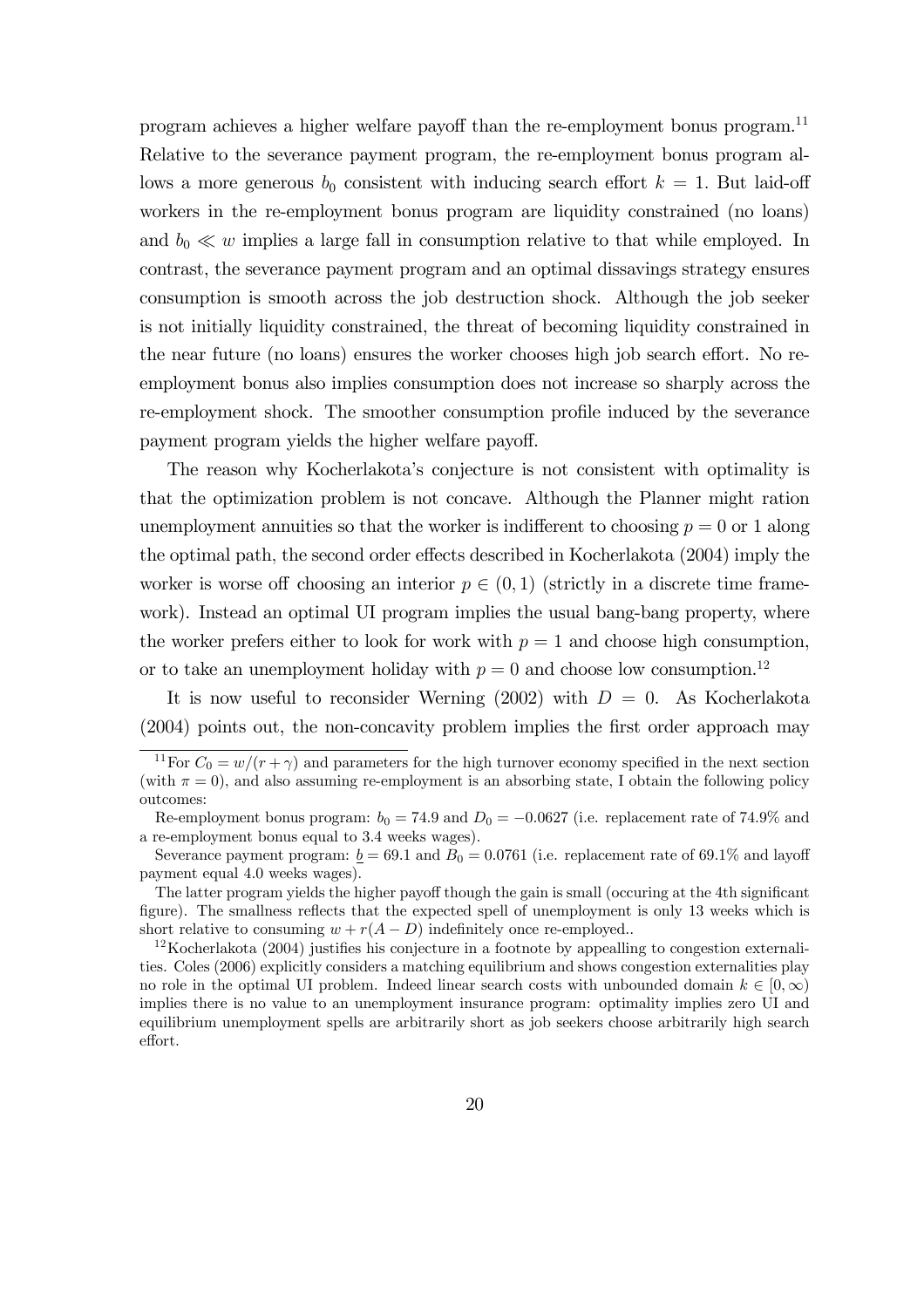program achieves a higher welfare payoff than the re-employment bonus program.11 Relative to the severance payment program, the re-employment bonus program allows a more generous  $b_0$  consistent with inducing search effort  $k = 1$ . But laid-off workers in the re-employment bonus program are liquidity constrained (no loans) and  $b_0 \ll w$  implies a large fall in consumption relative to that while employed. In contrast, the severance payment program and an optimal dissavings strategy ensures consumption is smooth across the job destruction shock. Although the job seeker is not initially liquidity constrained, the threat of becoming liquidity constrained in the near future (no loans) ensures the worker chooses high job search effort. No reemployment bonus also implies consumption does not increase so sharply across the re-employment shock. The smoother consumption profile induced by the severance payment program yields the higher welfare payoff.

The reason why Kocherlakota's conjecture is not consistent with optimality is that the optimization problem is not concave. Although the Planner might ration unemployment annuities so that the worker is indifferent to choosing  $p = 0$  or 1 along the optimal path, the second order effects described in Kocherlakota (2004) imply the worker is worse off choosing an interior  $p \in (0,1)$  (strictly in a discrete time framework). Instead an optimal UI program implies the usual bang-bang property, where the worker prefers either to look for work with  $p = 1$  and choose high consumption, or to take an unemployment holiday with  $p = 0$  and choose low consumption.<sup>12</sup>

It is now useful to reconsider Werning (2002) with  $D = 0$ . As Kocherlakota (2004) points out, the non-concavity problem implies the first order approach may

<sup>&</sup>lt;sup>11</sup>For  $C_0 = w/(r + \gamma)$  and parameters for the high turnover economy specified in the next section (with  $\pi = 0$ ), and also assuming re-employment is an absorbing state, I obtain the following policy outcomes:

Re-employment bonus program:  $b_0 = 74.9$  and  $D_0 = -0.0627$  (i.e. replacement rate of 74.9% and a re-employment bonus equal to 3.4 weeks wages).

Severance payment program:  $\underline{b} = 69.1$  and  $B_0 = 0.0761$  (i.e. replacement rate of 69.1% and layoff payment equal 4.0 weeks wages).

The latter program yields the higher payoff though the gain is small (occuring at the 4th significant figure). The smallness reflects that the expected spell of unemployment is only 13 weeks which is short relative to consuming  $w + r(A - D)$  indefinitely once re-employed..

 $12$ Kocherlakota (2004) justifies his conjecture in a footnote by appealling to congestion externalities. Coles (2006) explicitly considers a matching equilibrium and shows congestion externalities play no role in the optimal UI problem. Indeed linear search costs with unbounded domain  $k \in [0,\infty)$ implies there is no value to an unemployment insurance program: optimality implies zero UI and equilibrium unemployment spells are arbitrarily short as job seekers choose arbitrarily high search effort.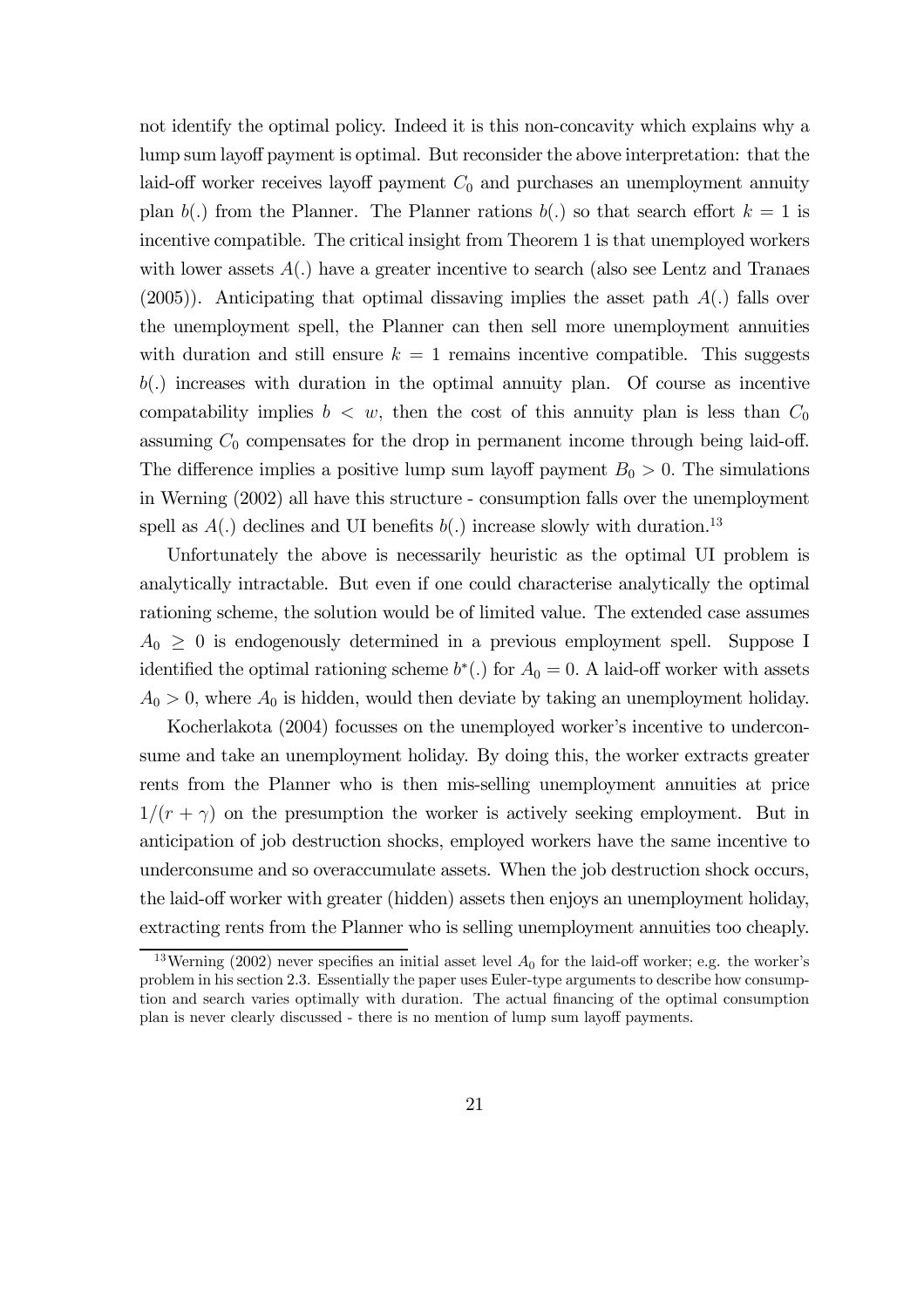not identify the optimal policy. Indeed it is this non-concavity which explains why a lump sum layoff payment is optimal. But reconsider the above interpretation: that the laid-off worker receives layoff payment  $C_0$  and purchases an unemployment annuity plan b(.) from the Planner. The Planner rations b(.) so that search effort  $k = 1$  is incentive compatible. The critical insight from Theorem 1 is that unemployed workers with lower assets  $A(.)$  have a greater incentive to search (also see Lentz and Tranaes  $(2005)$ ). Anticipating that optimal dissaving implies the asset path  $A(.)$  falls over the unemployment spell, the Planner can then sell more unemployment annuities with duration and still ensure  $k = 1$  remains incentive compatible. This suggests  $b(.)$  increases with duration in the optimal annuity plan. Of course as incentive compatability implies  $b < w$ , then the cost of this annuity plan is less than  $C_0$ assuming  $C_0$  compensates for the drop in permanent income through being laid-off. The difference implies a positive lump sum layoff payment  $B_0 > 0$ . The simulations in Werning (2002) all have this structure - consumption falls over the unemployment spell as  $A(.)$  declines and UI benefits  $b(.)$  increase slowly with duration.<sup>13</sup>

Unfortunately the above is necessarily heuristic as the optimal UI problem is analytically intractable. But even if one could characterise analytically the optimal rationing scheme, the solution would be of limited value. The extended case assumes  $A_0 \geq 0$  is endogenously determined in a previous employment spell. Suppose I identified the optimal rationing scheme  $b^*$ . for  $A_0 = 0$ . A laid-off worker with assets  $A_0 > 0$ , where  $A_0$  is hidden, would then deviate by taking an unemployment holiday.

Kocherlakota (2004) focusses on the unemployed worker's incentive to underconsume and take an unemployment holiday. By doing this, the worker extracts greater rents from the Planner who is then mis-selling unemployment annuities at price  $1/(r + \gamma)$  on the presumption the worker is actively seeking employment. But in anticipation of job destruction shocks, employed workers have the same incentive to underconsume and so overaccumulate assets. When the job destruction shock occurs, the laid-off worker with greater (hidden) assets then enjoys an unemployment holiday, extracting rents from the Planner who is selling unemployment annuities too cheaply.

<sup>&</sup>lt;sup>13</sup>Werning (2002) never specifies an initial asset level  $A_0$  for the laid-off worker; e.g. the worker's problem in his section 2.3. Essentially the paper uses Euler-type arguments to describe how consumption and search varies optimally with duration. The actual financing of the optimal consumption plan is never clearly discussed - there is no mention of lump sum layoff payments.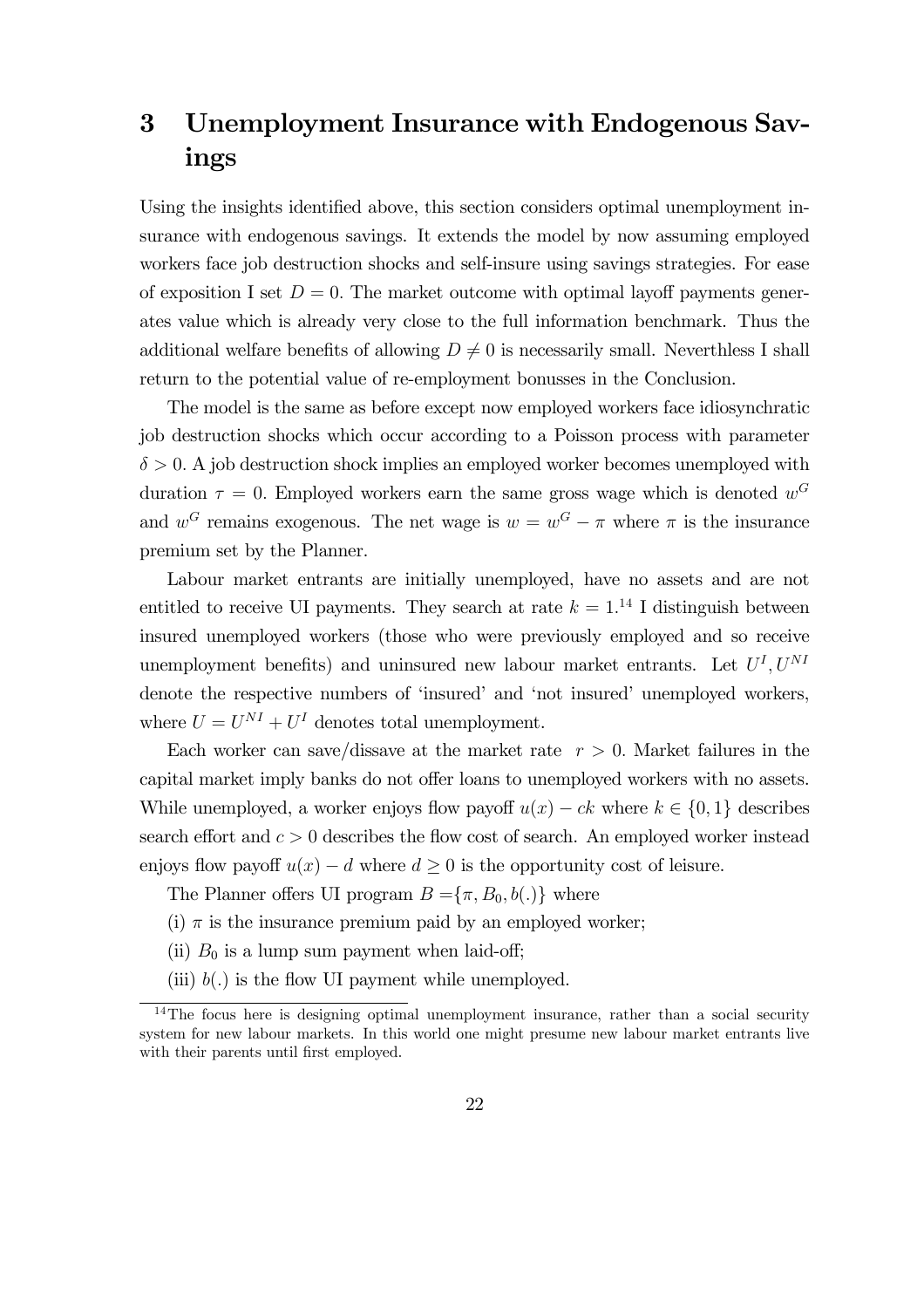# 3 Unemployment Insurance with Endogenous Savings

Using the insights identified above, this section considers optimal unemployment insurance with endogenous savings. It extends the model by now assuming employed workers face job destruction shocks and self-insure using savings strategies. For ease of exposition I set  $D = 0$ . The market outcome with optimal layoff payments generates value which is already very close to the full information benchmark. Thus the additional welfare benefits of allowing  $D \neq 0$  is necessarily small. Neverthless I shall return to the potential value of re-employment bonusses in the Conclusion.

The model is the same as before except now employed workers face idiosynchratic job destruction shocks which occur according to a Poisson process with parameter  $\delta > 0$ . A job destruction shock implies an employed worker becomes unemployed with duration  $\tau = 0$ . Employed workers earn the same gross wage which is denoted  $w^G$ and  $w^G$  remains exogenous. The net wage is  $w = w^G - \pi$  where  $\pi$  is the insurance premium set by the Planner.

Labour market entrants are initially unemployed, have no assets and are not entitled to receive UI payments. They search at rate  $k = 1$ .<sup>14</sup> I distinguish between insured unemployed workers (those who were previously employed and so receive unemployment benefits) and uninsured new labour market entrants. Let  $U<sup>I</sup>, U<sup>NI</sup>$ denote the respective numbers of 'insured' and 'not insured' unemployed workers, where  $U = U^{NI} + U^{I}$  denotes total unemployment.

Each worker can save/dissave at the market rate  $r > 0$ . Market failures in the capital market imply banks do not offer loans to unemployed workers with no assets. While unemployed, a worker enjoys flow payoff  $u(x) - ck$  where  $k \in \{0, 1\}$  describes search effort and  $c > 0$  describes the flow cost of search. An employed worker instead enjoys flow payoff  $u(x) - d$  where  $d \geq 0$  is the opportunity cost of leisure.

The Planner offers UI program  $B = {\pi, B_0, b(.)}$  where

(i)  $\pi$  is the insurance premium paid by an employed worker;

- (ii)  $B_0$  is a lump sum payment when laid-off;
- (iii)  $b(.)$  is the flow UI payment while unemployed.

 $14$ The focus here is designing optimal unemployment insurance, rather than a social security system for new labour markets. In this world one might presume new labour market entrants live with their parents until first employed.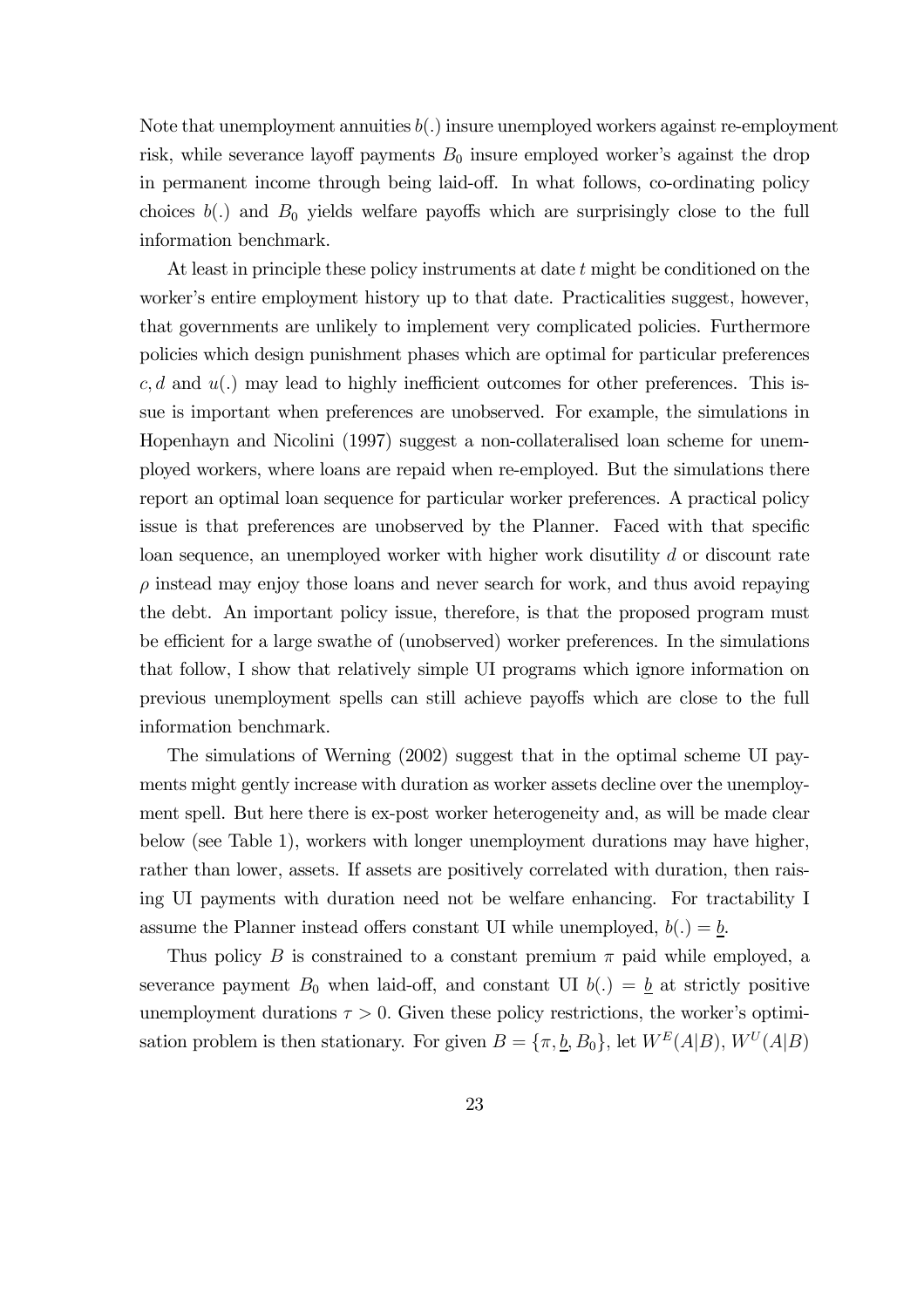Note that unemployment annuities  $b(.)$  insure unemployed workers against re-employment risk, while severance layoff payments  $B_0$  insure employed worker's against the drop in permanent income through being laid-off. In what follows, co-ordinating policy choices  $b(.)$  and  $B_0$  yields welfare payoffs which are surprisingly close to the full information benchmark.

At least in principle these policy instruments at date t might be conditioned on the worker's entire employment history up to that date. Practicalities suggest, however, that governments are unlikely to implement very complicated policies. Furthermore policies which design punishment phases which are optimal for particular preferences  $c, d$  and  $u(.)$  may lead to highly inefficient outcomes for other preferences. This issue is important when preferences are unobserved. For example, the simulations in Hopenhayn and Nicolini (1997) suggest a non-collateralised loan scheme for unemployed workers, where loans are repaid when re-employed. But the simulations there report an optimal loan sequence for particular worker preferences. A practical policy issue is that preferences are unobserved by the Planner. Faced with that specific loan sequence, an unemployed worker with higher work disutility d or discount rate  $\rho$  instead may enjoy those loans and never search for work, and thus avoid repaying the debt. An important policy issue, therefore, is that the proposed program must be efficient for a large swathe of (unobserved) worker preferences. In the simulations that follow, I show that relatively simple UI programs which ignore information on previous unemployment spells can still achieve payoffs which are close to the full information benchmark.

The simulations of Werning (2002) suggest that in the optimal scheme UI payments might gently increase with duration as worker assets decline over the unemployment spell. But here there is ex-post worker heterogeneity and, as will be made clear below (see Table 1), workers with longer unemployment durations may have higher, rather than lower, assets. If assets are positively correlated with duration, then raising UI payments with duration need not be welfare enhancing. For tractability I assume the Planner instead offers constant UI while unemployed,  $b(.) = b$ .

Thus policy B is constrained to a constant premium  $\pi$  paid while employed, a severance payment  $B_0$  when laid-off, and constant UI  $b(.) = \underline{b}$  at strictly positive unemployment durations  $\tau > 0$ . Given these policy restrictions, the worker's optimisation problem is then stationary. For given  $B = {\pi, \underline{b}, B_0}$ , let  $W^E(A|B)$ ,  $W^U(A|B)$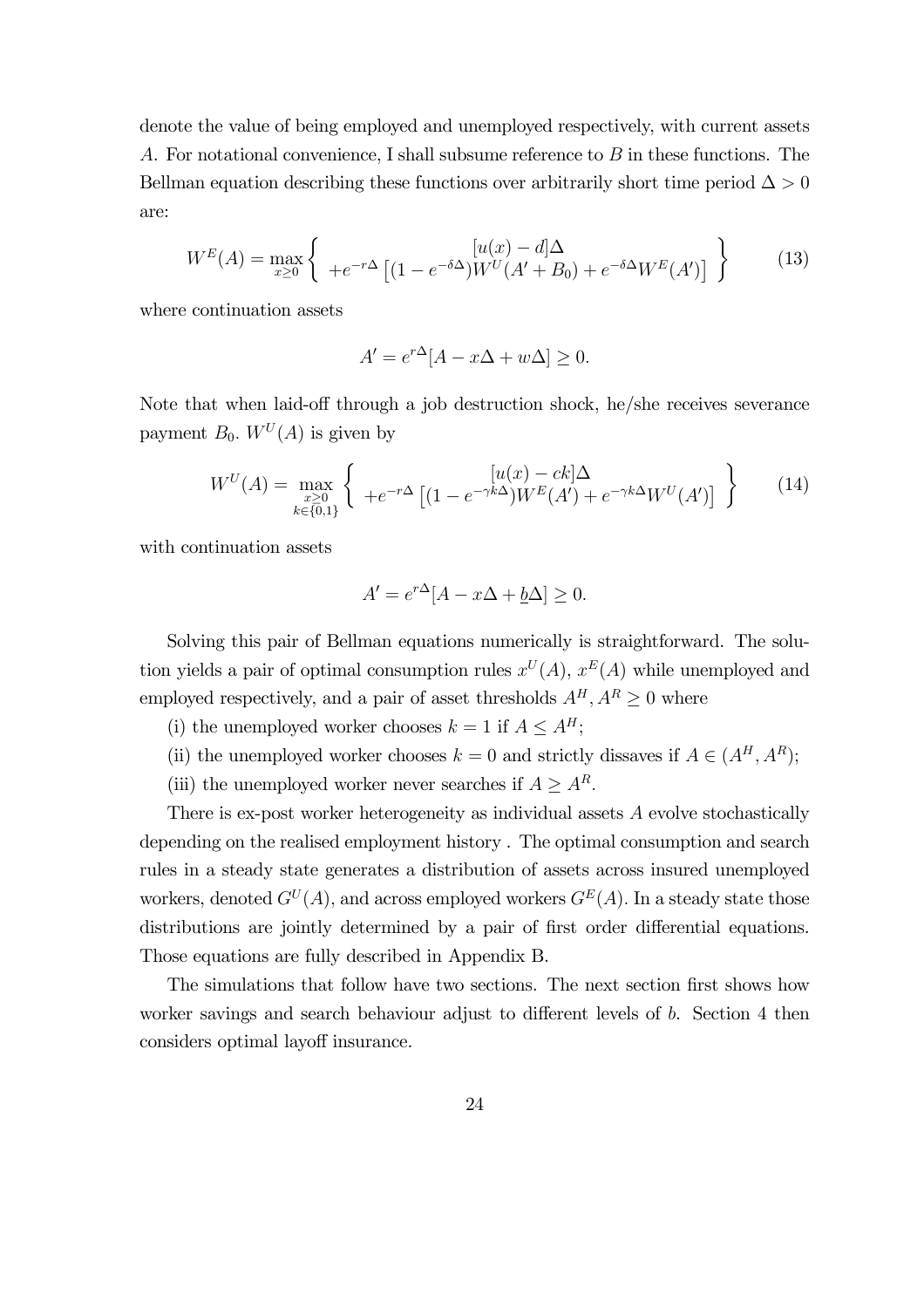denote the value of being employed and unemployed respectively, with current assets A. For notational convenience, I shall subsume reference to B in these functions. The Bellman equation describing these functions over arbitrarily short time period  $\Delta > 0$ are:

$$
W^{E}(A) = \max_{x \ge 0} \left\{ +e^{-r\Delta} \left[ (1 - e^{-\delta \Delta}) W^{U}(A' + B_0) + e^{-\delta \Delta} W^{E}(A') \right] \right\}
$$
(13)

where continuation assets

$$
A' = e^{r\Delta}[A - x\Delta + w\Delta] \ge 0.
$$

Note that when laid-off through a job destruction shock, he/she receives severance payment  $B_0$ .  $W^U(A)$  is given by

$$
W^{U}(A) = \max_{\substack{x \geq 0 \\ k \in \{0,1\}}} \left\{ \begin{array}{c} [u(x) - ck] \Delta \\ +e^{-r\Delta} \left[ (1 - e^{-\gamma k\Delta}) W^{E}(A') + e^{-\gamma k\Delta} W^{U}(A') \right] \end{array} \right\}
$$
(14)

with continuation assets

$$
A' = e^{r\Delta}[A - x\Delta + \underline{b}\Delta] \ge 0.
$$

Solving this pair of Bellman equations numerically is straightforward. The solution yields a pair of optimal consumption rules  $x^U(A)$ ,  $x^E(A)$  while unemployed and employed respectively, and a pair of asset thresholds  $A^H, A^R \geq 0$  where

- (i) the unemployed worker chooses  $k = 1$  if  $A \leq A^H$ ;
- (ii) the unemployed worker chooses  $k = 0$  and strictly dissaves if  $A \in (A^H, A^R)$ ;
- (iii) the unemployed worker never searches if  $A \geq A^R$ .

There is ex-post worker heterogeneity as individual assets A evolve stochastically depending on the realised employment history . The optimal consumption and search rules in a steady state generates a distribution of assets across insured unemployed workers, denoted  $G^U(A)$ , and across employed workers  $G^E(A)$ . In a steady state those distributions are jointly determined by a pair of first order differential equations. Those equations are fully described in Appendix B.

The simulations that follow have two sections. The next section first shows how worker savings and search behaviour adjust to different levels of b. Section 4 then considers optimal layoff insurance.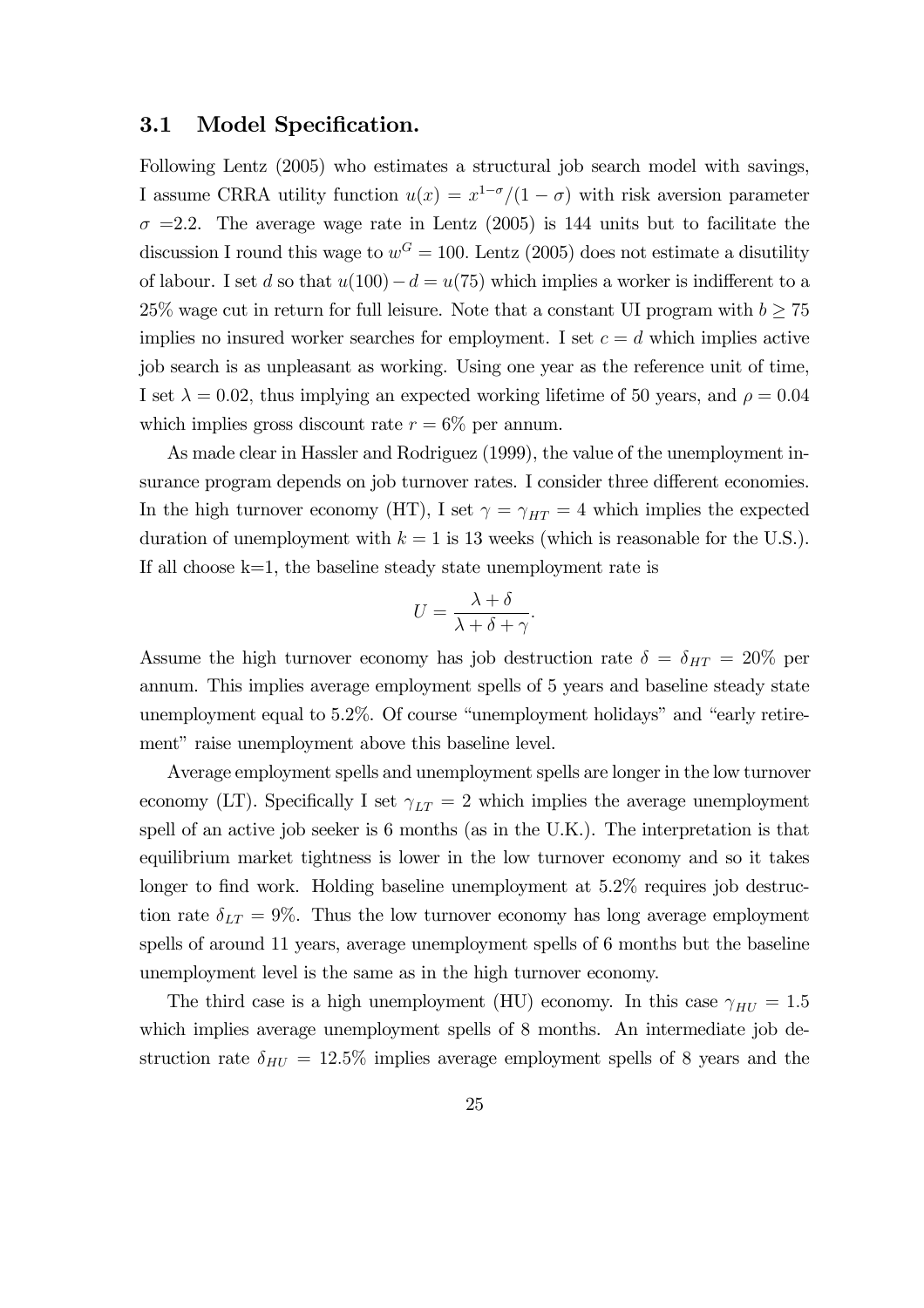### 3.1 Model Specification.

Following Lentz (2005) who estimates a structural job search model with savings, I assume CRRA utility function  $u(x) = x^{1-\sigma}/(1-\sigma)$  with risk aversion parameter  $\sigma$  =2.2. The average wage rate in Lentz (2005) is 144 units but to facilitate the discussion I round this wage to  $w^G = 100$ . Lentz (2005) does not estimate a disutility of labour. I set d so that  $u(100) - d = u(75)$  which implies a worker is indifferent to a 25% wage cut in return for full leisure. Note that a constant UI program with  $b \geq 75$ implies no insured worker searches for employment. I set  $c = d$  which implies active job search is as unpleasant as working. Using one year as the reference unit of time, I set  $\lambda = 0.02$ , thus implying an expected working lifetime of 50 years, and  $\rho = 0.04$ which implies gross discount rate  $r = 6\%$  per annum.

As made clear in Hassler and Rodriguez (1999), the value of the unemployment insurance program depends on job turnover rates. I consider three different economies. In the high turnover economy (HT), I set  $\gamma = \gamma_{HT} = 4$  which implies the expected duration of unemployment with  $k = 1$  is 13 weeks (which is reasonable for the U.S.). If all choose  $k=1$ , the baseline steady state unemployment rate is

$$
U = \frac{\lambda + \delta}{\lambda + \delta + \gamma}.
$$

Assume the high turnover economy has job destruction rate  $\delta = \delta_{HT} = 20\%$  per annum. This implies average employment spells of 5 years and baseline steady state unemployment equal to 5.2%. Of course "unemployment holidays" and "early retirement" raise unemployment above this baseline level.

Average employment spells and unemployment spells are longer in the low turnover economy (LT). Specifically I set  $\gamma_{LT} = 2$  which implies the average unemployment spell of an active job seeker is 6 months (as in the U.K.). The interpretation is that equilibrium market tightness is lower in the low turnover economy and so it takes longer to find work. Holding baseline unemployment at  $5.2\%$  requires job destruction rate  $\delta_{LT} = 9\%$ . Thus the low turnover economy has long average employment spells of around 11 years, average unemployment spells of 6 months but the baseline unemployment level is the same as in the high turnover economy.

The third case is a high unemployment (HU) economy. In this case  $\gamma_{HU} = 1.5$ which implies average unemployment spells of 8 months. An intermediate job destruction rate  $\delta_{HU} = 12.5\%$  implies average employment spells of 8 years and the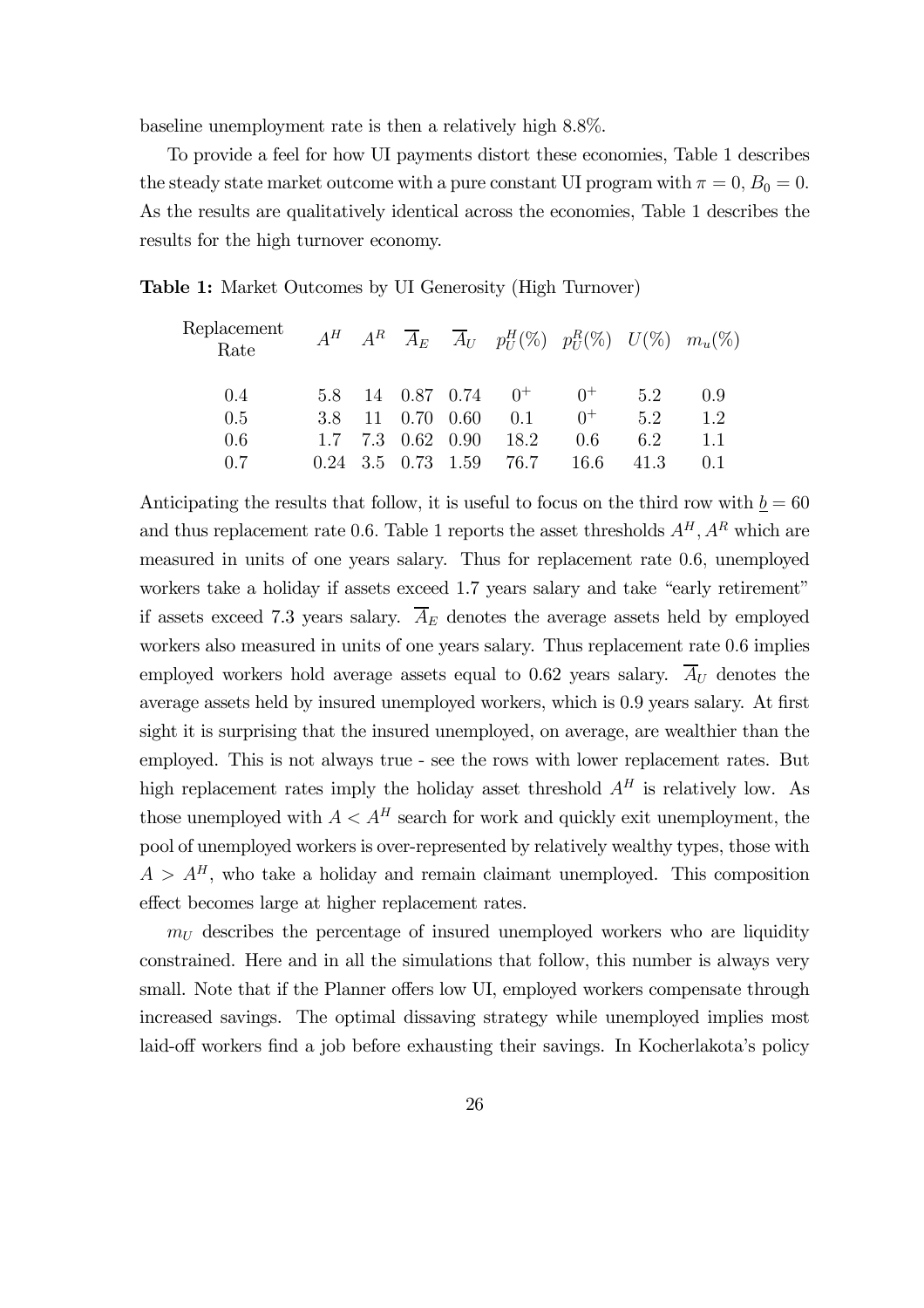baseline unemployment rate is then a relatively high 8.8%.

To provide a feel for how UI payments distort these economies, Table 1 describes the steady state market outcome with a pure constant UI program with  $\pi = 0$ ,  $B_0 = 0$ . As the results are qualitatively identical across the economies, Table 1 describes the results for the high turnover economy.

Table 1: Market Outcomes by UI Generosity (High Turnover)

| Replacement<br>Rate |  |                     | $A^H$ $A^R$ $\overline{A}_E$ $\overline{A}_U$ $p_U^H(\%)$ $p_U^R(\%)$ $U(\%)$ $m_u(\%)$ |       |      |         |
|---------------------|--|---------------------|-----------------------------------------------------------------------------------------|-------|------|---------|
| 0.4                 |  |                     | 5.8 14 0.87 0.74 $0^+$ 0 <sup>+</sup> 5.2                                               |       |      | 0.9     |
| 0.5                 |  |                     | 3.8 11 0.70 0.60 0.1                                                                    | $0^+$ | 52   | 12      |
| 0.6                 |  | $1.7$ 7.3 0.62 0.90 | 18.2                                                                                    | 0.6   | 62   | $1.1\,$ |
| 0.7                 |  |                     | $0.24$ 3.5 $0.73$ 1.59 76.7                                                             | 16.6  | 41.3 | 0.1     |

Anticipating the results that follow, it is useful to focus on the third row with  $\underline{b} = 60$ and thus replacement rate 0.6. Table 1 reports the asset thresholds  $A<sup>H</sup>$ ,  $A<sup>R</sup>$  which are measured in units of one years salary. Thus for replacement rate 0.6, unemployed workers take a holiday if assets exceed 1.7 years salary and take "early retirement" if assets exceed 7.3 years salary.  $\overline{A}_E$  denotes the average assets held by employed workers also measured in units of one years salary. Thus replacement rate 0.6 implies employed workers hold average assets equal to 0.62 years salary.  $\overline{A}_{U}$  denotes the average assets held by insured unemployed workers, which is 0.9 years salary. At first sight it is surprising that the insured unemployed, on average, are wealthier than the employed. This is not always true - see the rows with lower replacement rates. But high replacement rates imply the holiday asset threshold  $A<sup>H</sup>$  is relatively low. As those unemployed with  $A < A<sup>H</sup>$  search for work and quickly exit unemployment, the pool of unemployed workers is over-represented by relatively wealthy types, those with  $A > A<sup>H</sup>$ , who take a holiday and remain claimant unemployed. This composition effect becomes large at higher replacement rates.

 $m<sub>U</sub>$  describes the percentage of insured unemployed workers who are liquidity constrained. Here and in all the simulations that follow, this number is always very small. Note that if the Planner offers low UI, employed workers compensate through increased savings. The optimal dissaving strategy while unemployed implies most laid-off workers find a job before exhausting their savings. In Kocherlakota's policy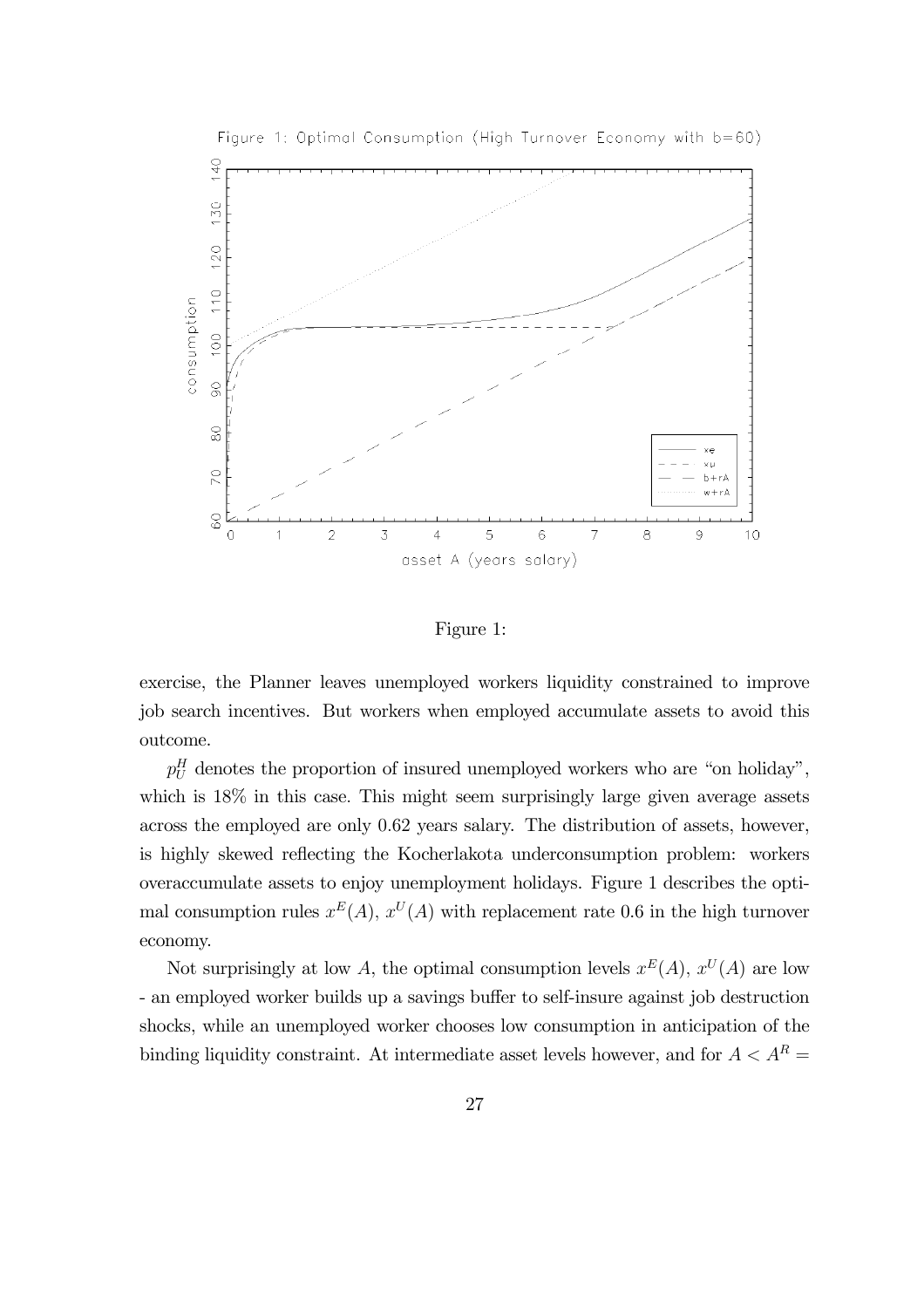

Figure 1: Optimal Consumption (High Turnover Economy with b=60)

Figure 1:

exercise, the Planner leaves unemployed workers liquidity constrained to improve job search incentives. But workers when employed accumulate assets to avoid this outcome.

 $p_U^H$  denotes the proportion of insured unemployed workers who are "on holiday", which is  $18\%$  in this case. This might seem surprisingly large given average assets across the employed are only 0.62 years salary. The distribution of assets, however, is highly skewed reflecting the Kocherlakota underconsumption problem: workers overaccumulate assets to enjoy unemployment holidays. Figure 1 describes the optimal consumption rules  $x^E(A)$ ,  $x^U(A)$  with replacement rate 0.6 in the high turnover economy.

Not surprisingly at low A, the optimal consumption levels  $x^E(A)$ ,  $x^U(A)$  are low - an employed worker builds up a savings buffer to self-insure against job destruction shocks, while an unemployed worker chooses low consumption in anticipation of the binding liquidity constraint. At intermediate asset levels however, and for  $A < A^R = \emptyset$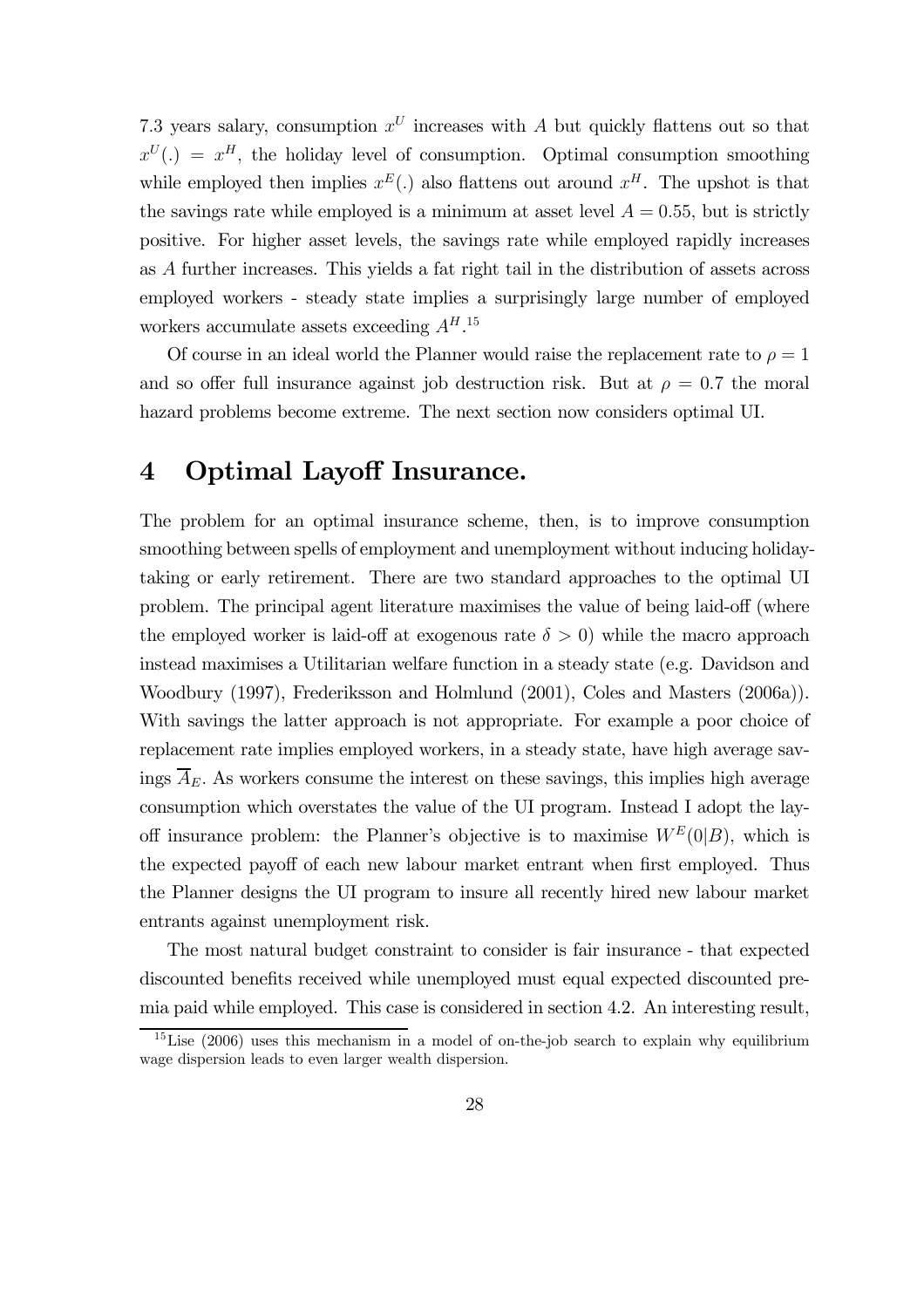7.3 years salary, consumption  $x^U$  increases with A but quickly flattens out so that  $x^U(.) = x^H$ , the holiday level of consumption. Optimal consumption smoothing while employed then implies  $x^E(.)$  also flattens out around  $x^H$ . The upshot is that the savings rate while employed is a minimum at asset level  $A = 0.55$ , but is strictly positive. For higher asset levels, the savings rate while employed rapidly increases as A further increases. This yields a fat right tail in the distribution of assets across employed workers - steady state implies a surprisingly large number of employed workers accumulate assets exceeding  $A<sup>H</sup>$ .<sup>15</sup>

Of course in an ideal world the Planner would raise the replacement rate to  $\rho = 1$ and so offer full insurance against job destruction risk. But at  $\rho = 0.7$  the moral hazard problems become extreme. The next section now considers optimal UI.

# 4 Optimal Layoff Insurance.

The problem for an optimal insurance scheme, then, is to improve consumption smoothing between spells of employment and unemployment without inducing holidaytaking or early retirement. There are two standard approaches to the optimal UI problem. The principal agent literature maximises the value of being laid-off (where the employed worker is laid-off at exogenous rate  $\delta > 0$ ) while the macro approach instead maximises a Utilitarian welfare function in a steady state (e.g. Davidson and Woodbury (1997), Frederiksson and Holmlund (2001), Coles and Masters (2006a)). With savings the latter approach is not appropriate. For example a poor choice of replacement rate implies employed workers, in a steady state, have high average savings  $\overline{A}_E$ . As workers consume the interest on these savings, this implies high average consumption which overstates the value of the UI program. Instead I adopt the layoff insurance problem: the Planner's objective is to maximise  $W^E(0|B)$ , which is the expected payoff of each new labour market entrant when first employed. Thus the Planner designs the UI program to insure all recently hired new labour market entrants against unemployment risk.

The most natural budget constraint to consider is fair insurance - that expected discounted benefits received while unemployed must equal expected discounted premia paid while employed. This case is considered in section 4.2. An interesting result,

 $15$ Lise (2006) uses this mechanism in a model of on-the-job search to explain why equilibrium wage dispersion leads to even larger wealth dispersion.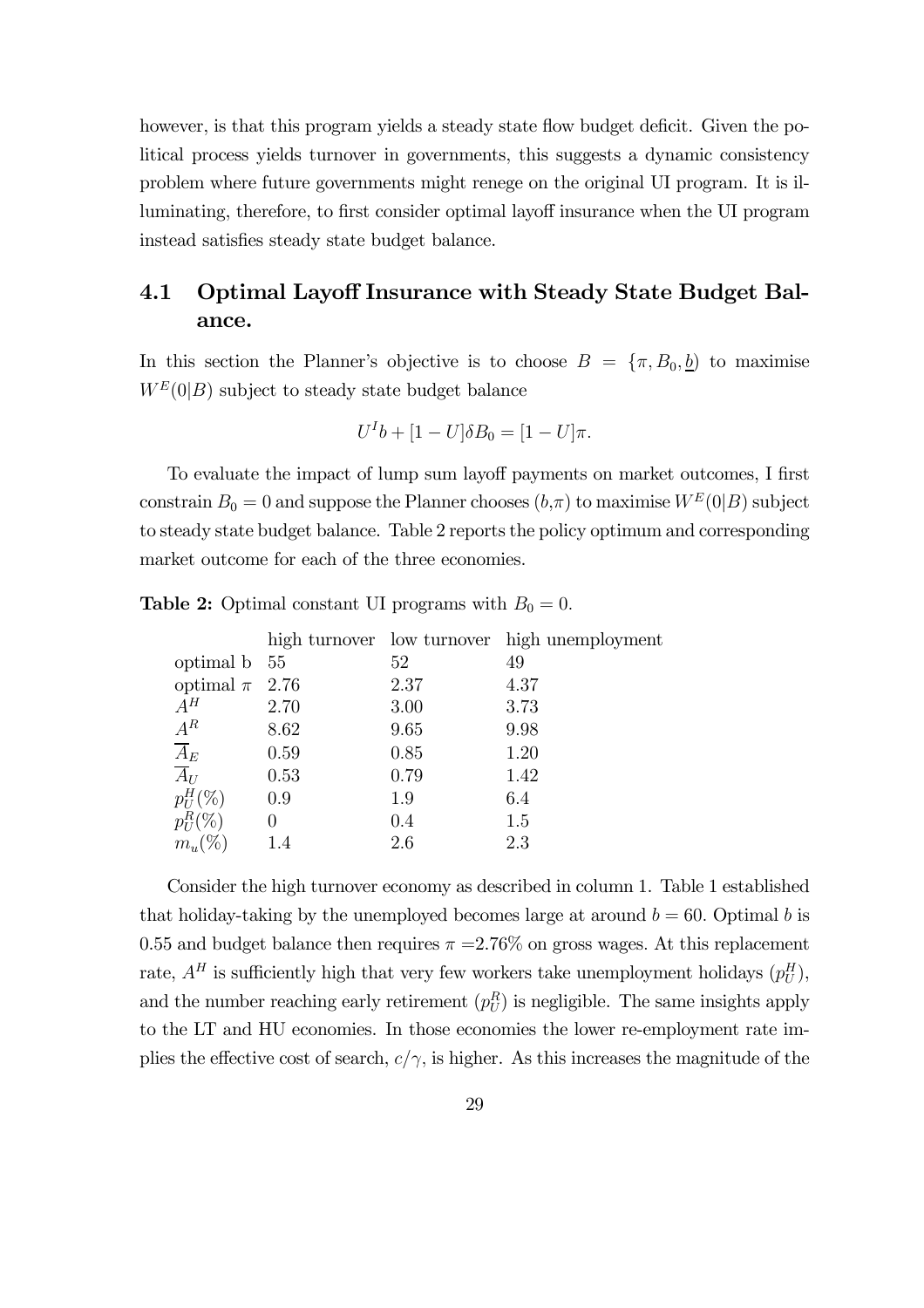however, is that this program yields a steady state flow budget deficit. Given the political process yields turnover in governments, this suggests a dynamic consistency problem where future governments might renege on the original UI program. It is illuminating, therefore, to first consider optimal layoff insurance when the UI program instead satisfies steady state budget balance.

## 4.1 Optimal Layoff Insurance with Steady State Budget Balance.

In this section the Planner's objective is to choose  $B = {\pi, B_0, b}$  to maximise  $W^E(0|B)$  subject to steady state budget balance

$$
U^I b + [1 - U] \delta B_0 = [1 - U] \pi.
$$

To evaluate the impact of lump sum layoff payments on market outcomes, I first constrain  $B_0 = 0$  and suppose the Planner chooses  $(b,\pi)$  to maximise  $W^E(0|B)$  subject to steady state budget balance. Table 2 reports the policy optimum and corresponding market outcome for each of the three economies.

|                    |      |      | high turnover low turnover high unemployment |
|--------------------|------|------|----------------------------------------------|
| optimal b 55       |      | 52   | 49                                           |
| optimal $\pi$ 2.76 |      | 2.37 | 4.37                                         |
| $A^H$              | 2.70 | 3.00 | 3.73                                         |
| $A^R$              | 8.62 | 9.65 | 9.98                                         |
| $\overline{A}_E$   | 0.59 | 0.85 | 1.20                                         |
| $\overline{A}_{U}$ | 0.53 | 0.79 | 1.42                                         |
| $p_{U}^{H}(\%)$    | 0.9  | 1.9  | 6.4                                          |
| $p_H^R (\%)$       | 0    | 0.4  | 1.5                                          |
| $m_u (\%)$         | 1.4  | 2.6  | 2.3                                          |
|                    |      |      |                                              |

**Table 2:** Optimal constant UI programs with  $B_0 = 0$ .

Consider the high turnover economy as described in column 1. Table 1 established that holiday-taking by the unemployed becomes large at around  $b = 60$ . Optimal b is 0.55 and budget balance then requires  $\pi = 2.76\%$  on gross wages. At this replacement rate,  $A^H$  is sufficiently high that very few workers take unemployment holidays  $(p_U^H)$ , and the number reaching early retirement  $(p_U^R)$  is negligible. The same insights apply to the LT and HU economies. In those economies the lower re-employment rate implies the effective cost of search,  $c/\gamma$ , is higher. As this increases the magnitude of the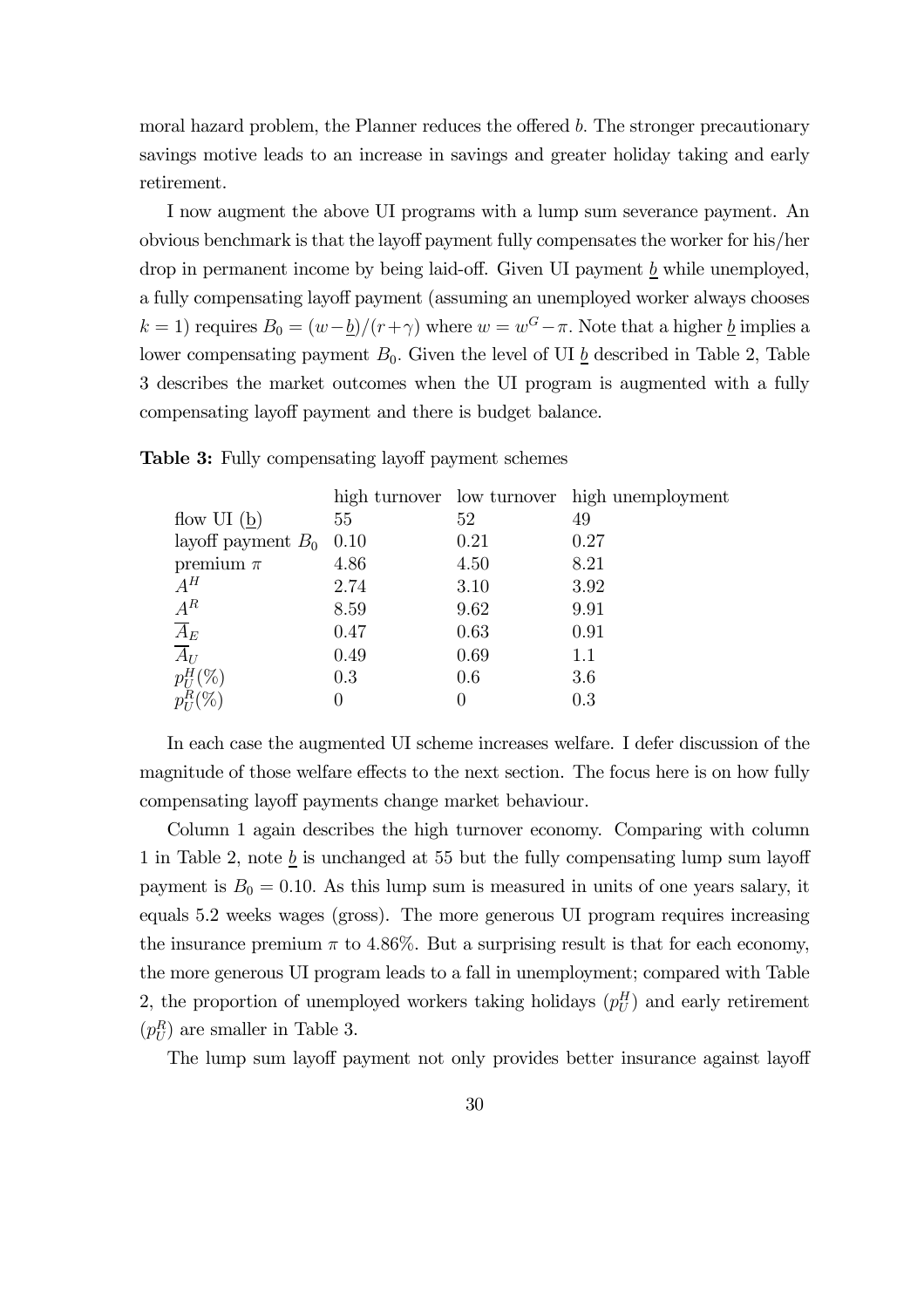moral hazard problem, the Planner reduces the offered  $b$ . The stronger precautionary savings motive leads to an increase in savings and greater holiday taking and early retirement.

I now augment the above UI programs with a lump sum severance payment. An obvious benchmark is that the layoff payment fully compensates the worker for his/her drop in permanent income by being laid-off. Given UI payment b while unemployed, a fully compensating layoff payment (assuming an unemployed worker always chooses k = 1) requires  $B_0 = (w - \underline{b})/(r + \gamma)$  where  $w = w^G - \pi$ . Note that a higher  $\underline{b}$  implies a lower compensating payment  $B_0$ . Given the level of UI  $\underline{b}$  described in Table 2, Table 3 describes the market outcomes when the UI program is augmented with a fully compensating layoff payment and there is budget balance.

|                                         |      |      | high turnover low turnover high unemployment |
|-----------------------------------------|------|------|----------------------------------------------|
| flow UI $(b)$                           | 55   | 52   | 49                                           |
| layoff payment $B_0$ 0.10               |      | 0.21 | 0.27                                         |
| premium $\pi$                           | 4.86 | 4.50 | 8.21                                         |
| $A^H$                                   | 2.74 | 3.10 | 3.92                                         |
| $A^R$                                   | 8.59 | 9.62 | 9.91                                         |
| $\frac{\overline{A}_E}{\overline{A}_U}$ | 0.47 | 0.63 | 0.91                                         |
|                                         | 0.49 | 0.69 | 1.1                                          |
| $p_U^H(\%)$                             | 0.3  | 0.6  | 3.6                                          |
|                                         |      |      | 0.3                                          |
|                                         |      |      |                                              |

Table 3: Fully compensating layoff payment schemes

In each case the augmented UI scheme increases welfare. I defer discussion of the magnitude of those welfare effects to the next section. The focus here is on how fully compensating layoff payments change market behaviour.

Column 1 again describes the high turnover economy. Comparing with column 1 in Table 2, note  $\underline{b}$  is unchanged at 55 but the fully compensating lump sum layoff payment is  $B_0 = 0.10$ . As this lump sum is measured in units of one years salary, it equals 5.2 weeks wages (gross). The more generous UI program requires increasing the insurance premium  $\pi$  to 4.86%. But a surprising result is that for each economy, the more generous UI program leads to a fall in unemployment; compared with Table 2, the proportion of unemployed workers taking holidays  $(p_U^H)$  and early retirement  $(p_U^R)$  are smaller in Table 3.

The lump sum layoff payment not only provides better insurance against layoff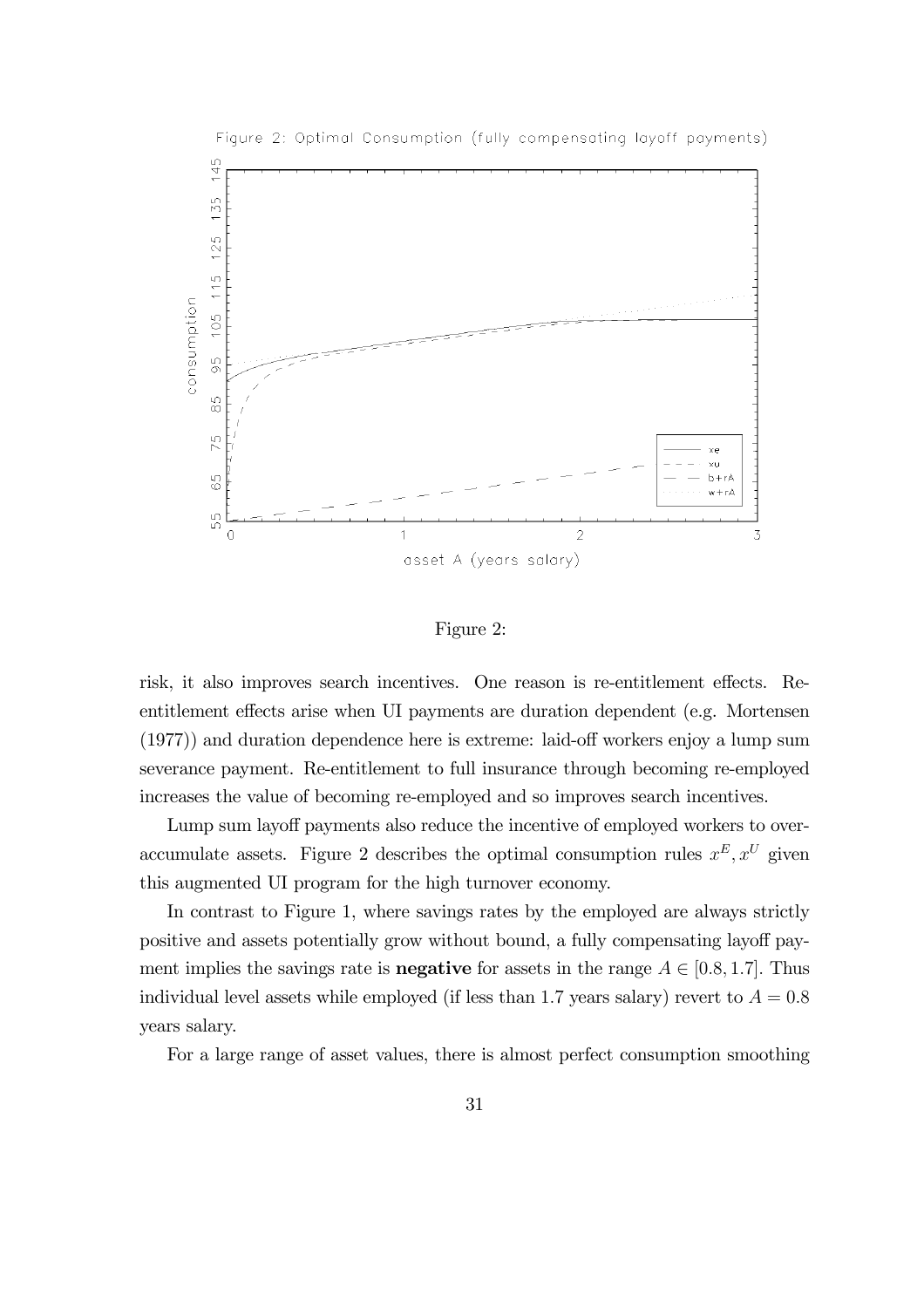

Figure 2: Optimal Consumption (fully compensating layoff payments)

#### Figure 2:

risk, it also improves search incentives. One reason is re-entitlement effects. Reentitlement effects arise when UI payments are duration dependent (e.g. Mortensen (1977)) and duration dependence here is extreme: laid-off workers enjoy a lump sum severance payment. Re-entitlement to full insurance through becoming re-employed increases the value of becoming re-employed and so improves search incentives.

Lump sum layoff payments also reduce the incentive of employed workers to overaccumulate assets. Figure 2 describes the optimal consumption rules  $x^E, x^U$  given this augmented UI program for the high turnover economy.

In contrast to Figure 1, where savings rates by the employed are always strictly positive and assets potentially grow without bound, a fully compensating layoff payment implies the savings rate is **negative** for assets in the range  $A \in [0.8, 1.7]$ . Thus individual level assets while employed (if less than 1.7 years salary) revert to  $A = 0.8$ years salary.

For a large range of asset values, there is almost perfect consumption smoothing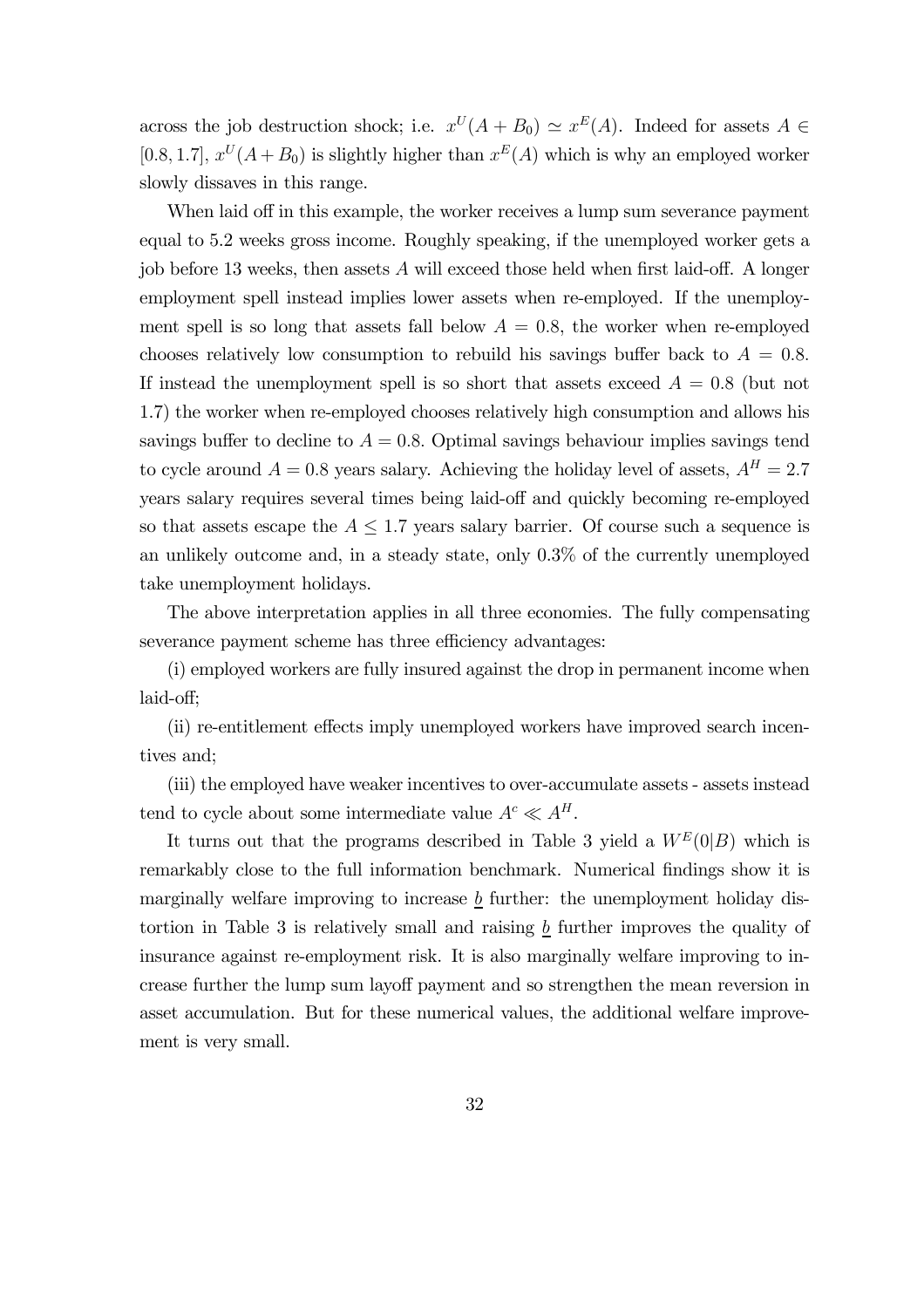across the job destruction shock; i.e.  $x^U(A + B_0) \simeq x^E(A)$ . Indeed for assets  $A \in$ [0.8, 1.7],  $x^U(A + B_0)$  is slightly higher than  $x^E(A)$  which is why an employed worker slowly dissaves in this range.

When laid off in this example, the worker receives a lump sum severance payment equal to 5.2 weeks gross income. Roughly speaking, if the unemployed worker gets a job before 13 weeks, then assets  $A$  will exceed those held when first laid-off. A longer employment spell instead implies lower assets when re-employed. If the unemployment spell is so long that assets fall below  $A = 0.8$ , the worker when re-employed chooses relatively low consumption to rebuild his savings buffer back to  $A = 0.8$ . If instead the unemployment spell is so short that assets exceed  $A = 0.8$  (but not 1.7) the worker when re-employed chooses relatively high consumption and allows his savings buffer to decline to  $A = 0.8$ . Optimal savings behaviour implies savings tend to cycle around  $A = 0.8$  years salary. Achieving the holiday level of assets,  $A<sup>H</sup> = 2.7$ years salary requires several times being laid-off and quickly becoming re-employed so that assets escape the  $A \leq 1.7$  years salary barrier. Of course such a sequence is an unlikely outcome and, in a steady state, only 0.3% of the currently unemployed take unemployment holidays.

The above interpretation applies in all three economies. The fully compensating severance payment scheme has three efficiency advantages:

(i) employed workers are fully insured against the drop in permanent income when laid-off;

(ii) re-entitlement effects imply unemployed workers have improved search incentives and;

(iii) the employed have weaker incentives to over-accumulate assets - assets instead tend to cycle about some intermediate value  $A^c \ll A^H$ .

It turns out that the programs described in Table 3 yield a  $W^E(0|B)$  which is remarkably close to the full information benchmark. Numerical findings show it is marginally welfare improving to increase  $\underline{b}$  further: the unemployment holiday distortion in Table 3 is relatively small and raising b further improves the quality of insurance against re-employment risk. It is also marginally welfare improving to increase further the lump sum layoff payment and so strengthen the mean reversion in asset accumulation. But for these numerical values, the additional welfare improvement is very small.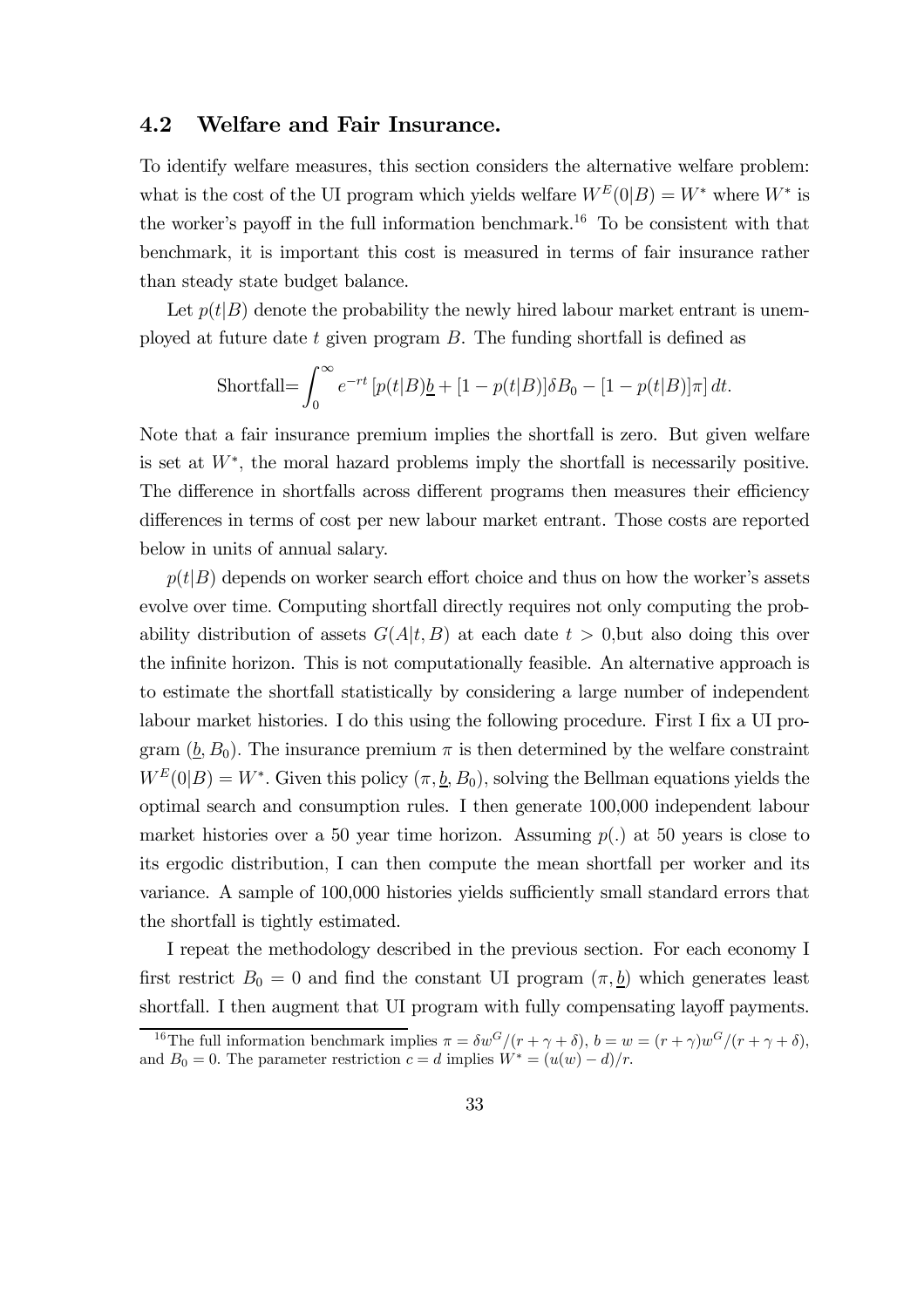### 4.2 Welfare and Fair Insurance.

To identify welfare measures, this section considers the alternative welfare problem: what is the cost of the UI program which yields welfare  $W^{E}(0|B) = W^*$  where  $W^*$  is the worker's payoff in the full information benchmark.<sup>16</sup> To be consistent with that benchmark, it is important this cost is measured in terms of fair insurance rather than steady state budget balance.

Let  $p(t|B)$  denote the probability the newly hired labour market entrant is unemployed at future date t given program  $B$ . The funding shortfall is defined as

$$
\text{Shortfall} = \int_0^\infty e^{-rt} \left[ p(t|B) \underline{b} + [1 - p(t|B)] \delta B_0 - [1 - p(t|B)] \pi \right] dt.
$$

Note that a fair insurance premium implies the shortfall is zero. But given welfare is set at W∗, the moral hazard problems imply the shortfall is necessarily positive. The difference in shortfalls across different programs then measures their efficiency differences in terms of cost per new labour market entrant. Those costs are reported below in units of annual salary.

 $p(t|B)$  depends on worker search effort choice and thus on how the worker's assets evolve over time. Computing shortfall directly requires not only computing the probability distribution of assets  $G(A|t, B)$  at each date  $t > 0$ , but also doing this over the infinite horizon. This is not computationally feasible. An alternative approach is to estimate the shortfall statistically by considering a large number of independent labour market histories. I do this using the following procedure. First I fix a UI program  $(\underline{b}, B_0)$ . The insurance premium  $\pi$  is then determined by the welfare constraint  $W^{E}(0|B) = W^*$ . Given this policy  $(\pi, \underline{b}, B_0)$ , solving the Bellman equations yields the optimal search and consumption rules. I then generate 100,000 independent labour market histories over a 50 year time horizon. Assuming  $p(.)$  at 50 years is close to its ergodic distribution, I can then compute the mean shortfall per worker and its variance. A sample of 100,000 histories yields sufficiently small standard errors that the shortfall is tightly estimated.

I repeat the methodology described in the previous section. For each economy I first restrict  $B_0 = 0$  and find the constant UI program  $(\pi, b)$  which generates least shortfall. I then augment that UI program with fully compensating layoff payments.

<sup>&</sup>lt;sup>16</sup>The full information benchmark implies  $\pi = \delta w^G/(r + \gamma + \delta)$ ,  $b = w = (r + \gamma)w^G/(r + \gamma + \delta)$ , and  $B_0 = 0$ . The parameter restriction  $c = d$  implies  $W^* = (u(w) - d)/r$ .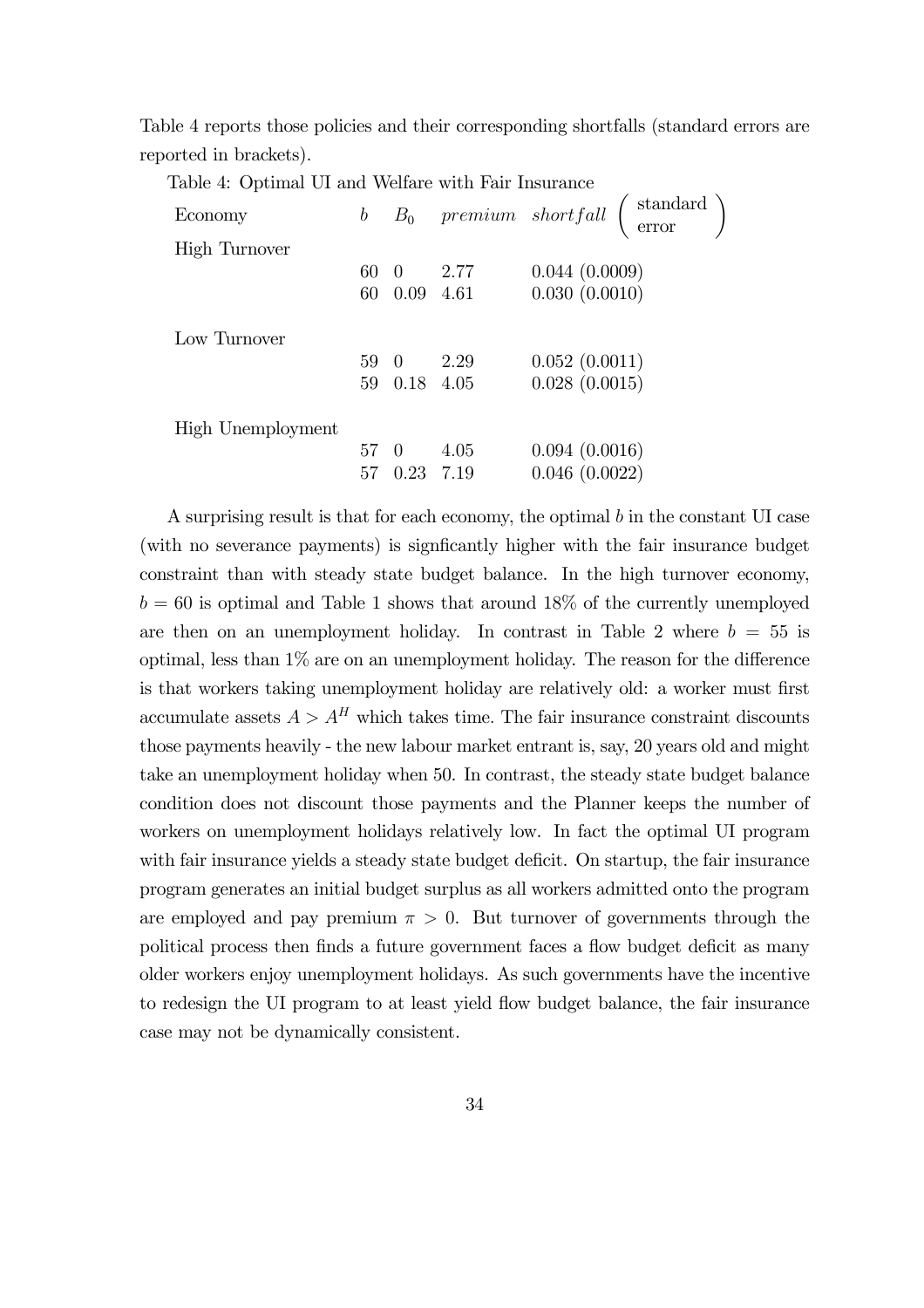Table 4 reports those policies and their corresponding shortfalls (standard errors are reported in brackets).

Table 4: Optimal UI and Welfare with Fair Insurance

| Economy              | $\boldsymbol{b}$ |              |             | $B_0$ premium shortfall $\begin{pmatrix}$ standard $\\$ error |
|----------------------|------------------|--------------|-------------|---------------------------------------------------------------|
| <b>High Turnover</b> |                  |              |             |                                                               |
|                      | 60 0             |              | 2.77        | 0.044(0.0009)                                                 |
|                      | 60               |              | $0.09$ 4.61 | 0.030(0.0010)                                                 |
| Low Turnover         |                  |              |             |                                                               |
|                      | 59 0             |              | 2.29        | 0.052(0.0011)                                                 |
|                      |                  | 59 0.18 4.05 |             | 0.028(0.0015)                                                 |
| High Unemployment    |                  |              |             |                                                               |
|                      | 57 0             |              | 4.05        | 0.094(0.0016)                                                 |
|                      | 57               | 0.23         | 7.19        | 0.046(0.0022)                                                 |

A surprising result is that for each economy, the optimal  $b$  in the constant UI case (with no severance payments) is signficantly higher with the fair insurance budget constraint than with steady state budget balance. In the high turnover economy,  $b = 60$  is optimal and Table 1 shows that around 18% of the currently unemployed are then on an unemployment holiday. In contrast in Table 2 where  $b = 55$  is optimal, less than 1% are on an unemployment holiday. The reason for the difference is that workers taking unemployment holiday are relatively old: a worker must first accumulate assets  $A > A<sup>H</sup>$  which takes time. The fair insurance constraint discounts those payments heavily - the new labour market entrant is, say, 20 years old and might take an unemployment holiday when 50. In contrast, the steady state budget balance condition does not discount those payments and the Planner keeps the number of workers on unemployment holidays relatively low. In fact the optimal UI program with fair insurance yields a steady state budget deficit. On startup, the fair insurance program generates an initial budget surplus as all workers admitted onto the program are employed and pay premium  $\pi > 0$ . But turnover of governments through the political process then finds a future government faces a flow budget deficit as many older workers enjoy unemployment holidays. As such governments have the incentive to redesign the UI program to at least yield flow budget balance, the fair insurance case may not be dynamically consistent.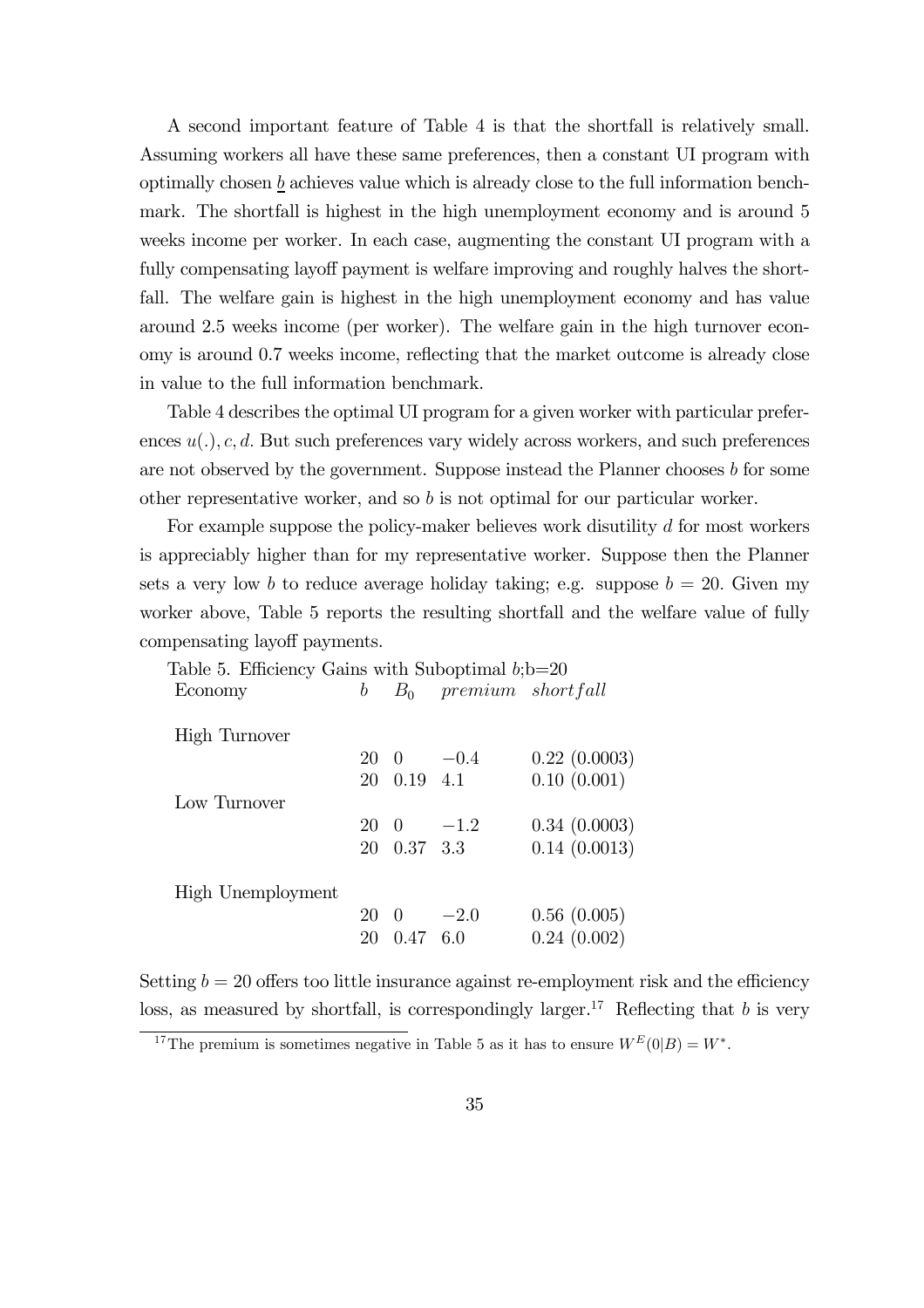A second important feature of Table 4 is that the shortfall is relatively small. Assuming workers all have these same preferences, then a constant UI program with optimally chosen b achieves value which is already close to the full information benchmark. The shortfall is highest in the high unemployment economy and is around 5 weeks income per worker. In each case, augmenting the constant UI program with a fully compensating layoff payment is welfare improving and roughly halves the shortfall. The welfare gain is highest in the high unemployment economy and has value around 2.5 weeks income (per worker). The welfare gain in the high turnover economy is around 0.7 weeks income, reflecting that the market outcome is already close in value to the full information benchmark.

Table 4 describes the optimal UI program for a given worker with particular preferences  $u(.)$ , c, d. But such preferences vary widely across workers, and such preferences are not observed by the government. Suppose instead the Planner chooses  $b$  for some other representative worker, and so  $b$  is not optimal for our particular worker.

For example suppose the policy-maker believes work disutility d for most workers is appreciably higher than for my representative worker. Suppose then the Planner sets a very low b to reduce average holiday taking; e.g. suppose  $b = 20$ . Given my worker above, Table 5 reports the resulting shortfall and the welfare value of fully compensating layoff payments.

| Table 5. Efficiency Gains with Suboptimal $b; b=20$ |    |                 |                         |              |
|-----------------------------------------------------|----|-----------------|-------------------------|--------------|
| Economy                                             | b  |                 | $B_0$ premium shortfall |              |
| High Turnover                                       |    |                 |                         |              |
|                                                     |    |                 | $20 \t 0 \t -0.4$       | 0.22(0.0003) |
|                                                     |    | 20 0.19 4.1     |                         | 0.10(0.001)  |
| Low Turnover                                        |    |                 |                         |              |
|                                                     |    |                 | $20 \quad 0 \quad -1.2$ | 0.34(0.0003) |
|                                                     |    | 20 0.37 3.3     |                         | 0.14(0.0013) |
|                                                     |    |                 |                         |              |
| High Unemployment                                   |    |                 |                         |              |
|                                                     | 20 |                 | $0 \t -2.0$             | 0.56(0.005)  |
|                                                     | 20 | $0.47\quad 6.0$ |                         | 0.24(0.002)  |
|                                                     |    |                 |                         |              |

Setting  $b = 20$  offers too little insurance against re-employment risk and the efficiency loss, as measured by shortfall, is correspondingly larger.<sup>17</sup> Reflecting that b is very

<sup>&</sup>lt;sup>17</sup>The premium is sometimes negative in Table 5 as it has to ensure  $W^{E}(0|B) = W^*$ .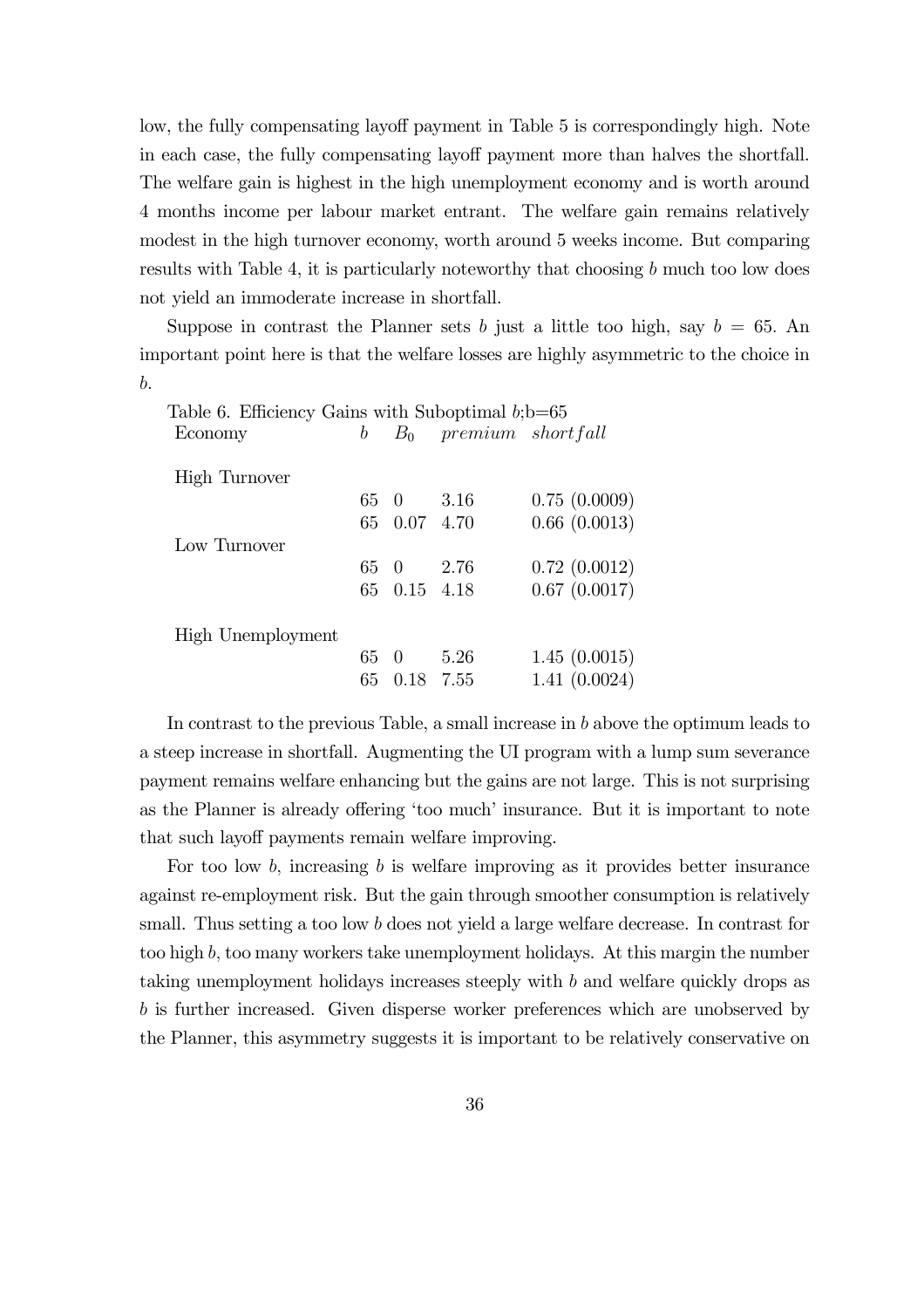low, the fully compensating layoff payment in Table 5 is correspondingly high. Note in each case, the fully compensating layoff payment more than halves the shortfall. The welfare gain is highest in the high unemployment economy and is worth around 4 months income per labour market entrant. The welfare gain remains relatively modest in the high turnover economy, worth around 5 weeks income. But comparing results with Table 4, it is particularly noteworthy that choosing  $b$  much too low does not yield an immoderate increase in shortfall.

Suppose in contrast the Planner sets b just a little too high, say  $b = 65$ . An important point here is that the welfare losses are highly asymmetric to the choice in b.

|    |      | 0.75(0.0009)                                                                                                                                                          |
|----|------|-----------------------------------------------------------------------------------------------------------------------------------------------------------------------|
|    |      | 0.66(0.0013)                                                                                                                                                          |
|    |      |                                                                                                                                                                       |
|    |      | 0.72(0.0012)                                                                                                                                                          |
|    |      | 0.67(0.0017)                                                                                                                                                          |
|    |      |                                                                                                                                                                       |
|    |      |                                                                                                                                                                       |
|    |      | 1.45(0.0015)                                                                                                                                                          |
| 65 |      | 1.41(0.0024)                                                                                                                                                          |
|    | 65 0 | Table 6. Efficiency Gains with Suboptimal $b; b = 65$<br>$b$ $B_0$ premium shortfall<br>65 0 3.16<br>65 0.07 4.70<br>65 0 2.76<br>65 0.15 4.18<br>- 5.26<br>0.18 7.55 |

In contrast to the previous Table, a small increase in b above the optimum leads to a steep increase in shortfall. Augmenting the UI program with a lump sum severance payment remains welfare enhancing but the gains are not large. This is not surprising as the Planner is already offering 'too much' insurance. But it is important to note that such layoff payments remain welfare improving.

For too low  $b$ , increasing  $b$  is welfare improving as it provides better insurance against re-employment risk. But the gain through smoother consumption is relatively small. Thus setting a too low b does not yield a large welfare decrease. In contrast for too high b, too many workers take unemployment holidays. At this margin the number taking unemployment holidays increases steeply with b and welfare quickly drops as b is further increased. Given disperse worker preferences which are unobserved by the Planner, this asymmetry suggests it is important to be relatively conservative on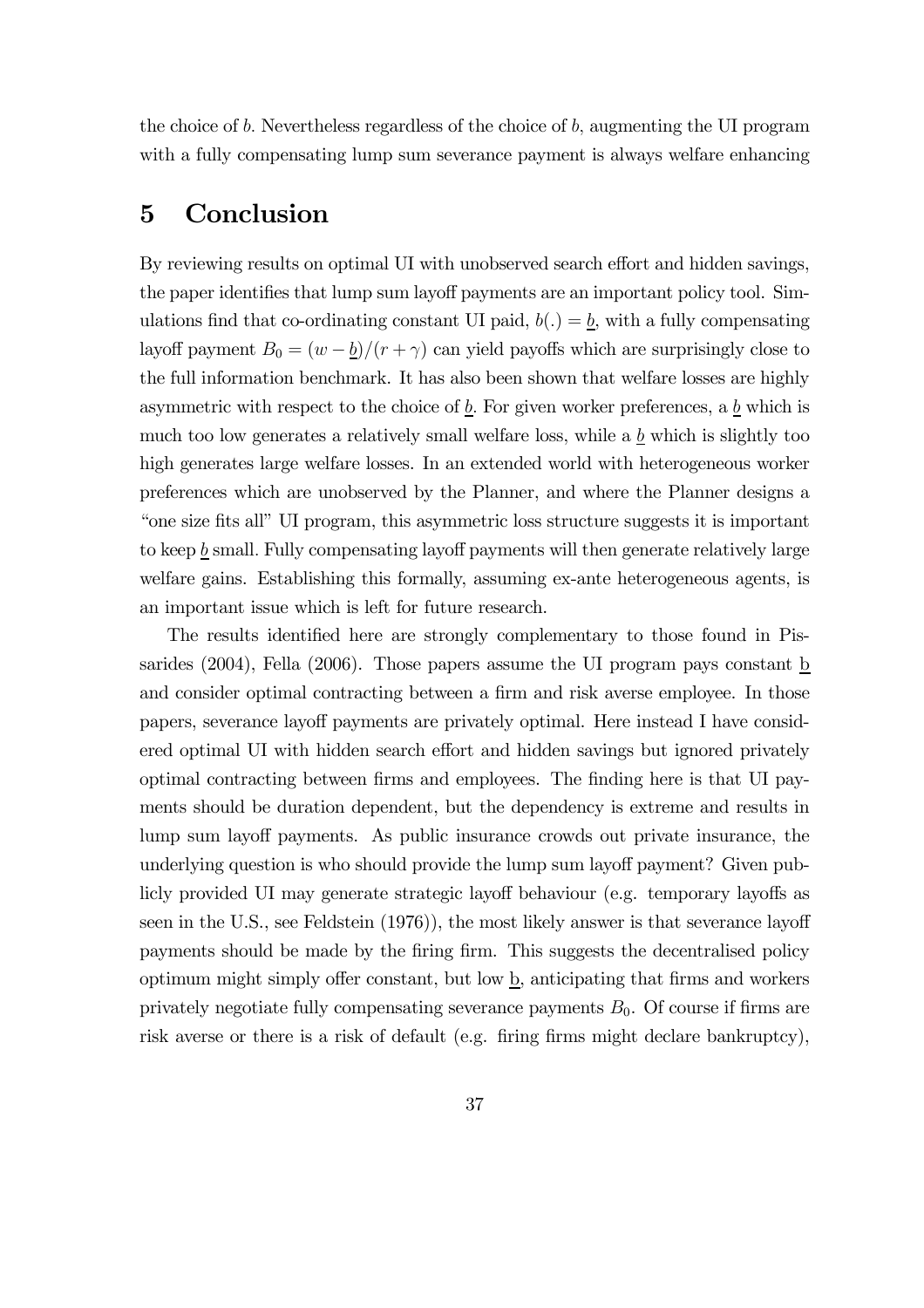the choice of b. Nevertheless regardless of the choice of b, augmenting the UI program with a fully compensating lump sum severance payment is always welfare enhancing

## 5 Conclusion

By reviewing results on optimal UI with unobserved search effort and hidden savings, the paper identifies that lump sum layoff payments are an important policy tool. Simulations find that co-ordinating constant UI paid,  $b(.) = \underline{b}$ , with a fully compensating layoff payment  $B_0 = (w - b)/(r + \gamma)$  can yield payoffs which are surprisingly close to the full information benchmark. It has also been shown that welfare losses are highly asymmetric with respect to the choice of  $\underline{b}$ . For given worker preferences, a  $\underline{b}$  which is much too low generates a relatively small welfare loss, while a  $\underline{b}$  which is slightly too high generates large welfare losses. In an extended world with heterogeneous worker preferences which are unobserved by the Planner, and where the Planner designs a "one size fits all" UI program, this asymmetric loss structure suggests it is important to keep  $\underline{b}$  small. Fully compensating layoff payments will then generate relatively large welfare gains. Establishing this formally, assuming ex-ante heterogeneous agents, is an important issue which is left for future research.

The results identified here are strongly complementary to those found in Pissarides (2004), Fella (2006). Those papers assume the UI program pays constant  $\underline{b}$ and consider optimal contracting between a firm and risk averse employee. In those papers, severance layoff payments are privately optimal. Here instead I have considered optimal UI with hidden search effort and hidden savings but ignored privately optimal contracting between firms and employees. The finding here is that UI payments should be duration dependent, but the dependency is extreme and results in lump sum layoff payments. As public insurance crowds out private insurance, the underlying question is who should provide the lump sum layoff payment? Given publicly provided UI may generate strategic layoff behaviour (e.g. temporary layoffs as seen in the U.S., see Feldstein (1976)), the most likely answer is that severance layoff payments should be made by the firing firm. This suggests the decentralised policy optimum might simply offer constant, but low  $\underline{b}$ , anticipating that firms and workers privately negotiate fully compensating severance payments  $B_0$ . Of course if firms are risk averse or there is a risk of default (e.g. firing firms might declare bankruptcy),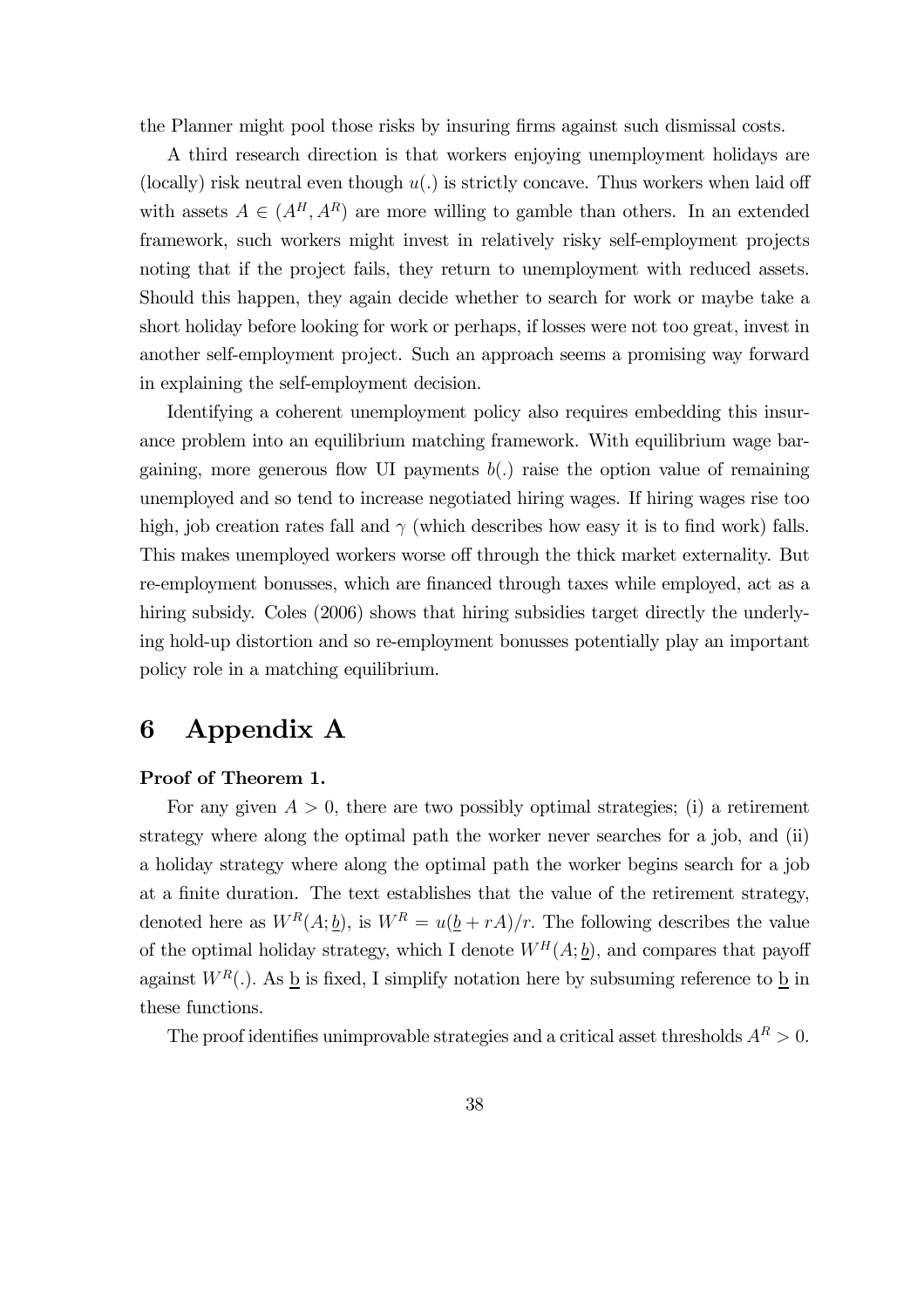the Planner might pool those risks by insuring firms against such dismissal costs.

A third research direction is that workers enjoying unemployment holidays are (locally) risk neutral even though  $u(.)$  is strictly concave. Thus workers when laid off with assets  $A \in (A^H, A^R)$  are more willing to gamble than others. In an extended framework, such workers might invest in relatively risky self-employment projects noting that if the project fails, they return to unemployment with reduced assets. Should this happen, they again decide whether to search for work or maybe take a short holiday before looking for work or perhaps, if losses were not too great, invest in another self-employment project. Such an approach seems a promising way forward in explaining the self-employment decision.

Identifying a coherent unemployment policy also requires embedding this insurance problem into an equilibrium matching framework. With equilibrium wage bargaining, more generous flow UI payments  $b(.)$  raise the option value of remaining unemployed and so tend to increase negotiated hiring wages. If hiring wages rise too high, job creation rates fall and  $\gamma$  (which describes how easy it is to find work) falls. This makes unemployed workers worse off through the thick market externality. But re-employment bonusses, which are financed through taxes while employed, act as a hiring subsidy. Coles (2006) shows that hiring subsidies target directly the underlying hold-up distortion and so re-employment bonusses potentially play an important policy role in a matching equilibrium.

# 6 Appendix A

#### Proof of Theorem 1.

For any given  $A > 0$ , there are two possibly optimal strategies; (i) a retirement strategy where along the optimal path the worker never searches for a job, and (ii) a holiday strategy where along the optimal path the worker begins search for a job at a finite duration. The text establishes that the value of the retirement strategy, denoted here as  $W^R(A; \underline{b})$ , is  $W^R = u(\underline{b} + rA)/r$ . The following describes the value of the optimal holiday strategy, which I denote  $W^H(A; \underline{b})$ , and compares that payoff against  $W^R(.)$ . As <u>b</u> is fixed, I simplify notation here by subsuming reference to <u>b</u> in these functions.

The proof identifies unimprovable strategies and a critical asset thresholds  $A<sup>R</sup> > 0$ .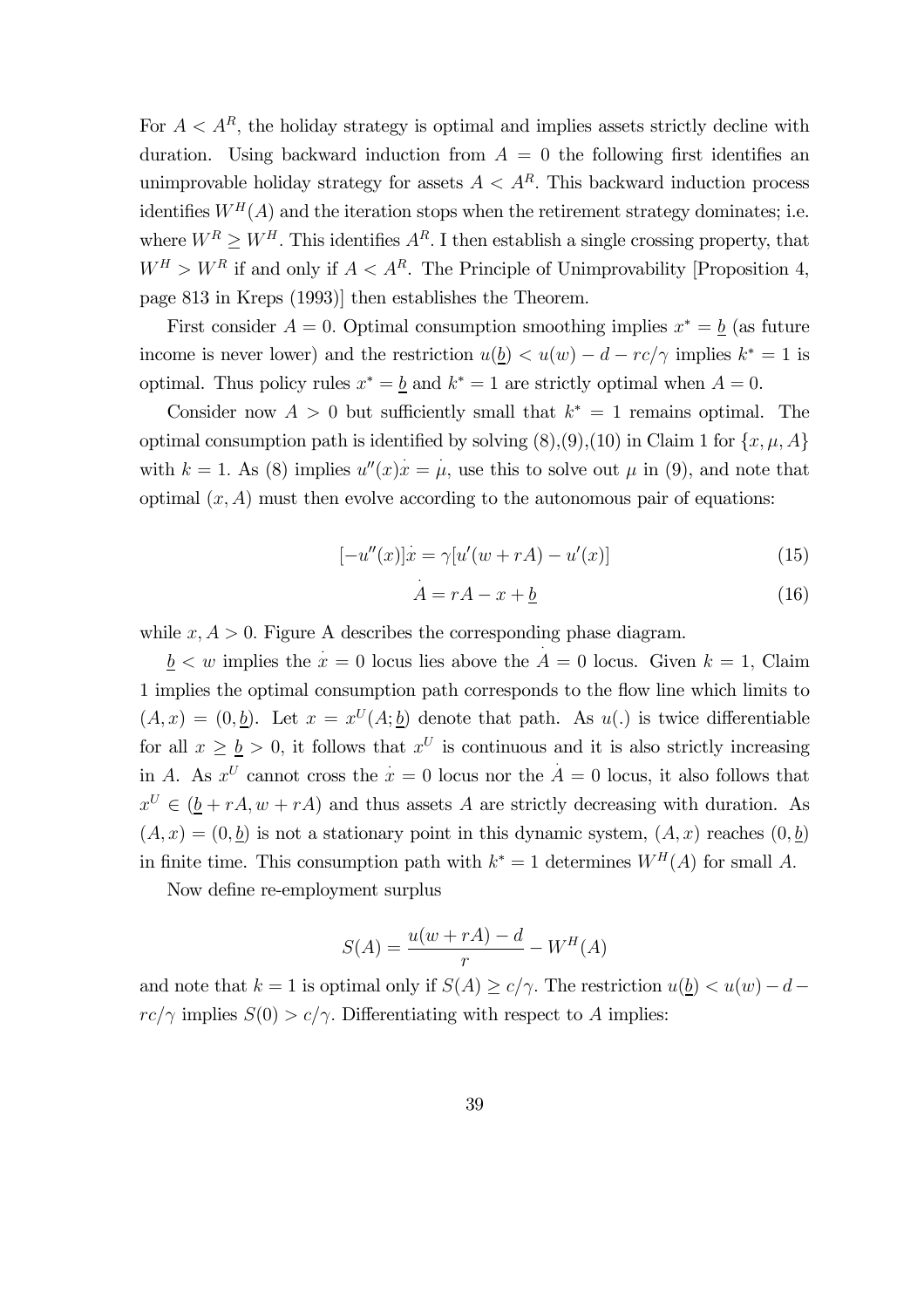For  $A < A<sup>R</sup>$ , the holiday strategy is optimal and implies assets strictly decline with duration. Using backward induction from  $A = 0$  the following first identifies an unimprovable holiday strategy for assets  $A < A<sup>R</sup>$ . This backward induction process identifies  $W<sup>H</sup>(A)$  and the iteration stops when the retirement strategy dominates; i.e. where  $W^R \geq W^H$ . This identifies  $A^R$ . I then establish a single crossing property, that  $W^H > W^R$  if and only if  $A < A^R$ . The Principle of Unimprovability [Proposition 4, page 813 in Kreps (1993)] then establishes the Theorem.

First consider  $A = 0$ . Optimal consumption smoothing implies  $x^* = b$  (as future income is never lower) and the restriction  $u(\underline{b}) < u(w) - d - rc/\gamma$  implies  $k^* = 1$  is optimal. Thus policy rules  $x^* = b$  and  $k^* = 1$  are strictly optimal when  $A = 0$ .

Consider now  $A > 0$  but sufficiently small that  $k^* = 1$  remains optimal. The optimal consumption path is identified by solving  $(8), (9), (10)$  in Claim 1 for  $\{x, \mu, A\}$ with  $k = 1$ . As (8) implies  $u''(x)x = \mu$ , use this to solve out  $\mu$  in (9), and note that optimal  $(x, A)$  must then evolve according to the autonomous pair of equations:

$$
[-u''(x)]\dot{x} = \gamma[u'(w + rA) - u'(x)]
$$
\n(15)

$$
\dot{A} = rA - x + \underline{b} \tag{16}
$$

while  $x, A > 0$ . Figure A describes the corresponding phase diagram.

 $\underline{b} < w$  implies the  $x = 0$  locus lies above the  $A = 0$  locus. Given  $k = 1$ , Claim 1 implies the optimal consumption path corresponds to the flow line which limits to  $(A, x) = (0, \underline{b})$ . Let  $x = x^U(A; \underline{b})$  denote that path. As  $u(.)$  is twice differentiable for all  $x \geq b > 0$ , it follows that  $x^U$  is continuous and it is also strictly increasing in A. As  $x^U$  cannot cross the  $x = 0$  locus nor the  $A = 0$  locus, it also follows that  $x^U \in (\underline{b} + rA, w + rA)$  and thus assets A are strictly decreasing with duration. As  $(A, x) = (0, b)$  is not a stationary point in this dynamic system,  $(A, x)$  reaches  $(0, b)$ in finite time. This consumption path with  $k^* = 1$  determines  $W^H(A)$  for small A.

Now define re-employment surplus

$$
S(A) = \frac{u(w + rA) - d}{r} - W^H(A)
$$

and note that  $k = 1$  is optimal only if  $S(A) \ge c/\gamma$ . The restriction  $u(\underline{b}) < u(w) - d$  $rc/\gamma$  implies  $S(0) > c/\gamma$ . Differentiating with respect to A implies: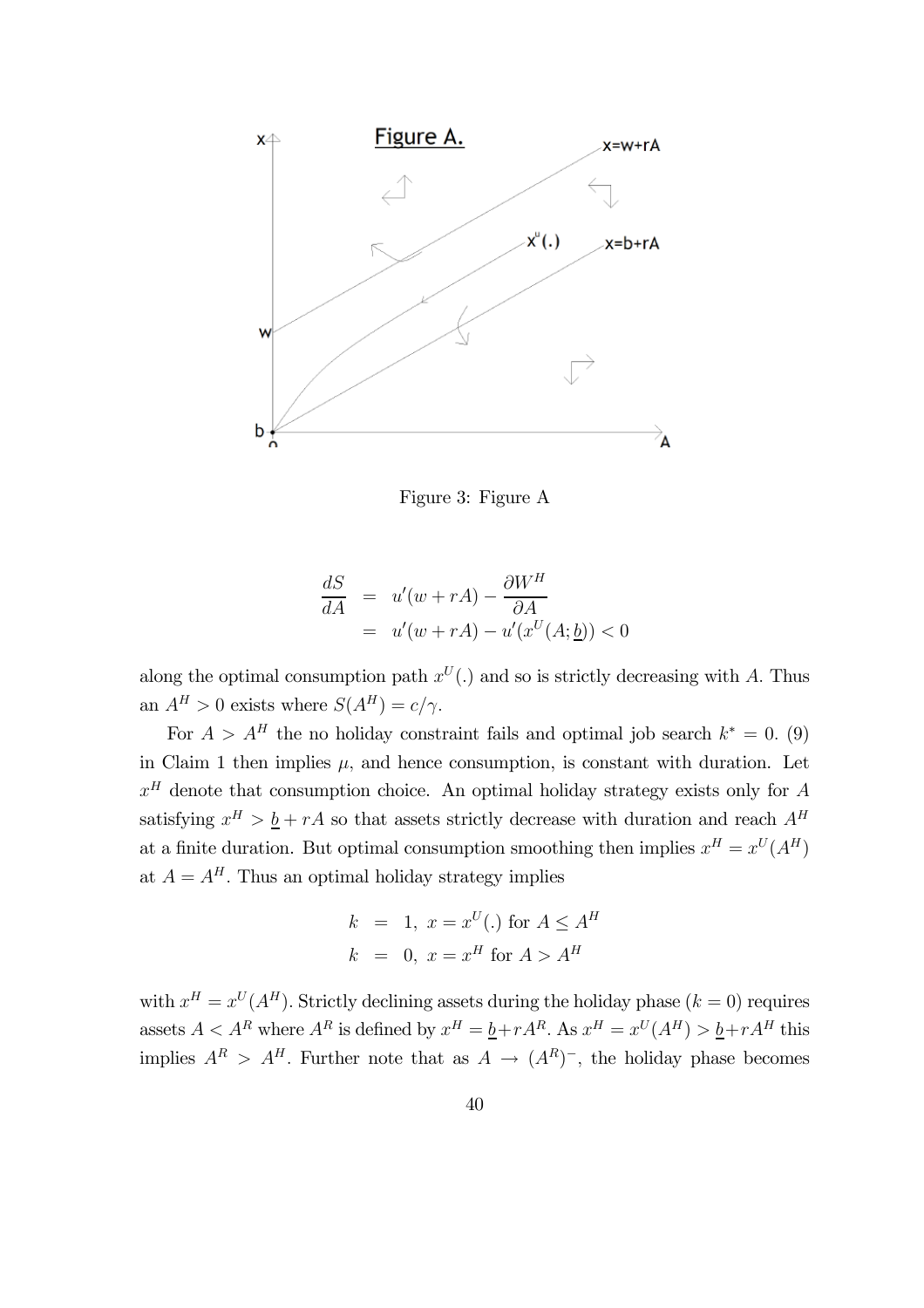

Figure 3: Figure A

$$
\frac{dS}{dA} = u'(w + rA) - \frac{\partial W^H}{\partial A}
$$
  
=  $u'(w + rA) - u'(x^U(A; \underline{b})) < 0$ 

along the optimal consumption path  $x^U(.)$  and so is strictly decreasing with A. Thus an  $A^H > 0$  exists where  $S(A^H) = c/\gamma$ .

For  $A > A<sup>H</sup>$  the no holiday constraint fails and optimal job search  $k^* = 0$ . (9) in Claim 1 then implies  $\mu$ , and hence consumption, is constant with duration. Let  $x<sup>H</sup>$  denote that consumption choice. An optimal holiday strategy exists only for A satisfying  $x^H > \underline{b} + rA$  so that assets strictly decrease with duration and reach  $A^H$ at a finite duration. But optimal consumption smoothing then implies  $x^H = x^U (A^H)$ at  $A = A<sup>H</sup>$ . Thus an optimal holiday strategy implies

$$
k = 1, x = x^U(.) \text{ for } A \le A^H
$$
  

$$
k = 0, x = x^H \text{ for } A > A^H
$$

with  $x^H = x^U (A^H)$ . Strictly declining assets during the holiday phase  $(k = 0)$  requires assets  $A < A^R$  where  $A^R$  is defined by  $x^H = \underline{b} + rA^R$ . As  $x^H = x^U(A^H) > \underline{b} + rA^H$  this implies  $A^R > A^H$ . Further note that as  $A \rightarrow (A^R)^-$ , the holiday phase becomes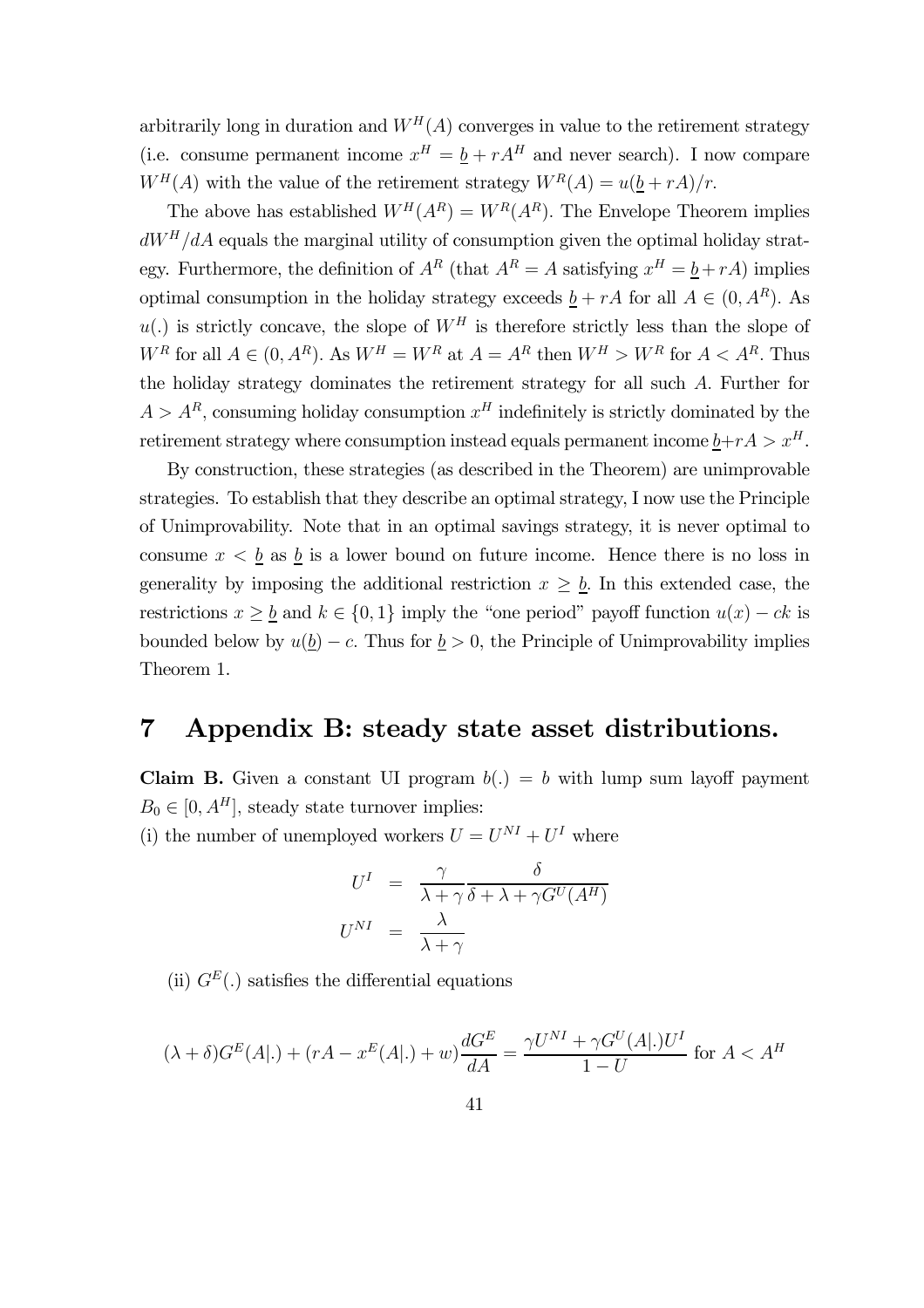arbitrarily long in duration and  $W<sup>H</sup>(A)$  converges in value to the retirement strategy (i.e. consume permanent income  $x^H = \underline{b} + rA^H$  and never search). I now compare  $W^H(A)$  with the value of the retirement strategy  $W^R(A) = u(b + rA)/r$ .

The above has established  $W^H(A^R) = W^R(A^R)$ . The Envelope Theorem implies  $dW<sup>H</sup>/dA$  equals the marginal utility of consumption given the optimal holiday strategy. Furthermore, the definition of  $A^R$  (that  $A^R = A$  satisfying  $x^H = \underline{b} + rA$ ) implies optimal consumption in the holiday strategy exceeds  $b + rA$  for all  $A \in (0, A^R)$ . As  $u(.)$  is strictly concave, the slope of  $W<sup>H</sup>$  is therefore strictly less than the slope of  $W^R$  for all  $A \in (0, A^R)$ . As  $W^H = W^R$  at  $A = A^R$  then  $W^H > W^R$  for  $A < A^R$ . Thus the holiday strategy dominates the retirement strategy for all such A. Further for  $A > A<sup>R</sup>$ , consuming holiday consumption  $x<sup>H</sup>$  indefinitely is strictly dominated by the retirement strategy where consumption instead equals permanent income  $\underline{b}+r\overline{A} > x^H$ .

By construction, these strategies (as described in the Theorem) are unimprovable strategies. To establish that they describe an optimal strategy, I now use the Principle of Unimprovability. Note that in an optimal savings strategy, it is never optimal to consume  $x < \underline{b}$  as  $\underline{b}$  is a lower bound on future income. Hence there is no loss in generality by imposing the additional restriction  $x \geq \underline{b}$ . In this extended case, the restrictions  $x \geq b$  and  $k \in \{0,1\}$  imply the "one period" payoff function  $u(x) - ck$  is bounded below by  $u(\underline{b}) - c$ . Thus for  $\underline{b} > 0$ , the Principle of Unimprovability implies Theorem 1.

## 7 Appendix B: steady state asset distributions.

**Claim B.** Given a constant UI program  $b(.) = b$  with lump sum layoff payment  $B_0 \in [0, A^H]$ , steady state turnover implies:

(i) the number of unemployed workers  $U = U^{NI} + U^{I}$  where

$$
U^{I} = \frac{\gamma}{\lambda + \gamma} \frac{\delta}{\delta + \lambda + \gamma G^{U}(A^{H})}
$$

$$
U^{NI} = \frac{\lambda}{\lambda + \gamma}
$$

(ii)  $G<sup>E</sup>(.)$  satisfies the differential equations

$$
(\lambda + \delta)G^{E}(A|.) + (rA - x^{E}(A|.) + w)\frac{dG^{E}}{dA} = \frac{\gamma U^{NI} + \gamma G^{U}(A|.)U^{I}}{1 - U}
$$
 for  $A < A^{H}$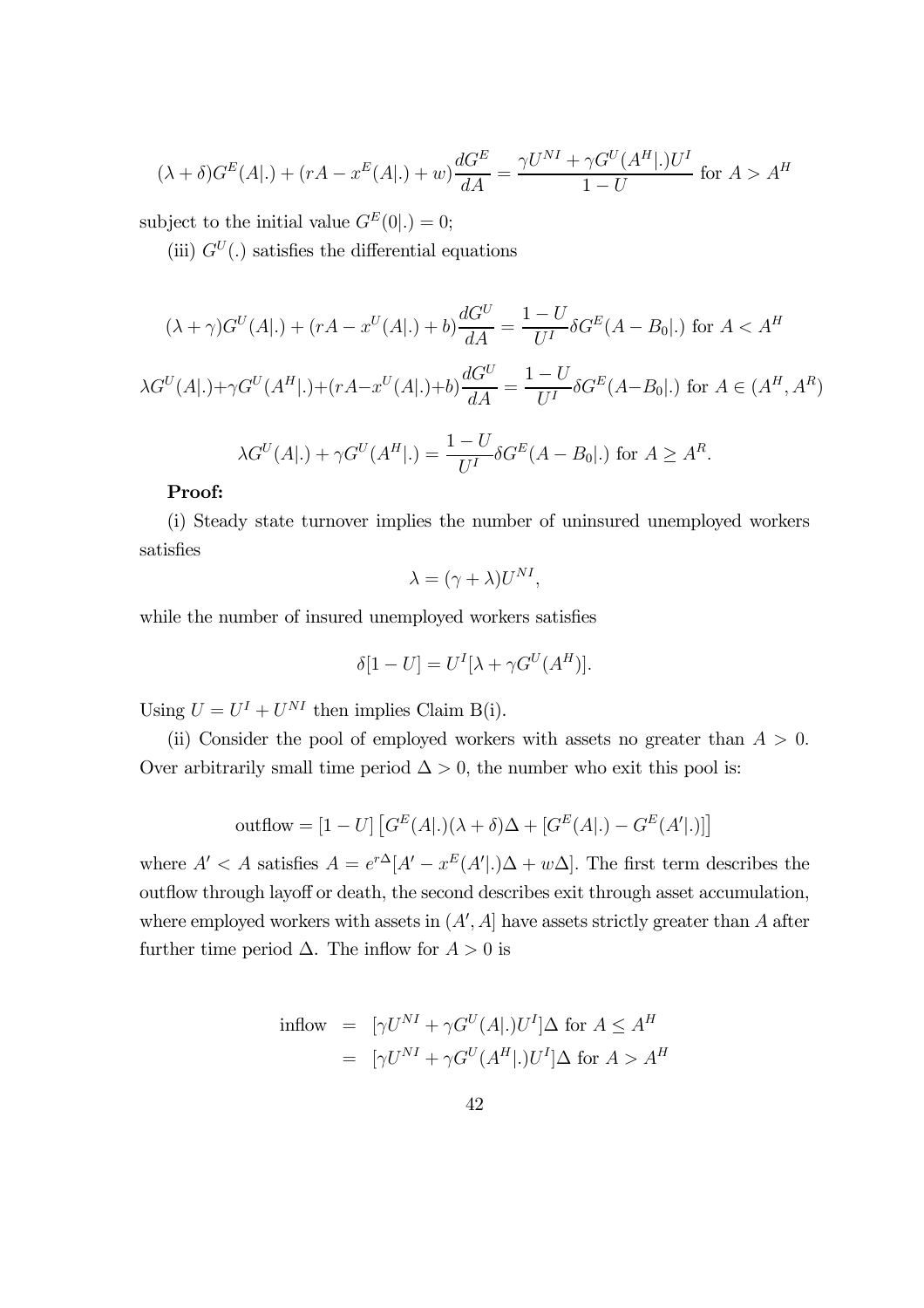$$
(\lambda + \delta)G^{E}(A|.) + (rA - x^{E}(A|.) + w)\frac{dG^{E}}{dA} = \frac{\gamma U^{NI} + \gamma G^{U}(A^{H}|.)U^{I}}{1 - U}
$$
 for  $A > A^{H}$ 

subject to the initial value  $G^{E}(0|.) = 0;$ 

(iii)  $G^U(.)$  satisfies the differential equations

$$
(\lambda + \gamma)G^{U}(A|.) + (rA - x^{U}(A|.) + b)\frac{dG^{U}}{dA} = \frac{1 - U}{U^{I}} \delta G^{E}(A - B_{0}|.) \text{ for } A < A^{H}
$$

$$
\lambda G^{U}(A|.) + \gamma G^{U}(A^{H}|.) + (rA - x^{U}(A|.) + b)\frac{dG^{U}}{dA} = \frac{1 - U}{U^{I}} \delta G^{E}(A - B_{0}|.) \text{ for } A \in (A^{H}, A^{R})
$$

$$
\lambda G^{U}(A|.) + \gamma G^{U}(A^{H}|.) = \frac{1 - U}{U^{I}} \delta G^{E}(A - B_{0}|.)
$$
 for  $A \ge A^{R}$ .

#### Proof:

(i) Steady state turnover implies the number of uninsured unemployed workers satisfies

$$
\lambda = (\gamma + \lambda)U^{NI},
$$

while the number of insured unemployed workers satisfies

$$
\delta[1-U] = U^I[\lambda + \gamma G^U(A^H)].
$$

Using  $U = U^I + U^{NI}$  then implies Claim B(i).

(ii) Consider the pool of employed workers with assets no greater than  $A > 0$ . Over arbitrarily small time period  $\Delta > 0$ , the number who exit this pool is:

outflow = 
$$
[1 - U] [G^{E}(A|.)(\lambda + \delta)\Delta + [G^{E}(A|.) - G^{E}(A'|.)]
$$

where  $A' < A$  satisfies  $A = e^{r\Delta} [A' - x^E(A' |.) \Delta + w\Delta]$ . The first term describes the outflow through layoff or death, the second describes exit through asset accumulation, where employed workers with assets in  $(A', A]$  have assets strictly greater than A after further time period  $\Delta$ . The inflow for  $A > 0$  is

$$
\text{inflow} = [\gamma U^{NI} + \gamma G^{U}(A|.)U^{I}]\Delta \text{ for } A \le A^{H}
$$
\n
$$
= [\gamma U^{NI} + \gamma G^{U}(A^{H}|.)U^{I}]\Delta \text{ for } A > A^{H}
$$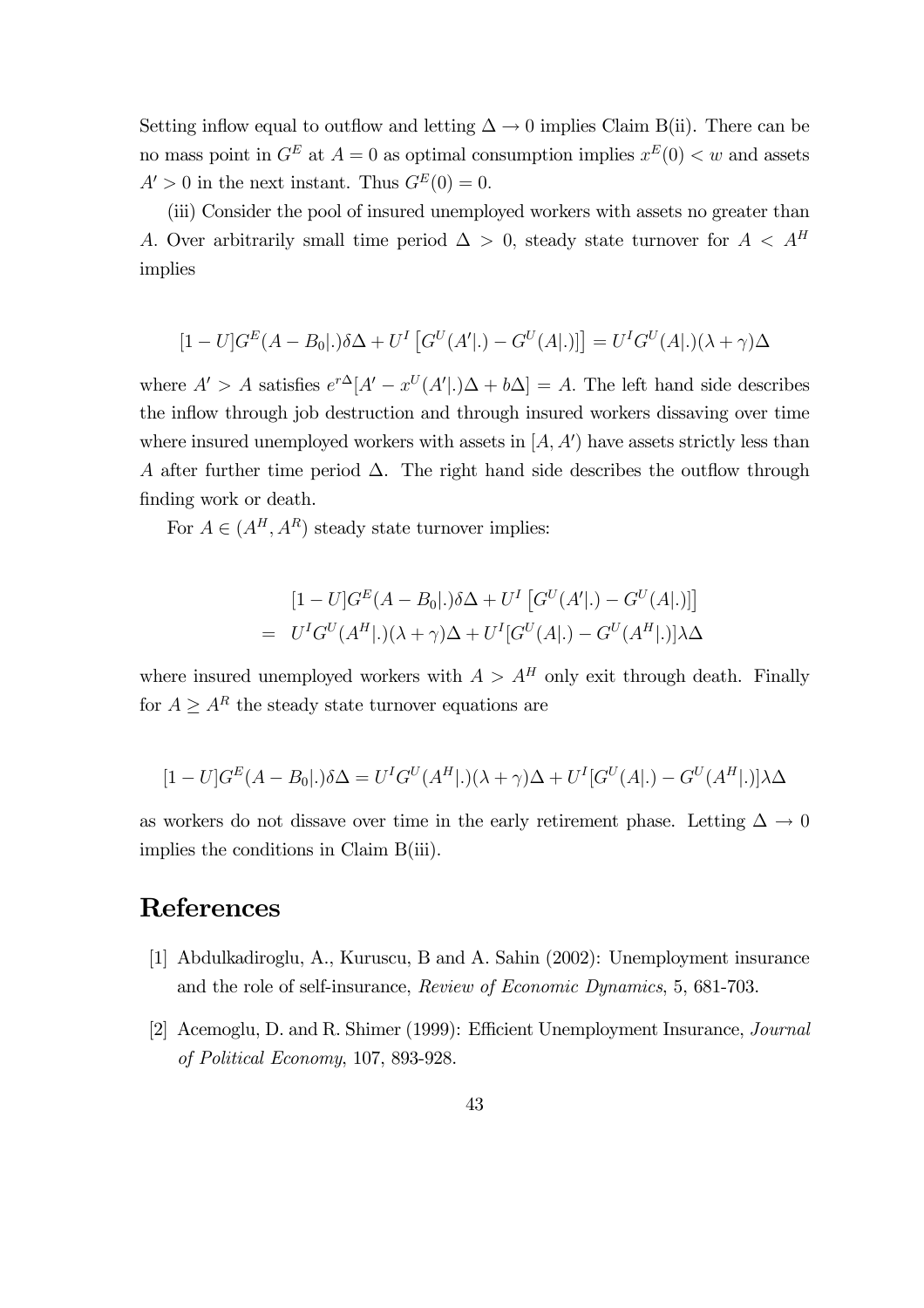Setting inflow equal to outflow and letting  $\Delta \to 0$  implies Claim B(ii). There can be no mass point in  $G^E$  at  $A = 0$  as optimal consumption implies  $x^E(0) < w$  and assets  $A' > 0$  in the next instant. Thus  $G<sup>E</sup>(0) = 0$ .

(iii) Consider the pool of insured unemployed workers with assets no greater than A. Over arbitrarily small time period  $\Delta > 0$ , steady state turnover for  $A < A<sup>H</sup>$ implies

$$
[1-U]GE(A - B0), \delta\Delta + UT [GU(A'). - GU(A).)] = UTGU(A).)(\lambda + \gamma)\Delta
$$

where  $A' > A$  satisfies  $e^{r\Delta}[A' - x^U(A' | .)\Delta + b\Delta] = A$ . The left hand side describes the inflow through job destruction and through insured workers dissaving over time where insured unemployed workers with assets in  $[A, A')$  have assets strictly less than A after further time period  $\Delta$ . The right hand side describes the outflow through finding work or death.

For  $A \in (A^H, A^R)$  steady state turnover implies:

$$
[1 - U]G^{E}(A - B_{0}|.)\delta\Delta + U^{I} [G^{U}(A'|.) - G^{U}(A|.)]
$$
  
=  $U^{I}G^{U}(A^{H}|.)(\lambda + \gamma)\Delta + U^{I}[G^{U}(A|.) - G^{U}(A^{H}|.)]\lambda\Delta$ 

where insured unemployed workers with  $A > A<sup>H</sup>$  only exit through death. Finally for  $A \geq A^R$  the steady state turnover equations are

$$
[1-U]GE(A - B0].)\delta\Delta = UIGU(AH].)(\lambda + \gamma)\Delta + UI[GU(A].) - GU(AH].)]\lambda\Delta
$$

as workers do not dissave over time in the early retirement phase. Letting  $\Delta \to 0$ implies the conditions in Claim B(iii).

# References

- [1] Abdulkadiroglu, A., Kuruscu, B and A. Sahin (2002): Unemployment insurance and the role of self-insurance, Review of Economic Dynamics, 5, 681-703.
- [2] Acemoglu, D. and R. Shimer (1999): Efficient Unemployment Insurance, Journal of Political Economy, 107, 893-928.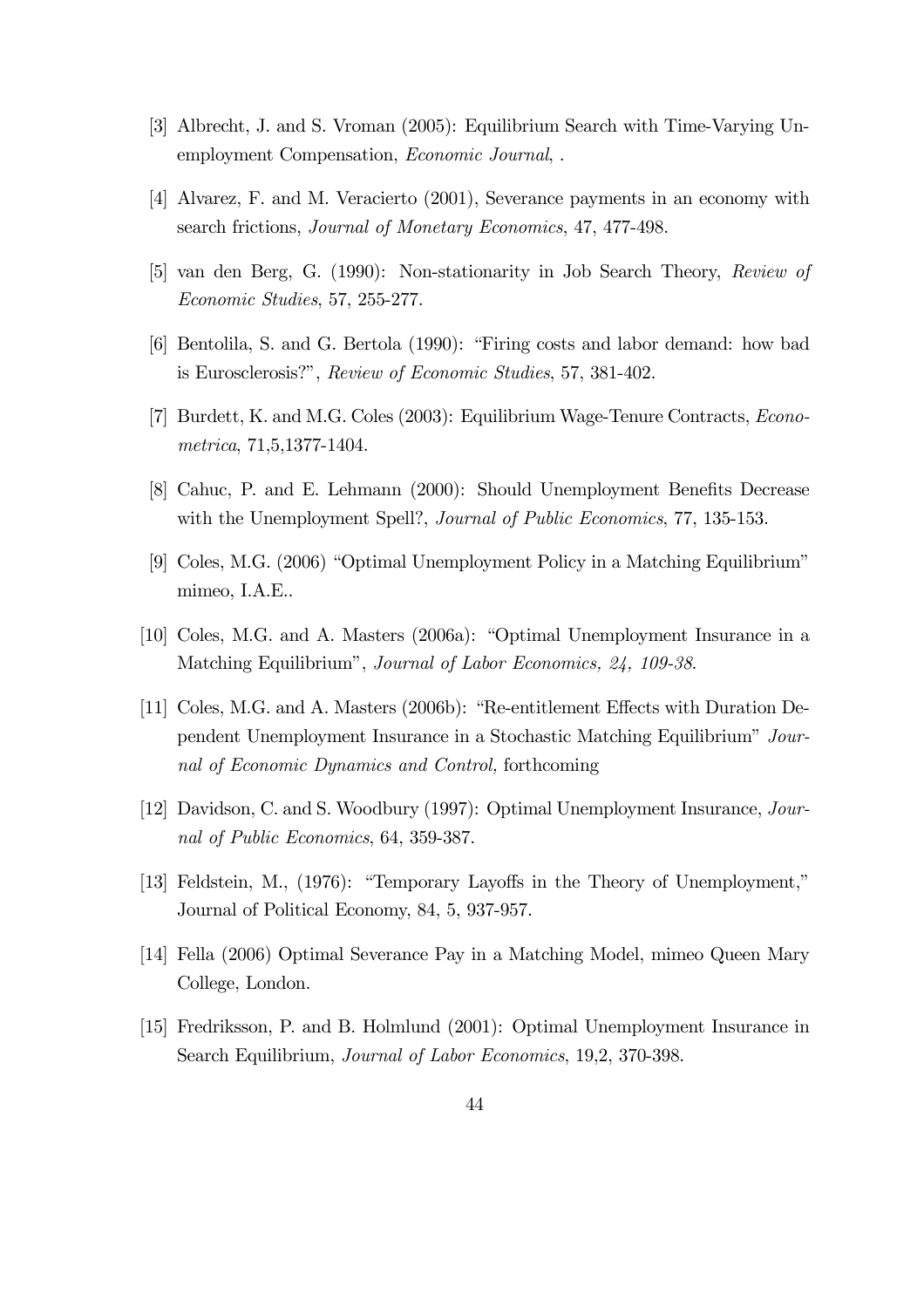- [3] Albrecht, J. and S. Vroman (2005): Equilibrium Search with Time-Varying Unemployment Compensation, Economic Journal, .
- [4] Alvarez, F. and M. Veracierto (2001), Severance payments in an economy with search frictions, Journal of Monetary Economics, 47, 477-498.
- [5] van den Berg, G. (1990): Non-stationarity in Job Search Theory, Review of Economic Studies, 57, 255-277.
- [6] Bentolila, S. and G. Bertola (1990): "Firing costs and labor demand: how bad is Eurosclerosis?", Review of Economic Studies, 57, 381-402.
- [7] Burdett, K. and M.G. Coles (2003): Equilibrium Wage-Tenure Contracts, Econometrica, 71,5,1377-1404.
- [8] Cahuc, P. and E. Lehmann (2000): Should Unemployment Benefits Decrease with the Unemployment Spell?, *Journal of Public Economics*, 77, 135-153.
- [9] Coles, M.G. (2006) "Optimal Unemployment Policy in a Matching Equilibrium" mimeo, I.A.E..
- [10] Coles, M.G. and A. Masters (2006a): "Optimal Unemployment Insurance in a Matching Equilibrium", Journal of Labor Economics, 24, 109-38.
- [11] Coles, M.G. and A. Masters (2006b): "Re-entitlement Effects with Duration Dependent Unemployment Insurance in a Stochastic Matching Equilibrium" Journal of Economic Dynamics and Control, forthcoming
- [12] Davidson, C. and S. Woodbury (1997): Optimal Unemployment Insurance, Journal of Public Economics, 64, 359-387.
- [13] Feldstein, M., (1976): "Temporary Layoffs in the Theory of Unemployment," Journal of Political Economy, 84, 5, 937-957.
- [14] Fella (2006) Optimal Severance Pay in a Matching Model, mimeo Queen Mary College, London.
- [15] Fredriksson, P. and B. Holmlund (2001): Optimal Unemployment Insurance in Search Equilibrium, Journal of Labor Economics, 19,2, 370-398.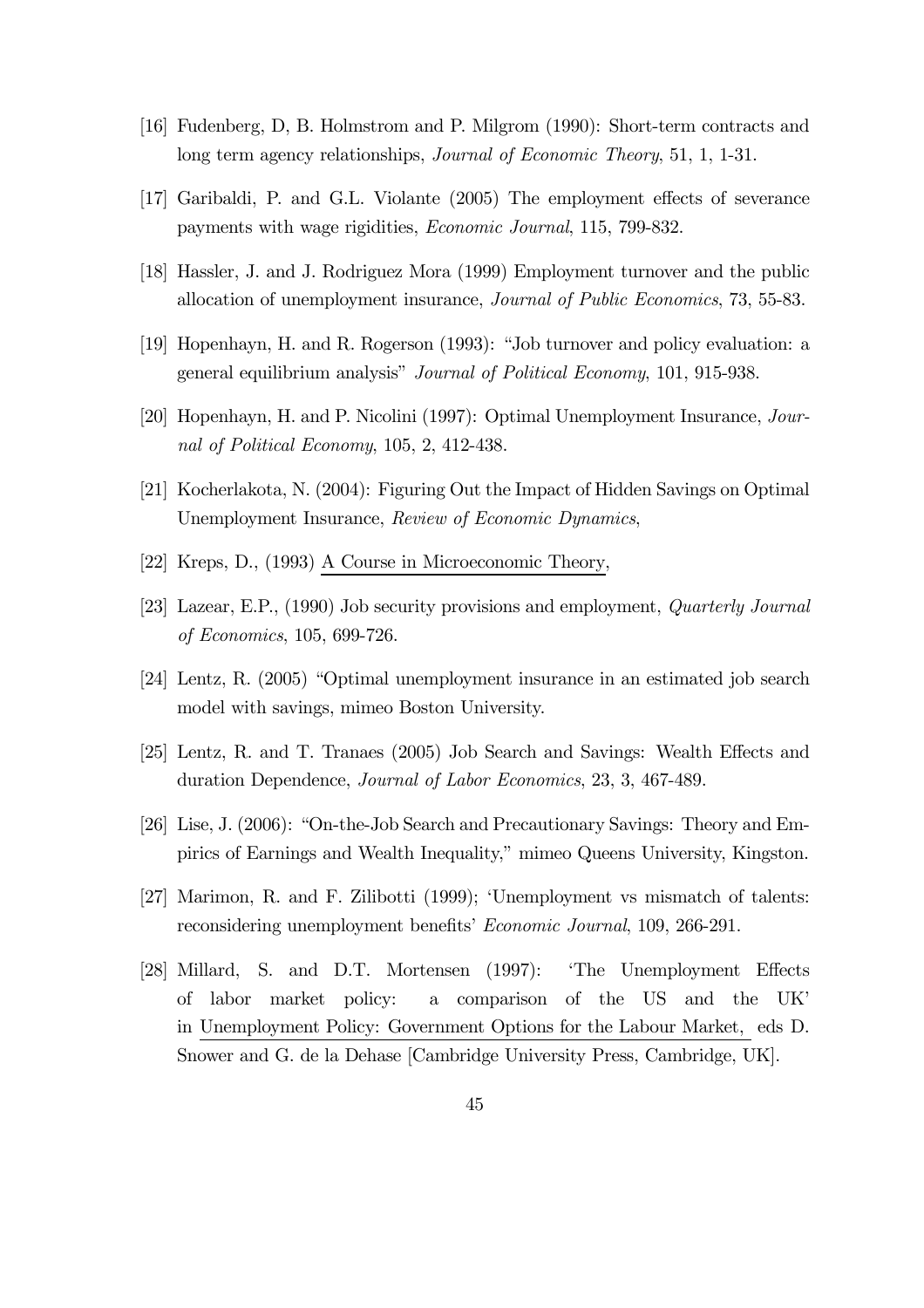- [16] Fudenberg, D, B. Holmstrom and P. Milgrom (1990): Short-term contracts and long term agency relationships, Journal of Economic Theory, 51, 1, 1-31.
- [17] Garibaldi, P. and G.L. Violante (2005) The employment effects of severance payments with wage rigidities, Economic Journal, 115, 799-832.
- [18] Hassler, J. and J. Rodriguez Mora (1999) Employment turnover and the public allocation of unemployment insurance, Journal of Public Economics, 73, 55-83.
- [19] Hopenhayn, H. and R. Rogerson (1993): "Job turnover and policy evaluation: a general equilibrium analysis" Journal of Political Economy, 101, 915-938.
- [20] Hopenhayn, H. and P. Nicolini (1997): Optimal Unemployment Insurance, Journal of Political Economy, 105, 2, 412-438.
- [21] Kocherlakota, N. (2004): Figuring Out the Impact of Hidden Savings on Optimal Unemployment Insurance, Review of Economic Dynamics,
- [22] Kreps, D., (1993) A Course in Microeconomic Theory,
- [23] Lazear, E.P., (1990) Job security provisions and employment, Quarterly Journal of Economics, 105, 699-726.
- [24] Lentz, R. (2005) "Optimal unemployment insurance in an estimated job search model with savings, mimeo Boston University.
- [25] Lentz, R. and T. Tranaes (2005) Job Search and Savings: Wealth Effects and duration Dependence, Journal of Labor Economics, 23, 3, 467-489.
- [26] Lise, J. (2006): "On-the-Job Search and Precautionary Savings: Theory and Empirics of Earnings and Wealth Inequality," mimeo Queens University, Kingston.
- [27] Marimon, R. and F. Zilibotti (1999); 'Unemployment vs mismatch of talents: reconsidering unemployment benefits' Economic Journal, 109, 266-291.
- [28] Millard, S. and D.T. Mortensen (1997): 'The Unemployment Effects of labor market policy: a comparison of the US and the UK' in Unemployment Policy: Government Options for the Labour Market, eds D. Snower and G. de la Dehase [Cambridge University Press, Cambridge, UK].